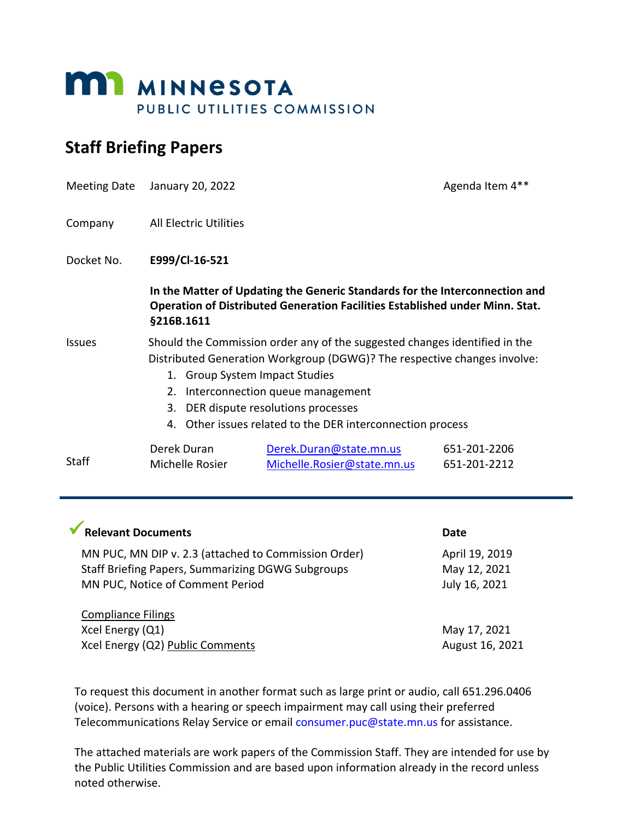

# **Staff Briefing Papers**

|               | Meeting Date January 20, 2022                                                                                                                                                                                                                                                                                                                            |                                                                                                                                                             | Agenda Item 4**              |
|---------------|----------------------------------------------------------------------------------------------------------------------------------------------------------------------------------------------------------------------------------------------------------------------------------------------------------------------------------------------------------|-------------------------------------------------------------------------------------------------------------------------------------------------------------|------------------------------|
| Company       | <b>All Electric Utilities</b>                                                                                                                                                                                                                                                                                                                            |                                                                                                                                                             |                              |
| Docket No.    | E999/Cl-16-521                                                                                                                                                                                                                                                                                                                                           |                                                                                                                                                             |                              |
|               | §216B.1611                                                                                                                                                                                                                                                                                                                                               | In the Matter of Updating the Generic Standards for the Interconnection and<br>Operation of Distributed Generation Facilities Established under Minn. Stat. |                              |
| <b>Issues</b> | Should the Commission order any of the suggested changes identified in the<br>Distributed Generation Workgroup (DGWG)? The respective changes involve:<br><b>Group System Impact Studies</b><br>1.<br>Interconnection queue management<br>2.<br>DER dispute resolutions processes<br>3.<br>Other issues related to the DER interconnection process<br>4. |                                                                                                                                                             |                              |
| Staff         | Derek Duran<br>Michelle Rosier                                                                                                                                                                                                                                                                                                                           | Derek.Duran@state.mn.us<br>Michelle.Rosier@state.mn.us                                                                                                      | 651-201-2206<br>651-201-2212 |

| <b>Relevant Documents</b>                                                                    | Date                          |
|----------------------------------------------------------------------------------------------|-------------------------------|
| MN PUC, MN DIP v. 2.3 (attached to Commission Order)                                         | April 19, 2019                |
| <b>Staff Briefing Papers, Summarizing DGWG Subgroups</b><br>MN PUC, Notice of Comment Period | May 12, 2021<br>July 16, 2021 |
| <b>Compliance Filings</b>                                                                    |                               |
| Xcel Energy (Q1)                                                                             | May 17, 2021                  |
| Xcel Energy (Q2) Public Comments                                                             | August 16, 2021               |

To request this document in another format such as large print or audio, call 651.296.0406 (voice). Persons with a hearing or speech impairment may call using their preferred Telecommunications Relay Service or email consumer.puc@state.mn.us for assistance.

The attached materials are work papers of the Commission Staff. They are intended for use by the Public Utilities Commission and are based upon information already in the record unless noted otherwise.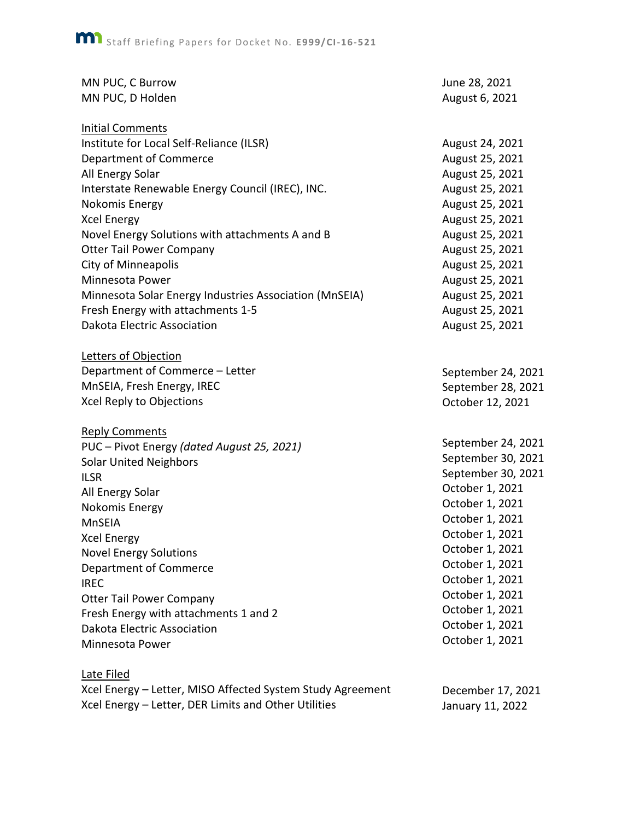| MN PUC, C Burrow                                       | June 28, 2021      |
|--------------------------------------------------------|--------------------|
| MN PUC, D Holden                                       | August 6, 2021     |
| <b>Initial Comments</b>                                |                    |
| Institute for Local Self-Reliance (ILSR)               | August 24, 2021    |
| Department of Commerce                                 | August 25, 2021    |
| All Energy Solar                                       | August 25, 2021    |
| Interstate Renewable Energy Council (IREC), INC.       | August 25, 2021    |
| Nokomis Energy                                         | August 25, 2021    |
| <b>Xcel Energy</b>                                     | August 25, 2021    |
| Novel Energy Solutions with attachments A and B        | August 25, 2021    |
| <b>Otter Tail Power Company</b>                        | August 25, 2021    |
| <b>City of Minneapolis</b>                             | August 25, 2021    |
| Minnesota Power                                        | August 25, 2021    |
| Minnesota Solar Energy Industries Association (MnSEIA) | August 25, 2021    |
| Fresh Energy with attachments 1-5                      | August 25, 2021    |
| Dakota Electric Association                            | August 25, 2021    |
| Letters of Objection                                   |                    |
| Department of Commerce - Letter                        | September 24, 2021 |
| MnSEIA, Fresh Energy, IREC                             | September 28, 2021 |
| Xcel Reply to Objections                               | October 12, 2021   |
| <b>Reply Comments</b>                                  |                    |
| PUC - Pivot Energy (dated August 25, 2021)             | September 24, 2021 |
| <b>Solar United Neighbors</b>                          | September 30, 2021 |
| <b>ILSR</b>                                            | September 30, 2021 |
| All Energy Solar                                       | October 1, 2021    |
| Nokomis Energy                                         | October 1, 2021    |
| <b>MnSEIA</b>                                          | October 1, 2021    |
| <b>Xcel Energy</b>                                     | October 1, 2021    |
| <b>Novel Energy Solutions</b>                          | October 1, 2021    |
| Department of Commerce                                 | October 1, 2021    |
| <b>IREC</b>                                            | October 1, 2021    |
| <b>Otter Tail Power Company</b>                        | October 1, 2021    |
| Fresh Energy with attachments 1 and 2                  | October 1, 2021    |
| Dakota Electric Association                            | October 1, 2021    |
| Minnesota Power                                        | October 1, 2021    |
| Late Filed                                             |                    |

Xcel Energy – Letter, MISO Affected System Study Agreement Xcel Energy – Letter, DER Limits and Other Utilities

December 17, 2021 January 11, 2022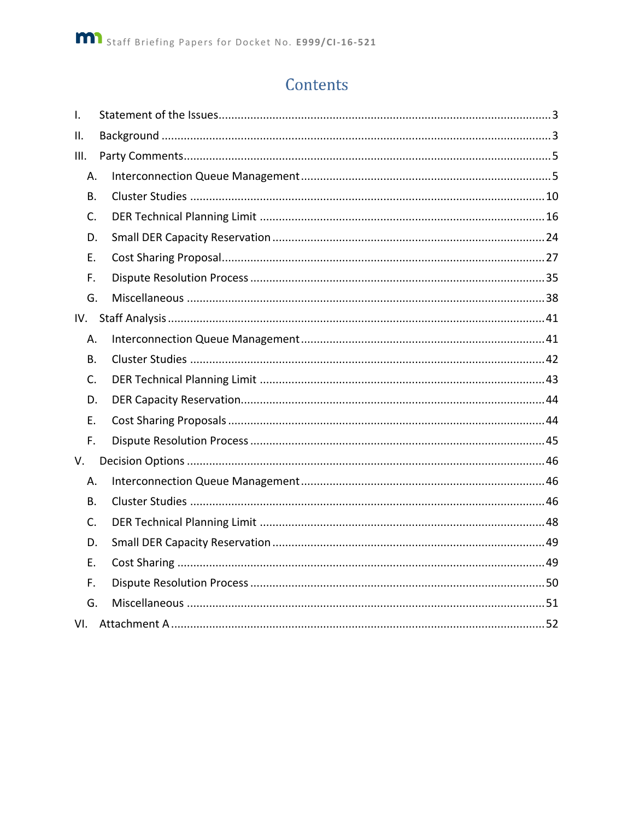# Contents

| $\mathsf{I}$ . |  |
|----------------|--|
| ΙΙ.            |  |
| III.           |  |
| Α.             |  |
| В.             |  |
| C.             |  |
| D.             |  |
| Е.             |  |
| F.             |  |
| G.             |  |
| IV.            |  |
| Α.             |  |
| В.             |  |
| C.             |  |
| D.             |  |
| Ε.             |  |
| F.             |  |
| V.             |  |
| Α.             |  |
| <b>B.</b>      |  |
| C.             |  |
| D.             |  |
| Е.             |  |
| F.             |  |
| G.             |  |
| VI.            |  |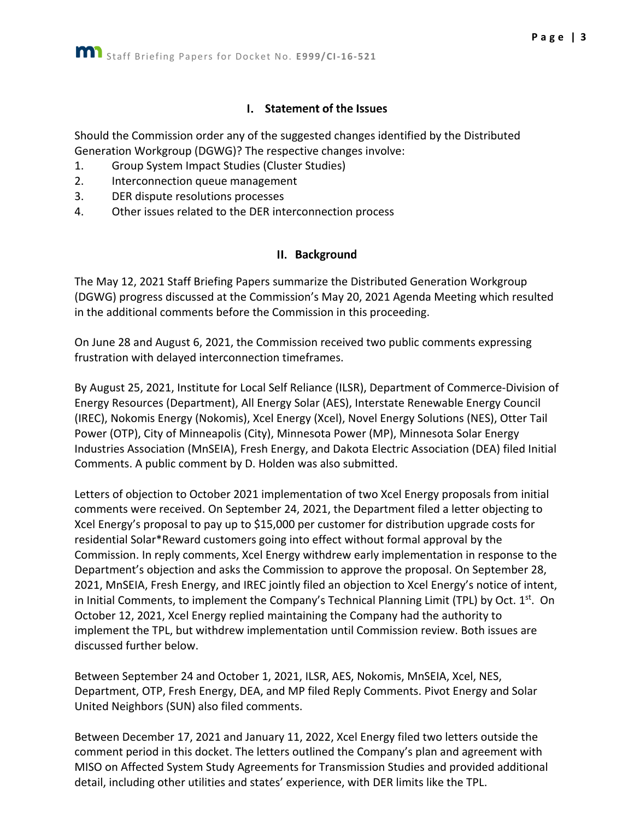#### I. Statement of the Issues

<span id="page-3-0"></span>Should the Commission order any of the suggested changes identified by the Distributed Generation Workgroup (DGWG)? The respective changes involve:

- 1. Group System Impact Studies (Cluster Studies)
- 2. Interconnection queue management
- 3. DER dispute resolutions processes
- <span id="page-3-1"></span>4. Other issues related to the DER interconnection process

#### II. Background

The May 12, 2021 Staff Briefing Papers summarize the Distributed Generation Workgroup (DGWG) progress discussed at the Commission's May 20, 2021 Agenda Meeting which resulted in the additional comments before the Commission in this proceeding.

On June 28 and August 6, 2021, the Commission received two public comments expressing frustration with delayed interconnection timeframes.

By August 25, 2021, Institute for Local Self Reliance (ILSR), Department of Commerce-Division of Energy Resources (Department), All Energy Solar (AES), Interstate Renewable Energy Council (IREC), Nokomis Energy (Nokomis), Xcel Energy (Xcel), Novel Energy Solutions (NES), Otter Tail Power (OTP), City of Minneapolis (City), Minnesota Power (MP), Minnesota Solar Energy Industries Association (MnSEIA), Fresh Energy, and Dakota Electric Association (DEA) filed Initial Comments. A public comment by D. Holden was also submitted.

Letters of objection to October 2021 implementation of two Xcel Energy proposals from initial comments were received. On September 24, 2021, the Department filed a letter objecting to Xcel Energy's proposal to pay up to \$15,000 per customer for distribution upgrade costs for residential Solar\*Reward customers going into effect without formal approval by the Commission. In reply comments, Xcel Energy withdrew early implementation in response to the Department's objection and asks the Commission to approve the proposal. On September 28, 2021, MnSEIA, Fresh Energy, and IREC jointly filed an objection to Xcel Energy's notice of intent, in Initial Comments, to implement the Company's Technical Planning Limit (TPL) by Oct. 1<sup>st</sup>. On October 12, 2021, Xcel Energy replied maintaining the Company had the authority to implement the TPL, but withdrew implementation until Commission review. Both issues are discussed further below.

Between September 24 and October 1, 2021, ILSR, AES, Nokomis, MnSEIA, Xcel, NES, Department, OTP, Fresh Energy, DEA, and MP filed Reply Comments. Pivot Energy and Solar United Neighbors (SUN) also filed comments.

Between December 17, 2021 and January 11, 2022, Xcel Energy filed two letters outside the comment period in this docket. The letters outlined the Company's plan and agreement with MISO on Affected System Study Agreements for Transmission Studies and provided additional detail, including other utilities and states' experience, with DER limits like the TPL.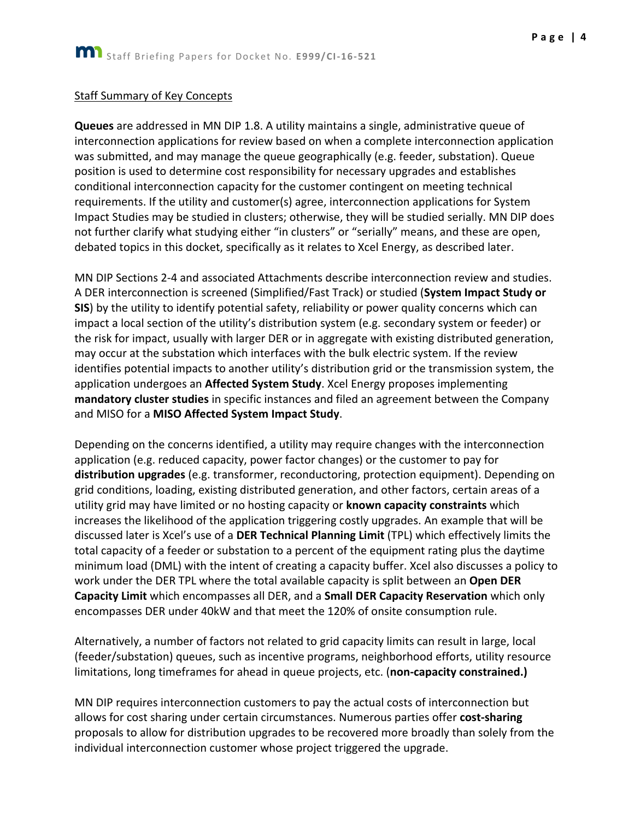#### Staff Summary of Key Concepts

**Queues** are addressed in MN DIP 1.8. A utility maintains a single, administrative queue of interconnection applications for review based on when a complete interconnection application was submitted, and may manage the queue geographically (e.g. feeder, substation). Queue position is used to determine cost responsibility for necessary upgrades and establishes conditional interconnection capacity for the customer contingent on meeting technical requirements. If the utility and customer(s) agree, interconnection applications for System Impact Studies may be studied in clusters; otherwise, they will be studied serially. MN DIP does not further clarify what studying either "in clusters" or "serially" means, and these are open, debated topics in this docket, specifically as it relates to Xcel Energy, as described later.

MN DIP Sections 2-4 and associated Attachments describe interconnection review and studies. A DER interconnection is screened (Simplified/Fast Track) or studied (**System Impact Study or SIS**) by the utility to identify potential safety, reliability or power quality concerns which can impact a local section of the utility's distribution system (e.g. secondary system or feeder) or the risk for impact, usually with larger DER or in aggregate with existing distributed generation, may occur at the substation which interfaces with the bulk electric system. If the review identifies potential impacts to another utility's distribution grid or the transmission system, the application undergoes an **Affected System Study**. Xcel Energy proposes implementing **mandatory cluster studies** in specific instances and filed an agreement between the Company and MISO for a **MISO Affected System Impact Study**.

Depending on the concerns identified, a utility may require changes with the interconnection application (e.g. reduced capacity, power factor changes) or the customer to pay for **distribution upgrades** (e.g. transformer, reconductoring, protection equipment). Depending on grid conditions, loading, existing distributed generation, and other factors, certain areas of a utility grid may have limited or no hosting capacity or **known capacity constraints** which increases the likelihood of the application triggering costly upgrades. An example that will be discussed later is Xcel's use of a **DER Technical Planning Limit** (TPL) which effectively limits the total capacity of a feeder or substation to a percent of the equipment rating plus the daytime minimum load (DML) with the intent of creating a capacity buffer. Xcel also discusses a policy to work under the DER TPL where the total available capacity is split between an **Open DER Capacity Limit** which encompasses all DER, and a **Small DER Capacity Reservation** which only encompasses DER under 40kW and that meet the 120% of onsite consumption rule.

Alternatively, a number of factors not related to grid capacity limits can result in large, local (feeder/substation) queues, such as incentive programs, neighborhood efforts, utility resource limitations, long timeframes for ahead in queue projects, etc. (**non-capacity constrained.)**

MN DIP requires interconnection customers to pay the actual costs of interconnection but allows for cost sharing under certain circumstances. Numerous parties offer **cost-sharing**  proposals to allow for distribution upgrades to be recovered more broadly than solely from the individual interconnection customer whose project triggered the upgrade.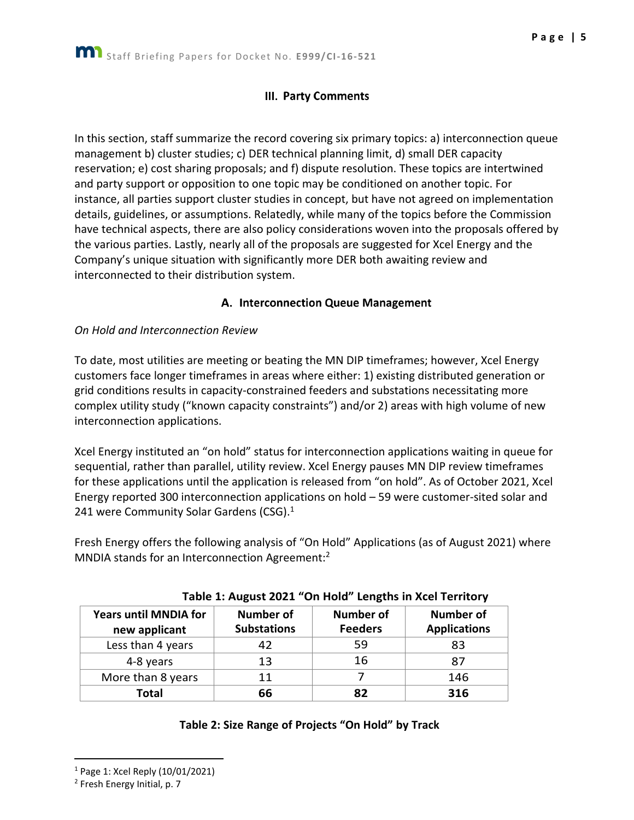## III. Party Comments

<span id="page-5-0"></span>In this section, staff summarize the record covering six primary topics: a) interconnection queue management b) cluster studies; c) DER technical planning limit, d) small DER capacity reservation; e) cost sharing proposals; and f) dispute resolution. These topics are intertwined and party support or opposition to one topic may be conditioned on another topic. For instance, all parties support cluster studies in concept, but have not agreed on implementation details, guidelines, or assumptions. Relatedly, while many of the topics before the Commission have technical aspects, there are also policy considerations woven into the proposals offered by the various parties. Lastly, nearly all of the proposals are suggested for Xcel Energy and the Company's unique situation with significantly more DER both awaiting review and interconnected to their distribution system.

## A. Interconnection Queue Management

#### <span id="page-5-1"></span>*On Hold and Interconnection Review*

To date, most utilities are meeting or beating the MN DIP timeframes; however, Xcel Energy customers face longer timeframes in areas where either: 1) existing distributed generation or grid conditions results in capacity-constrained feeders and substations necessitating more complex utility study ("known capacity constraints") and/or 2) areas with high volume of new interconnection applications.

Xcel Energy instituted an "on hold" status for interconnection applications waiting in queue for sequential, rather than parallel, utility review. Xcel Energy pauses MN DIP review timeframes for these applications until the application is released from "on hold". As of October 2021, Xcel Energy reported 300 interconnection applications on hold – 59 were customer-sited solar and 241 were Community Solar Gardens (CSG).<sup>1</sup>

Fresh Energy offers the following analysis of "On Hold" Applications (as of August 2021) where MNDIA stands for an Interconnection Agreement:<sup>2</sup>

| <b>Years until MNDIA for</b><br>new applicant | <b>Number of</b><br><b>Substations</b> | <b>Number of</b><br><b>Feeders</b> | <b>Number of</b><br><b>Applications</b> |
|-----------------------------------------------|----------------------------------------|------------------------------------|-----------------------------------------|
| Less than 4 years                             | 42                                     | 59                                 | 83                                      |
| 4-8 years                                     | 13                                     | 16                                 | 87                                      |
| More than 8 years                             | 11                                     |                                    | 146                                     |
| Total                                         | 66                                     | 82                                 | 316                                     |

#### **Table 1: August 2021 "On Hold" Lengths in Xcel Territory**

#### **Table 2: Size Range of Projects "On Hold" by Track**

<sup>1</sup> Page 1: Xcel Reply (10/01/2021)

<sup>2</sup> Fresh Energy Initial, p. 7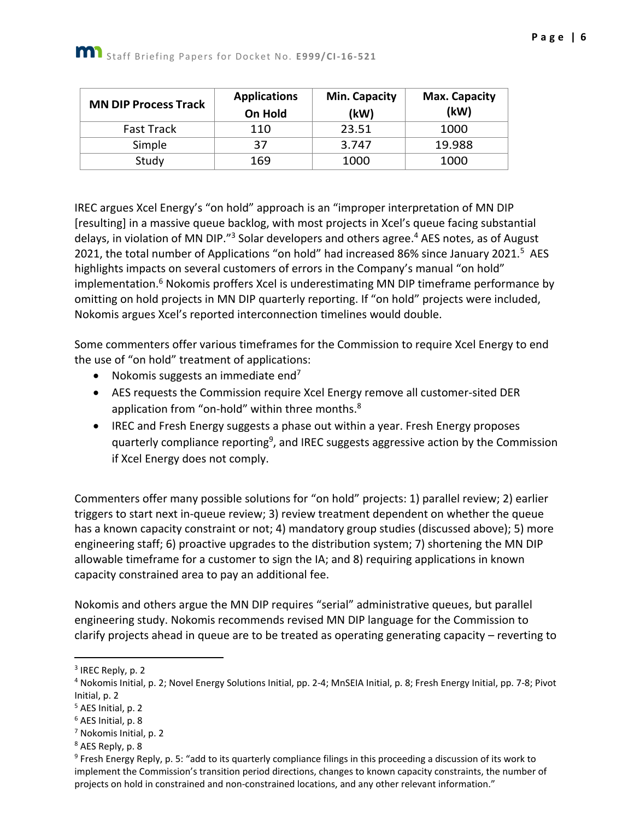| <b>MN DIP Process Track</b> | <b>Applications</b><br>On Hold | Min. Capacity<br>(kW) | <b>Max. Capacity</b><br>(kW) |
|-----------------------------|--------------------------------|-----------------------|------------------------------|
| <b>Fast Track</b>           | 110                            | 23.51                 | 1000                         |
| Simple                      | 37                             | 3.747                 | 19.988                       |
| Study                       | 169                            | 1000                  | 1000                         |

IREC argues Xcel Energy's "on hold" approach is an "improper interpretation of MN DIP [resulting] in a massive queue backlog, with most projects in Xcel's queue facing substantial delays, in violation of MN DIP."<sup>3</sup> Solar developers and others agree.<sup>4</sup> AES notes, as of August 2021, the total number of Applications "on hold" had increased 86% since January 2021.<sup>5</sup> AES highlights impacts on several customers of errors in the Company's manual "on hold" implementation.<sup>6</sup> Nokomis proffers Xcel is underestimating MN DIP timeframe performance by omitting on hold projects in MN DIP quarterly reporting. If "on hold" projects were included, Nokomis argues Xcel's reported interconnection timelines would double.

Some commenters offer various timeframes for the Commission to require Xcel Energy to end the use of "on hold" treatment of applications:

- Nokomis suggests an immediate end<sup>7</sup>
- AES requests the Commission require Xcel Energy remove all customer-sited DER application from "on-hold" within three months.<sup>8</sup>
- IREC and Fresh Energy suggests a phase out within a year. Fresh Energy proposes quarterly compliance reporting<sup>9</sup>, and IREC suggests aggressive action by the Commission if Xcel Energy does not comply.

Commenters offer many possible solutions for "on hold" projects: 1) parallel review; 2) earlier triggers to start next in-queue review; 3) review treatment dependent on whether the queue has a known capacity constraint or not; 4) mandatory group studies (discussed above); 5) more engineering staff; 6) proactive upgrades to the distribution system; 7) shortening the MN DIP allowable timeframe for a customer to sign the IA; and 8) requiring applications in known capacity constrained area to pay an additional fee.

Nokomis and others argue the MN DIP requires "serial" administrative queues, but parallel engineering study. Nokomis recommends revised MN DIP language for the Commission to clarify projects ahead in queue are to be treated as operating generating capacity – reverting to

<sup>&</sup>lt;sup>3</sup> IREC Reply, p. 2

<sup>4</sup> Nokomis Initial, p. 2; Novel Energy Solutions Initial, pp. 2-4; MnSEIA Initial, p. 8; Fresh Energy Initial, pp. 7-8; Pivot Initial, p. 2

<sup>5</sup> AES Initial, p. 2

<sup>6</sup> AES Initial, p. 8

<sup>7</sup> Nokomis Initial, p. 2

<sup>8</sup> AES Reply, p. 8

<sup>&</sup>lt;sup>9</sup> Fresh Energy Reply, p. 5: "add to its quarterly compliance filings in this proceeding a discussion of its work to implement the Commission's transition period directions, changes to known capacity constraints, the number of projects on hold in constrained and non-constrained locations, and any other relevant information."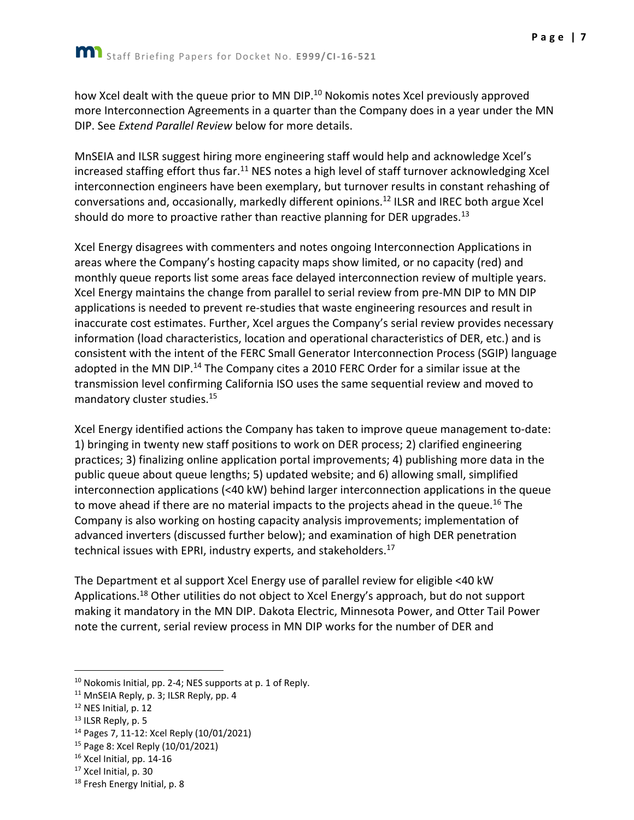how Xcel dealt with the queue prior to MN DIP.<sup>10</sup> Nokomis notes Xcel previously approved more Interconnection Agreements in a quarter than the Company does in a year under the MN DIP. See *Extend Parallel Review* below for more details.

MnSEIA and ILSR suggest hiring more engineering staff would help and acknowledge Xcel's increased staffing effort thus far. $11$  NES notes a high level of staff turnover acknowledging Xcel interconnection engineers have been exemplary, but turnover results in constant rehashing of conversations and, occasionally, markedly different opinions.<sup>12</sup> ILSR and IREC both argue Xcel should do more to proactive rather than reactive planning for DER upgrades.<sup>13</sup>

Xcel Energy disagrees with commenters and notes ongoing Interconnection Applications in areas where the Company's hosting capacity maps show limited, or no capacity (red) and monthly queue reports list some areas face delayed interconnection review of multiple years. Xcel Energy maintains the change from parallel to serial review from pre-MN DIP to MN DIP applications is needed to prevent re-studies that waste engineering resources and result in inaccurate cost estimates. Further, Xcel argues the Company's serial review provides necessary information (load characteristics, location and operational characteristics of DER, etc.) and is consistent with the intent of the FERC Small Generator Interconnection Process (SGIP) language adopted in the MN DIP.<sup>14</sup> The Company cites a 2010 FERC Order for a similar issue at the transmission level confirming California ISO uses the same sequential review and moved to mandatory cluster studies.<sup>15</sup>

Xcel Energy identified actions the Company has taken to improve queue management to-date: 1) bringing in twenty new staff positions to work on DER process; 2) clarified engineering practices; 3) finalizing online application portal improvements; 4) publishing more data in the public queue about queue lengths; 5) updated website; and 6) allowing small, simplified interconnection applications (<40 kW) behind larger interconnection applications in the queue to move ahead if there are no material impacts to the projects ahead in the queue.<sup>16</sup> The Company is also working on hosting capacity analysis improvements; implementation of advanced inverters (discussed further below); and examination of high DER penetration technical issues with EPRI, industry experts, and stakeholders.<sup>17</sup>

The Department et al support Xcel Energy use of parallel review for eligible <40 kW Applications.<sup>18</sup> Other utilities do not object to Xcel Energy's approach, but do not support making it mandatory in the MN DIP. Dakota Electric, Minnesota Power, and Otter Tail Power note the current, serial review process in MN DIP works for the number of DER and

<sup>10</sup> Nokomis Initial, pp. 2-4; NES supports at p. 1 of Reply.

<sup>&</sup>lt;sup>11</sup> MnSEIA Reply, p. 3; ILSR Reply, pp. 4

 $12$  NES Initial, p. 12

<sup>&</sup>lt;sup>13</sup> ILSR Reply, p. 5

<sup>14</sup> Pages 7, 11-12: Xcel Reply (10/01/2021)

<sup>15</sup> Page 8: Xcel Reply (10/01/2021)

<sup>16</sup> Xcel Initial, pp. 14-16

<sup>&</sup>lt;sup>17</sup> Xcel Initial, p. 30

<sup>18</sup> Fresh Energy Initial, p. 8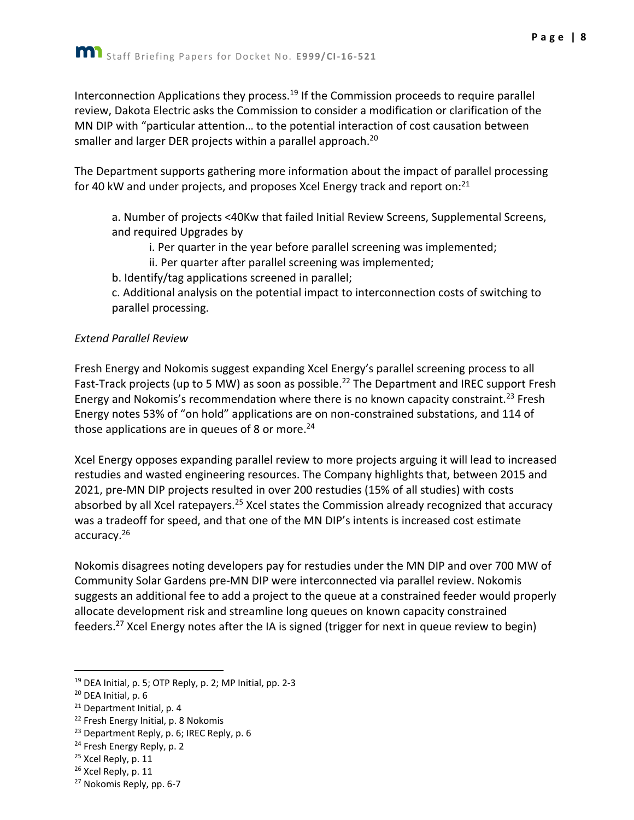Interconnection Applications they process.<sup>19</sup> If the Commission proceeds to require parallel review, Dakota Electric asks the Commission to consider a modification or clarification of the MN DIP with "particular attention… to the potential interaction of cost causation between smaller and larger DER projects within a parallel approach.<sup>20</sup>

The Department supports gathering more information about the impact of parallel processing for 40 kW and under projects, and proposes Xcel Energy track and report on:<sup>21</sup>

a. Number of projects <40Kw that failed Initial Review Screens, Supplemental Screens, and required Upgrades by

i. Per quarter in the year before parallel screening was implemented;

ii. Per quarter after parallel screening was implemented;

b. Identify/tag applications screened in parallel;

c. Additional analysis on the potential impact to interconnection costs of switching to parallel processing.

#### *Extend Parallel Review*

Fresh Energy and Nokomis suggest expanding Xcel Energy's parallel screening process to all Fast-Track projects (up to 5 MW) as soon as possible.<sup>22</sup> The Department and IREC support Fresh Energy and Nokomis's recommendation where there is no known capacity constraint.<sup>23</sup> Fresh Energy notes 53% of "on hold" applications are on non-constrained substations, and 114 of those applications are in queues of 8 or more.<sup>24</sup>

Xcel Energy opposes expanding parallel review to more projects arguing it will lead to increased restudies and wasted engineering resources. The Company highlights that, between 2015 and 2021, pre-MN DIP projects resulted in over 200 restudies (15% of all studies) with costs absorbed by all Xcel ratepayers.<sup>25</sup> Xcel states the Commission already recognized that accuracy was a tradeoff for speed, and that one of the MN DIP's intents is increased cost estimate accuracy.<sup>26</sup>

Nokomis disagrees noting developers pay for restudies under the MN DIP and over 700 MW of Community Solar Gardens pre-MN DIP were interconnected via parallel review. Nokomis suggests an additional fee to add a project to the queue at a constrained feeder would properly allocate development risk and streamline long queues on known capacity constrained feeders.<sup>27</sup> Xcel Energy notes after the IA is signed (trigger for next in queue review to begin)

 $26$  Xcel Reply, p. 11

<sup>19</sup> DEA Initial, p. 5; OTP Reply, p. 2; MP Initial, pp. 2-3

<sup>20</sup> DEA Initial, p. 6

 $21$  Department Initial, p. 4

<sup>&</sup>lt;sup>22</sup> Fresh Energy Initial, p. 8 Nokomis

<sup>&</sup>lt;sup>23</sup> Department Reply, p. 6; IREC Reply, p. 6

<sup>&</sup>lt;sup>24</sup> Fresh Energy Reply, p. 2

<sup>&</sup>lt;sup>25</sup> Xcel Reply, p. 11

<sup>27</sup> Nokomis Reply, pp. 6-7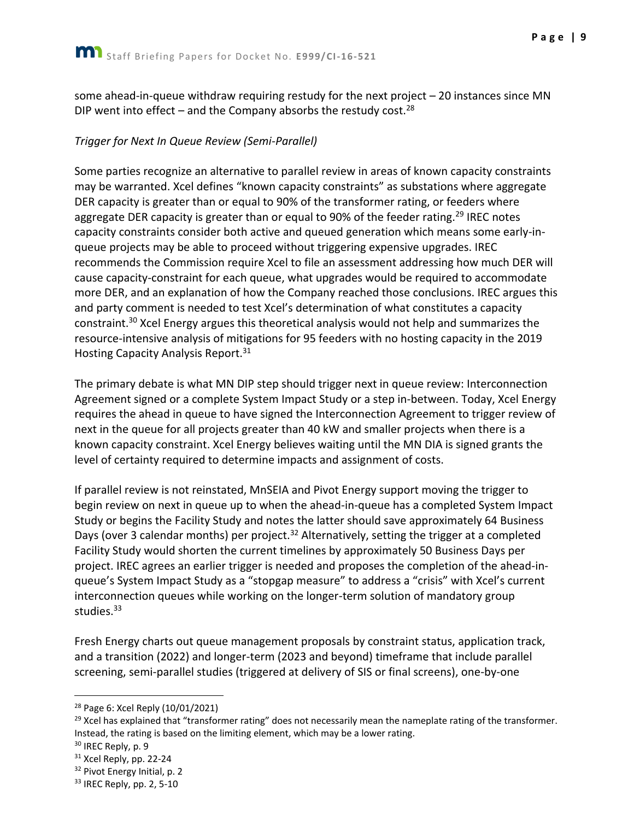some ahead-in-queue withdraw requiring restudy for the next project – 20 instances since MN DIP went into effect – and the Company absorbs the restudy cost.<sup>28</sup>

#### *Trigger for Next In Queue Review (Semi-Parallel)*

Some parties recognize an alternative to parallel review in areas of known capacity constraints may be warranted. Xcel defines "known capacity constraints" as substations where aggregate DER capacity is greater than or equal to 90% of the transformer rating, or feeders where aggregate DER capacity is greater than or equal to 90% of the feeder rating.<sup>29</sup> IREC notes capacity constraints consider both active and queued generation which means some early-inqueue projects may be able to proceed without triggering expensive upgrades. IREC recommends the Commission require Xcel to file an assessment addressing how much DER will cause capacity-constraint for each queue, what upgrades would be required to accommodate more DER, and an explanation of how the Company reached those conclusions. IREC argues this and party comment is needed to test Xcel's determination of what constitutes a capacity constraint.<sup>30</sup> Xcel Energy argues this theoretical analysis would not help and summarizes the resource-intensive analysis of mitigations for 95 feeders with no hosting capacity in the 2019 Hosting Capacity Analysis Report.<sup>31</sup>

The primary debate is what MN DIP step should trigger next in queue review: Interconnection Agreement signed or a complete System Impact Study or a step in-between. Today, Xcel Energy requires the ahead in queue to have signed the Interconnection Agreement to trigger review of next in the queue for all projects greater than 40 kW and smaller projects when there is a known capacity constraint. Xcel Energy believes waiting until the MN DIA is signed grants the level of certainty required to determine impacts and assignment of costs.

If parallel review is not reinstated, MnSEIA and Pivot Energy support moving the trigger to begin review on next in queue up to when the ahead-in-queue has a completed System Impact Study or begins the Facility Study and notes the latter should save approximately 64 Business Days (over 3 calendar months) per project.<sup>32</sup> Alternatively, setting the trigger at a completed Facility Study would shorten the current timelines by approximately 50 Business Days per project. IREC agrees an earlier trigger is needed and proposes the completion of the ahead-inqueue's System Impact Study as a "stopgap measure" to address a "crisis" with Xcel's current interconnection queues while working on the longer-term solution of mandatory group studies.<sup>33</sup>

Fresh Energy charts out queue management proposals by constraint status, application track, and a transition (2022) and longer-term (2023 and beyond) timeframe that include parallel screening, semi-parallel studies (triggered at delivery of SIS or final screens), one-by-one

<sup>28</sup> Page 6: Xcel Reply (10/01/2021)

 $29$  Xcel has explained that "transformer rating" does not necessarily mean the nameplate rating of the transformer. Instead, the rating is based on the limiting element, which may be a lower rating.

<sup>&</sup>lt;sup>30</sup> IREC Reply, p. 9

<sup>&</sup>lt;sup>31</sup> Xcel Reply, pp. 22-24

<sup>&</sup>lt;sup>32</sup> Pivot Energy Initial, p. 2

<sup>33</sup> IREC Reply, pp. 2, 5-10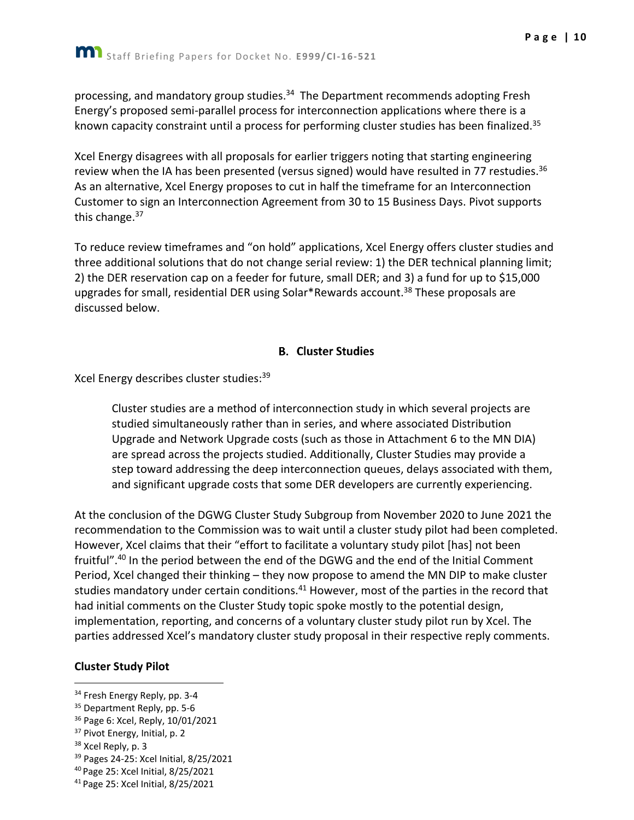processing, and mandatory group studies.<sup>34</sup> The Department recommends adopting Fresh Energy's proposed semi-parallel process for interconnection applications where there is a known capacity constraint until a process for performing cluster studies has been finalized.<sup>35</sup>

Xcel Energy disagrees with all proposals for earlier triggers noting that starting engineering review when the IA has been presented (versus signed) would have resulted in 77 restudies.<sup>36</sup> As an alternative, Xcel Energy proposes to cut in half the timeframe for an Interconnection Customer to sign an Interconnection Agreement from 30 to 15 Business Days. Pivot supports this change.<sup>37</sup>

To reduce review timeframes and "on hold" applications, Xcel Energy offers cluster studies and three additional solutions that do not change serial review: 1) the DER technical planning limit; 2) the DER reservation cap on a feeder for future, small DER; and 3) a fund for up to \$15,000 upgrades for small, residential DER using Solar\*Rewards account.<sup>38</sup> These proposals are discussed below.

## **B.** Cluster Studies

<span id="page-10-0"></span>Xcel Energy describes cluster studies: 39

Cluster studies are a method of interconnection study in which several projects are studied simultaneously rather than in series, and where associated Distribution Upgrade and Network Upgrade costs (such as those in Attachment 6 to the MN DIA) are spread across the projects studied. Additionally, Cluster Studies may provide a step toward addressing the deep interconnection queues, delays associated with them, and significant upgrade costs that some DER developers are currently experiencing.

At the conclusion of the DGWG Cluster Study Subgroup from November 2020 to June 2021 the recommendation to the Commission was to wait until a cluster study pilot had been completed. However, Xcel claims that their "effort to facilitate a voluntary study pilot [has] not been fruitful".<sup>40</sup> In the period between the end of the DGWG and the end of the Initial Comment Period, Xcel changed their thinking – they now propose to amend the MN DIP to make cluster studies mandatory under certain conditions.<sup>41</sup> However, most of the parties in the record that had initial comments on the Cluster Study topic spoke mostly to the potential design, implementation, reporting, and concerns of a voluntary cluster study pilot run by Xcel. The parties addressed Xcel's mandatory cluster study proposal in their respective reply comments.

## **Cluster Study Pilot**

<sup>&</sup>lt;sup>34</sup> Fresh Energy Reply, pp. 3-4

<sup>&</sup>lt;sup>35</sup> Department Reply, pp. 5-6

<sup>36</sup> Page 6: Xcel, Reply, 10/01/2021

<sup>&</sup>lt;sup>37</sup> Pivot Energy, Initial, p. 2

<sup>38</sup> Xcel Reply, p. 3

<sup>39</sup> Pages 24-25: Xcel Initial, 8/25/2021

<sup>40</sup> Page 25: Xcel Initial, 8/25/2021

<sup>41</sup> Page 25: Xcel Initial, 8/25/2021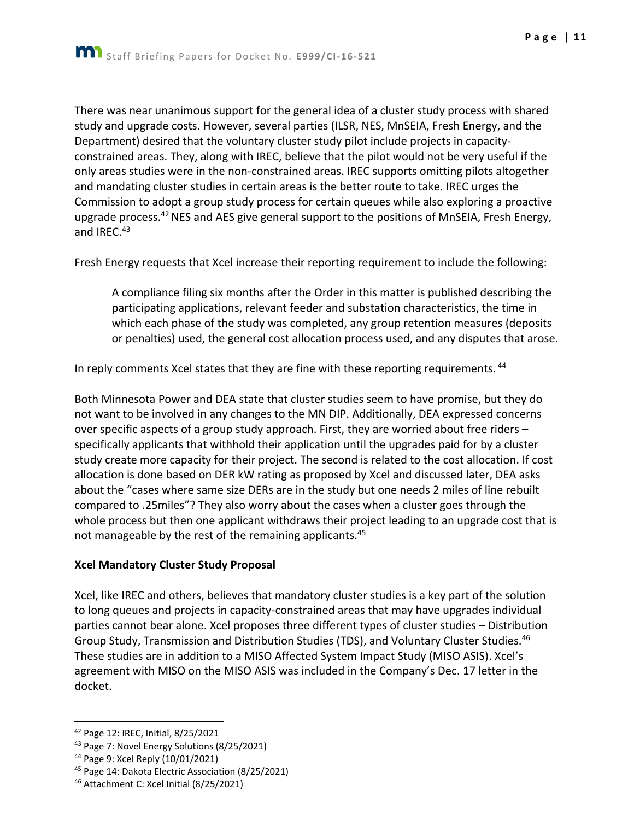There was near unanimous support for the general idea of a cluster study process with shared study and upgrade costs. However, several parties (ILSR, NES, MnSEIA, Fresh Energy, and the Department) desired that the voluntary cluster study pilot include projects in capacityconstrained areas. They, along with IREC, believe that the pilot would not be very useful if the only areas studies were in the non-constrained areas. IREC supports omitting pilots altogether and mandating cluster studies in certain areas is the better route to take. IREC urges the Commission to adopt a group study process for certain queues while also exploring a proactive upgrade process.<sup>42</sup> NES and AES give general support to the positions of MnSEIA, Fresh Energy, and IREC.<sup>43</sup>

Fresh Energy requests that Xcel increase their reporting requirement to include the following:

A compliance filing six months after the Order in this matter is published describing the participating applications, relevant feeder and substation characteristics, the time in which each phase of the study was completed, any group retention measures (deposits or penalties) used, the general cost allocation process used, and any disputes that arose.

In reply comments Xcel states that they are fine with these reporting requirements. <sup>44</sup>

Both Minnesota Power and DEA state that cluster studies seem to have promise, but they do not want to be involved in any changes to the MN DIP. Additionally, DEA expressed concerns over specific aspects of a group study approach. First, they are worried about free riders – specifically applicants that withhold their application until the upgrades paid for by a cluster study create more capacity for their project. The second is related to the cost allocation. If cost allocation is done based on DER kW rating as proposed by Xcel and discussed later, DEA asks about the "cases where same size DERs are in the study but one needs 2 miles of line rebuilt compared to .25miles"? They also worry about the cases when a cluster goes through the whole process but then one applicant withdraws their project leading to an upgrade cost that is not manageable by the rest of the remaining applicants.<sup>45</sup>

#### **Xcel Mandatory Cluster Study Proposal**

Xcel, like IREC and others, believes that mandatory cluster studies is a key part of the solution to long queues and projects in capacity-constrained areas that may have upgrades individual parties cannot bear alone. Xcel proposes three different types of cluster studies – Distribution Group Study, Transmission and Distribution Studies (TDS), and Voluntary Cluster Studies.<sup>46</sup> These studies are in addition to a MISO Affected System Impact Study (MISO ASIS). Xcel's agreement with MISO on the MISO ASIS was included in the Company's Dec. 17 letter in the docket.

<sup>42</sup> Page 12: IREC, Initial, 8/25/2021

<sup>43</sup> Page 7: Novel Energy Solutions (8/25/2021)

<sup>44</sup> Page 9: Xcel Reply (10/01/2021)

<sup>45</sup> Page 14: Dakota Electric Association (8/25/2021)

<sup>46</sup> Attachment C: Xcel Initial (8/25/2021)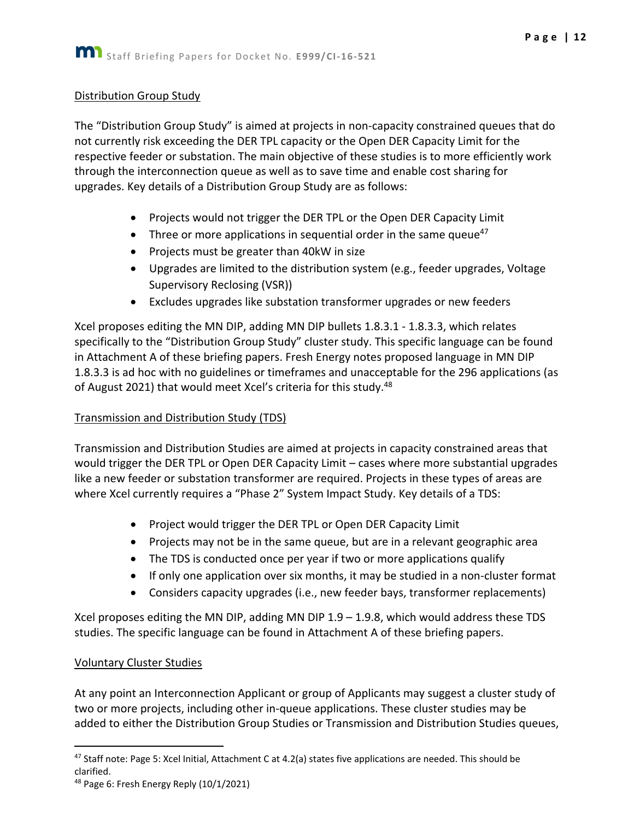#### Distribution Group Study

The "Distribution Group Study" is aimed at projects in non-capacity constrained queues that do not currently risk exceeding the DER TPL capacity or the Open DER Capacity Limit for the respective feeder or substation. The main objective of these studies is to more efficiently work through the interconnection queue as well as to save time and enable cost sharing for upgrades. Key details of a Distribution Group Study are as follows:

- Projects would not trigger the DER TPL or the Open DER Capacity Limit
- Three or more applications in sequential order in the same queue<sup>47</sup>
- Projects must be greater than 40kW in size
- Upgrades are limited to the distribution system (e.g., feeder upgrades, Voltage Supervisory Reclosing (VSR))
- Excludes upgrades like substation transformer upgrades or new feeders

Xcel proposes editing the MN DIP, adding MN DIP bullets 1.8.3.1 - 1.8.3.3, which relates specifically to the "Distribution Group Study" cluster study. This specific language can be found in Attachment A of these briefing papers. Fresh Energy notes proposed language in MN DIP 1.8.3.3 is ad hoc with no guidelines or timeframes and unacceptable for the 296 applications (as of August 2021) that would meet Xcel's criteria for this study.<sup>48</sup>

#### Transmission and Distribution Study (TDS)

Transmission and Distribution Studies are aimed at projects in capacity constrained areas that would trigger the DER TPL or Open DER Capacity Limit – cases where more substantial upgrades like a new feeder or substation transformer are required. Projects in these types of areas are where Xcel currently requires a "Phase 2" System Impact Study. Key details of a TDS:

- Project would trigger the DER TPL or Open DER Capacity Limit
- Projects may not be in the same queue, but are in a relevant geographic area
- The TDS is conducted once per year if two or more applications qualify
- If only one application over six months, it may be studied in a non-cluster format
- Considers capacity upgrades (i.e., new feeder bays, transformer replacements)

Xcel proposes editing the MN DIP, adding MN DIP  $1.9 - 1.9.8$ , which would address these TDS studies. The specific language can be found in Attachment A of these briefing papers.

#### Voluntary Cluster Studies

At any point an Interconnection Applicant or group of Applicants may suggest a cluster study of two or more projects, including other in-queue applications. These cluster studies may be added to either the Distribution Group Studies or Transmission and Distribution Studies queues,

<sup>47</sup> Staff note: Page 5: Xcel Initial, Attachment C at 4.2(a) states five applications are needed. This should be clarified.

 $48$  Page 6: Fresh Energy Reply (10/1/2021)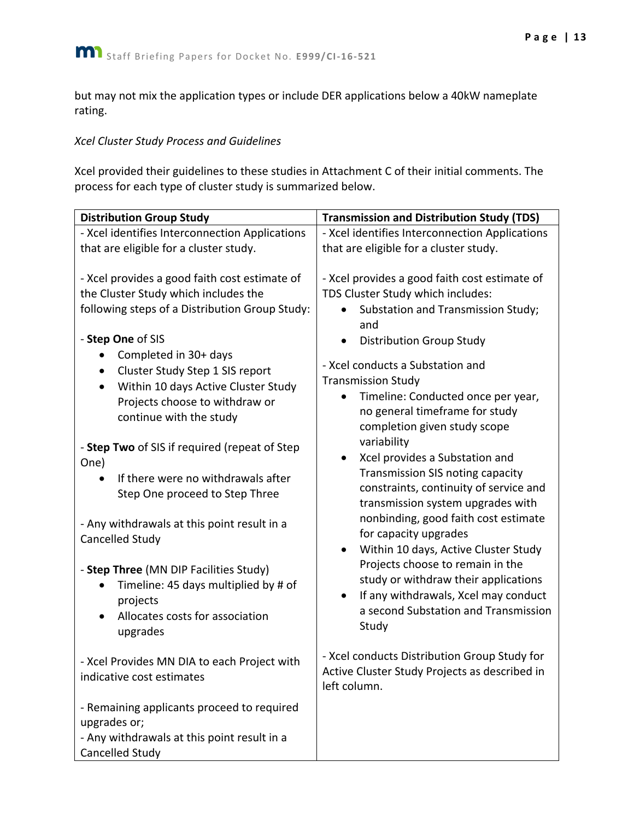but may not mix the application types or include DER applications below a 40kW nameplate rating.

#### *Xcel Cluster Study Process and Guidelines*

Xcel provided their guidelines to these studies in Attachment C of their initial comments. The process for each type of cluster study is summarized below.

| <b>Distribution Group Study</b>                                                                                                                                                                                                                                                                                                              | <b>Transmission and Distribution Study (TDS)</b>                                                                                                                                                                                                                                                                                                                                                                                                                                |  |
|----------------------------------------------------------------------------------------------------------------------------------------------------------------------------------------------------------------------------------------------------------------------------------------------------------------------------------------------|---------------------------------------------------------------------------------------------------------------------------------------------------------------------------------------------------------------------------------------------------------------------------------------------------------------------------------------------------------------------------------------------------------------------------------------------------------------------------------|--|
| - Xcel identifies Interconnection Applications                                                                                                                                                                                                                                                                                               | - Xcel identifies Interconnection Applications                                                                                                                                                                                                                                                                                                                                                                                                                                  |  |
| that are eligible for a cluster study.                                                                                                                                                                                                                                                                                                       | that are eligible for a cluster study.                                                                                                                                                                                                                                                                                                                                                                                                                                          |  |
| - Xcel provides a good faith cost estimate of<br>the Cluster Study which includes the<br>following steps of a Distribution Group Study:<br>- Step One of SIS<br>Completed in 30+ days<br>Cluster Study Step 1 SIS report<br>Within 10 days Active Cluster Study<br>$\bullet$<br>Projects choose to withdraw or<br>continue with the study    | - Xcel provides a good faith cost estimate of<br>TDS Cluster Study which includes:<br>Substation and Transmission Study;<br>and<br><b>Distribution Group Study</b><br>- Xcel conducts a Substation and<br><b>Transmission Study</b><br>Timeline: Conducted once per year,<br>no general timeframe for study<br>completion given study scope                                                                                                                                     |  |
| - Step Two of SIS if required (repeat of Step<br>One)<br>If there were no withdrawals after<br>Step One proceed to Step Three<br>- Any withdrawals at this point result in a<br>Cancelled Study<br>- Step Three (MN DIP Facilities Study)<br>Timeline: 45 days multiplied by # of<br>projects<br>Allocates costs for association<br>upgrades | variability<br>Xcel provides a Substation and<br>$\bullet$<br><b>Transmission SIS noting capacity</b><br>constraints, continuity of service and<br>transmission system upgrades with<br>nonbinding, good faith cost estimate<br>for capacity upgrades<br>Within 10 days, Active Cluster Study<br>Projects choose to remain in the<br>study or withdraw their applications<br>If any withdrawals, Xcel may conduct<br>$\bullet$<br>a second Substation and Transmission<br>Study |  |
| - Xcel Provides MN DIA to each Project with<br>indicative cost estimates                                                                                                                                                                                                                                                                     | - Xcel conducts Distribution Group Study for<br>Active Cluster Study Projects as described in<br>left column.                                                                                                                                                                                                                                                                                                                                                                   |  |
| - Remaining applicants proceed to required<br>upgrades or;<br>- Any withdrawals at this point result in a<br>Cancelled Study                                                                                                                                                                                                                 |                                                                                                                                                                                                                                                                                                                                                                                                                                                                                 |  |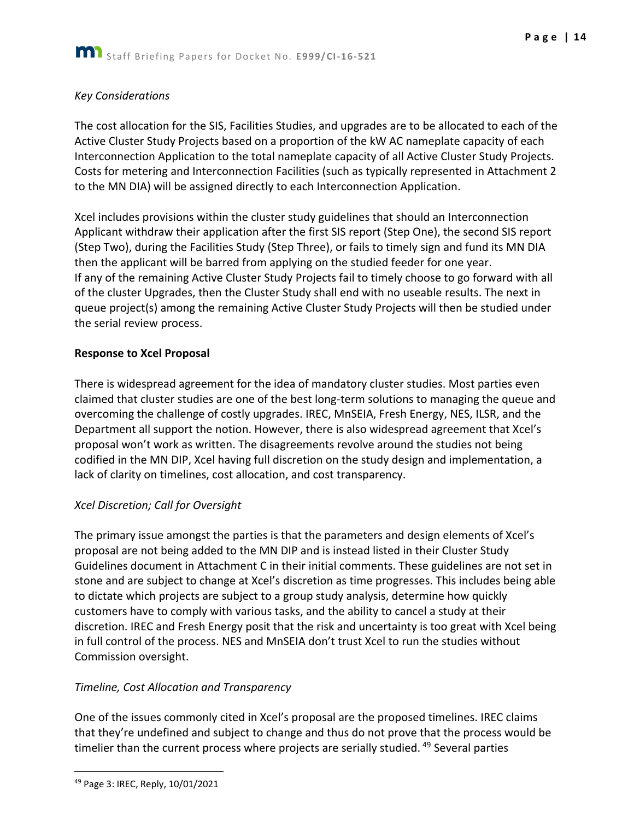#### *Key Considerations*

The cost allocation for the SIS, Facilities Studies, and upgrades are to be allocated to each of the Active Cluster Study Projects based on a proportion of the kW AC nameplate capacity of each Interconnection Application to the total nameplate capacity of all Active Cluster Study Projects. Costs for metering and Interconnection Facilities (such as typically represented in Attachment 2 to the MN DIA) will be assigned directly to each Interconnection Application.

Xcel includes provisions within the cluster study guidelines that should an Interconnection Applicant withdraw their application after the first SIS report (Step One), the second SIS report (Step Two), during the Facilities Study (Step Three), or fails to timely sign and fund its MN DIA then the applicant will be barred from applying on the studied feeder for one year. If any of the remaining Active Cluster Study Projects fail to timely choose to go forward with all of the cluster Upgrades, then the Cluster Study shall end with no useable results. The next in queue project(s) among the remaining Active Cluster Study Projects will then be studied under the serial review process.

#### **Response to Xcel Proposal**

There is widespread agreement for the idea of mandatory cluster studies. Most parties even claimed that cluster studies are one of the best long-term solutions to managing the queue and overcoming the challenge of costly upgrades. IREC, MnSEIA, Fresh Energy, NES, ILSR, and the Department all support the notion. However, there is also widespread agreement that Xcel's proposal won't work as written. The disagreements revolve around the studies not being codified in the MN DIP, Xcel having full discretion on the study design and implementation, a lack of clarity on timelines, cost allocation, and cost transparency.

#### *Xcel Discretion; Call for Oversight*

The primary issue amongst the parties is that the parameters and design elements of Xcel's proposal are not being added to the MN DIP and is instead listed in their Cluster Study Guidelines document in Attachment C in their initial comments. These guidelines are not set in stone and are subject to change at Xcel's discretion as time progresses. This includes being able to dictate which projects are subject to a group study analysis, determine how quickly customers have to comply with various tasks, and the ability to cancel a study at their discretion. IREC and Fresh Energy posit that the risk and uncertainty is too great with Xcel being in full control of the process. NES and MnSEIA don't trust Xcel to run the studies without Commission oversight.

## *Timeline, Cost Allocation and Transparency*

One of the issues commonly cited in Xcel's proposal are the proposed timelines. IREC claims that they're undefined and subject to change and thus do not prove that the process would be timelier than the current process where projects are serially studied.<sup>49</sup> Several parties

<sup>49</sup> Page 3: IREC, Reply, 10/01/2021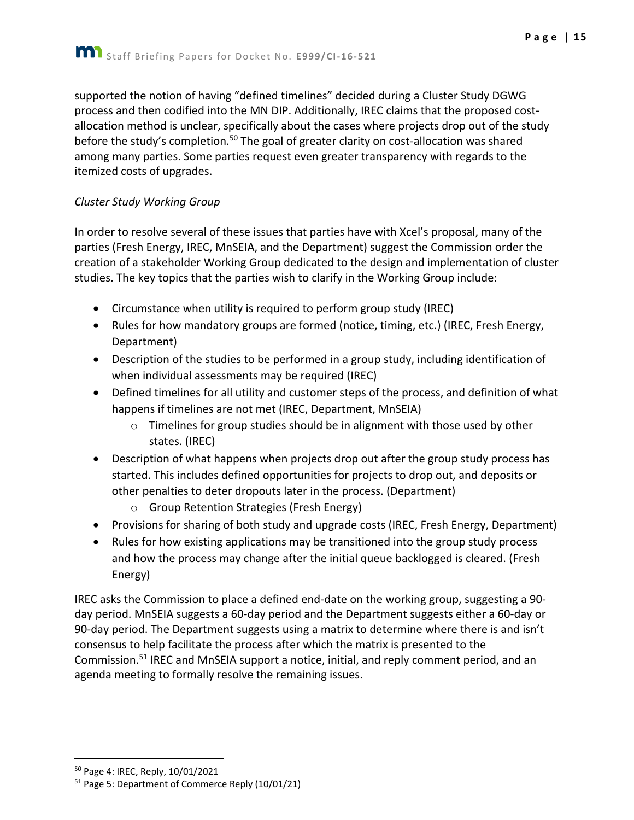Staff Briefing Papers for Docket No. **E999/CI-16-521**

supported the notion of having "defined timelines" decided during a Cluster Study DGWG process and then codified into the MN DIP. Additionally, IREC claims that the proposed costallocation method is unclear, specifically about the cases where projects drop out of the study before the study's completion.<sup>50</sup> The goal of greater clarity on cost-allocation was shared among many parties. Some parties request even greater transparency with regards to the itemized costs of upgrades.

## *Cluster Study Working Group*

In order to resolve several of these issues that parties have with Xcel's proposal, many of the parties (Fresh Energy, IREC, MnSEIA, and the Department) suggest the Commission order the creation of a stakeholder Working Group dedicated to the design and implementation of cluster studies. The key topics that the parties wish to clarify in the Working Group include:

- Circumstance when utility is required to perform group study (IREC)
- Rules for how mandatory groups are formed (notice, timing, etc.) (IREC, Fresh Energy, Department)
- Description of the studies to be performed in a group study, including identification of when individual assessments may be required (IREC)
- Defined timelines for all utility and customer steps of the process, and definition of what happens if timelines are not met (IREC, Department, MnSEIA)
	- $\circ$  Timelines for group studies should be in alignment with those used by other states. (IREC)
- Description of what happens when projects drop out after the group study process has started. This includes defined opportunities for projects to drop out, and deposits or other penalties to deter dropouts later in the process. (Department)
	- o Group Retention Strategies (Fresh Energy)
- Provisions for sharing of both study and upgrade costs (IREC, Fresh Energy, Department)
- Rules for how existing applications may be transitioned into the group study process and how the process may change after the initial queue backlogged is cleared. (Fresh Energy)

IREC asks the Commission to place a defined end-date on the working group, suggesting a 90 day period. MnSEIA suggests a 60-day period and the Department suggests either a 60-day or 90-day period. The Department suggests using a matrix to determine where there is and isn't consensus to help facilitate the process after which the matrix is presented to the Commission.<sup>51</sup> IREC and MnSEIA support a notice, initial, and reply comment period, and an agenda meeting to formally resolve the remaining issues.

<sup>50</sup> Page 4: IREC, Reply, 10/01/2021

<sup>51</sup> Page 5: Department of Commerce Reply (10/01/21)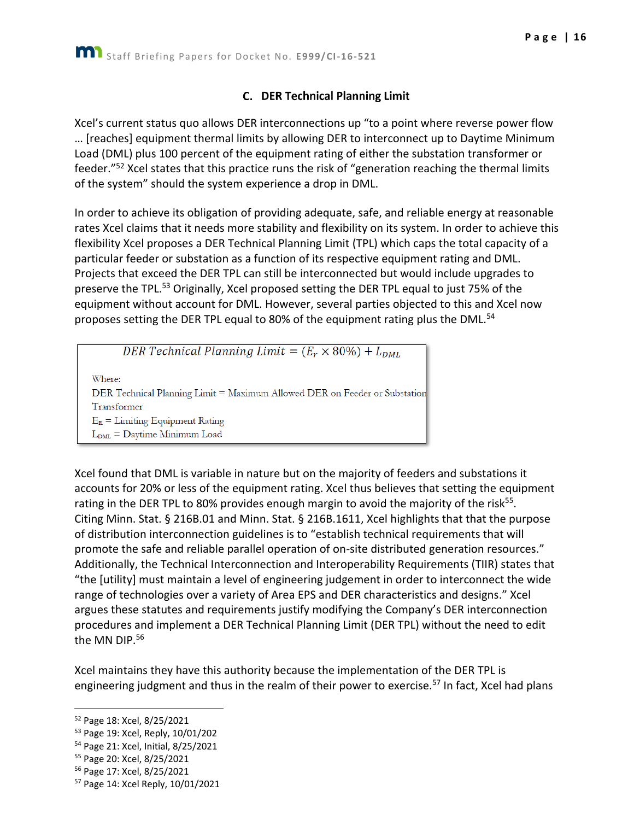## **C.** DER Technical Planning Limit

<span id="page-16-0"></span>Xcel's current status quo allows DER interconnections up "to a point where reverse power flow … [reaches] equipment thermal limits by allowing DER to interconnect up to Daytime Minimum Load (DML) plus 100 percent of the equipment rating of either the substation transformer or feeder."<sup>52</sup> Xcel states that this practice runs the risk of "generation reaching the thermal limits of the system" should the system experience a drop in DML.

In order to achieve its obligation of providing adequate, safe, and reliable energy at reasonable rates Xcel claims that it needs more stability and flexibility on its system. In order to achieve this flexibility Xcel proposes a DER Technical Planning Limit (TPL) which caps the total capacity of a particular feeder or substation as a function of its respective equipment rating and DML. Projects that exceed the DER TPL can still be interconnected but would include upgrades to preserve the TPL.<sup>53</sup> Originally, Xcel proposed setting the DER TPL equal to just 75% of the equipment without account for DML. However, several parties objected to this and Xcel now proposes setting the DER TPL equal to 80% of the equipment rating plus the DML.<sup>54</sup>

DER Technical Planning Limit =  $(E_r \times 80\%) + L_{DML}$ Where: DER Technical Planning Limit = Maximum Allowed DER on Feeder or Substation Transformer  $E_R =$  Limiting Equipment Rating  $L_{\text{DML}} =$  Daytime Minimum Load

Xcel found that DML is variable in nature but on the majority of feeders and substations it accounts for 20% or less of the equipment rating. Xcel thus believes that setting the equipment rating in the DER TPL to 80% provides enough margin to avoid the majority of the risk<sup>55</sup>. Citing Minn. Stat. § 216B.01 and Minn. Stat. § 216B.1611, Xcel highlights that that the purpose of distribution interconnection guidelines is to "establish technical requirements that will promote the safe and reliable parallel operation of on-site distributed generation resources." Additionally, the Technical Interconnection and Interoperability Requirements (TIIR) states that "the [utility] must maintain a level of engineering judgement in order to interconnect the wide range of technologies over a variety of Area EPS and DER characteristics and designs." Xcel argues these statutes and requirements justify modifying the Company's DER interconnection procedures and implement a DER Technical Planning Limit (DER TPL) without the need to edit the MN DIP.<sup>56</sup>

Xcel maintains they have this authority because the implementation of the DER TPL is engineering judgment and thus in the realm of their power to exercise.<sup>57</sup> In fact, Xcel had plans

<sup>52</sup> Page 18: Xcel, 8/25/2021

<sup>53</sup> Page 19: Xcel, Reply, 10/01/202

<sup>54</sup> Page 21: Xcel, Initial, 8/25/2021

<sup>55</sup> Page 20: Xcel, 8/25/2021

<sup>56</sup> Page 17: Xcel, 8/25/2021

<sup>57</sup> Page 14: Xcel Reply, 10/01/2021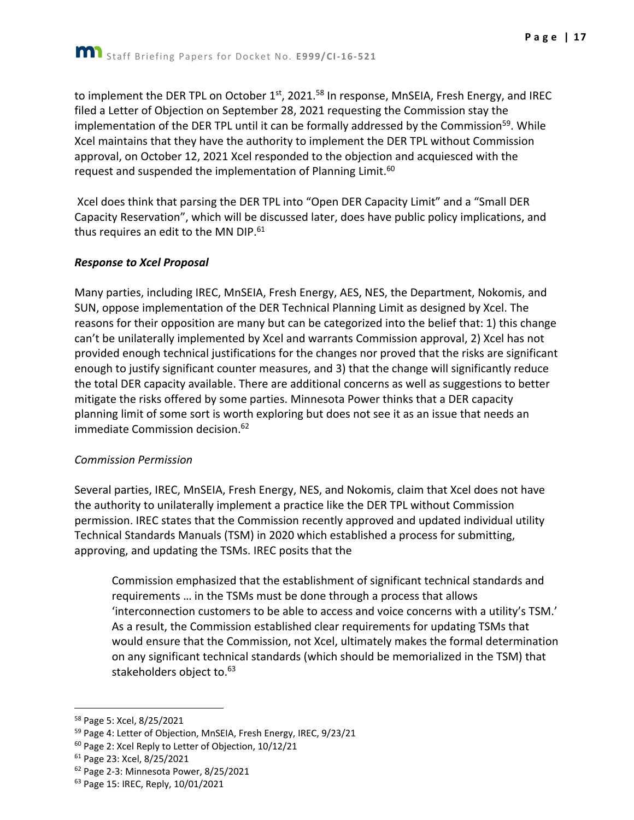to implement the DER TPL on October 1<sup>st</sup>, 2021.<sup>58</sup> In response, MnSEIA, Fresh Energy, and IREC filed a Letter of Objection on September 28, 2021 requesting the Commission stay the implementation of the DER TPL until it can be formally addressed by the Commission<sup>59</sup>. While Xcel maintains that they have the authority to implement the DER TPL without Commission approval, on October 12, 2021 Xcel responded to the objection and acquiesced with the request and suspended the implementation of Planning Limit.<sup>60</sup>

Xcel does think that parsing the DER TPL into "Open DER Capacity Limit" and a "Small DER Capacity Reservation", which will be discussed later, does have public policy implications, and thus requires an edit to the MN DIP. $61$ 

#### *Response to Xcel Proposal*

Many parties, including IREC, MnSEIA, Fresh Energy, AES, NES, the Department, Nokomis, and SUN, oppose implementation of the DER Technical Planning Limit as designed by Xcel. The reasons for their opposition are many but can be categorized into the belief that: 1) this change can't be unilaterally implemented by Xcel and warrants Commission approval, 2) Xcel has not provided enough technical justifications for the changes nor proved that the risks are significant enough to justify significant counter measures, and 3) that the change will significantly reduce the total DER capacity available. There are additional concerns as well as suggestions to better mitigate the risks offered by some parties. Minnesota Power thinks that a DER capacity planning limit of some sort is worth exploring but does not see it as an issue that needs an immediate Commission decision. 62

#### *Commission Permission*

Several parties, IREC, MnSEIA, Fresh Energy, NES, and Nokomis, claim that Xcel does not have the authority to unilaterally implement a practice like the DER TPL without Commission permission. IREC states that the Commission recently approved and updated individual utility Technical Standards Manuals (TSM) in 2020 which established a process for submitting, approving, and updating the TSMs. IREC posits that the

Commission emphasized that the establishment of significant technical standards and requirements … in the TSMs must be done through a process that allows 'interconnection customers to be able to access and voice concerns with a utility's TSM.' As a result, the Commission established clear requirements for updating TSMs that would ensure that the Commission, not Xcel, ultimately makes the formal determination on any significant technical standards (which should be memorialized in the TSM) that stakeholders object to.<sup>63</sup>

<sup>58</sup> Page 5: Xcel, 8/25/2021

<sup>&</sup>lt;sup>59</sup> Page 4: Letter of Objection, MnSEIA, Fresh Energy, IREC, 9/23/21

<sup>&</sup>lt;sup>60</sup> Page 2: Xcel Reply to Letter of Objection, 10/12/21

<sup>61</sup> Page 23: Xcel, 8/25/2021

<sup>62</sup> Page 2-3: Minnesota Power, 8/25/2021

<sup>&</sup>lt;sup>63</sup> Page 15: IREC, Reply, 10/01/2021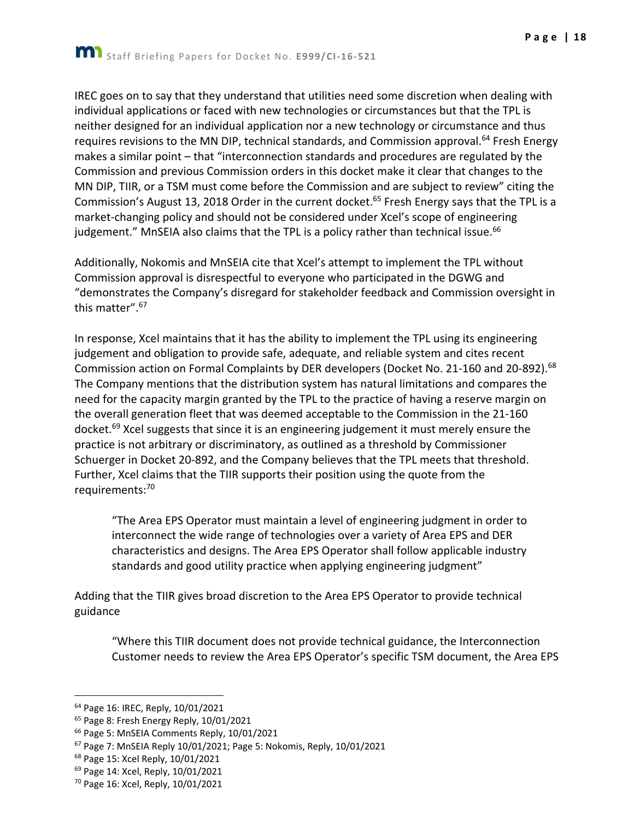IREC goes on to say that they understand that utilities need some discretion when dealing with individual applications or faced with new technologies or circumstances but that the TPL is neither designed for an individual application nor a new technology or circumstance and thus requires revisions to the MN DIP, technical standards, and Commission approval.<sup>64</sup> Fresh Energy makes a similar point – that "interconnection standards and procedures are regulated by the Commission and previous Commission orders in this docket make it clear that changes to the MN DIP, TIIR, or a TSM must come before the Commission and are subject to review" citing the Commission's August 13, 2018 Order in the current docket.<sup>65</sup> Fresh Energy says that the TPL is a market-changing policy and should not be considered under Xcel's scope of engineering judgement." MnSEIA also claims that the TPL is a policy rather than technical issue.<sup>66</sup>

Additionally, Nokomis and MnSEIA cite that Xcel's attempt to implement the TPL without Commission approval is disrespectful to everyone who participated in the DGWG and "demonstrates the Company's disregard for stakeholder feedback and Commission oversight in this matter".<sup>67</sup>

In response, Xcel maintains that it has the ability to implement the TPL using its engineering judgement and obligation to provide safe, adequate, and reliable system and cites recent Commission action on Formal Complaints by DER developers (Docket No. 21-160 and 20-892).<sup>68</sup> The Company mentions that the distribution system has natural limitations and compares the need for the capacity margin granted by the TPL to the practice of having a reserve margin on the overall generation fleet that was deemed acceptable to the Commission in the 21-160 docket.<sup>69</sup> Xcel suggests that since it is an engineering judgement it must merely ensure the practice is not arbitrary or discriminatory, as outlined as a threshold by Commissioner Schuerger in Docket 20-892, and the Company believes that the TPL meets that threshold. Further, Xcel claims that the TIIR supports their position using the quote from the requirements:<sup>70</sup>

"The Area EPS Operator must maintain a level of engineering judgment in order to interconnect the wide range of technologies over a variety of Area EPS and DER characteristics and designs. The Area EPS Operator shall follow applicable industry standards and good utility practice when applying engineering judgment"

Adding that the TIIR gives broad discretion to the Area EPS Operator to provide technical guidance

"Where this TIIR document does not provide technical guidance, the Interconnection Customer needs to review the Area EPS Operator's specific TSM document, the Area EPS

<sup>64</sup> Page 16: IREC, Reply, 10/01/2021

<sup>&</sup>lt;sup>65</sup> Page 8: Fresh Energy Reply, 10/01/2021

<sup>66</sup> Page 5: MnSEIA Comments Reply, 10/01/2021

<sup>67</sup> Page 7: MnSEIA Reply 10/01/2021; Page 5: Nokomis, Reply, 10/01/2021

<sup>68</sup> Page 15: Xcel Reply, 10/01/2021

<sup>69</sup> Page 14: Xcel, Reply, 10/01/2021

<sup>70</sup> Page 16: Xcel, Reply, 10/01/2021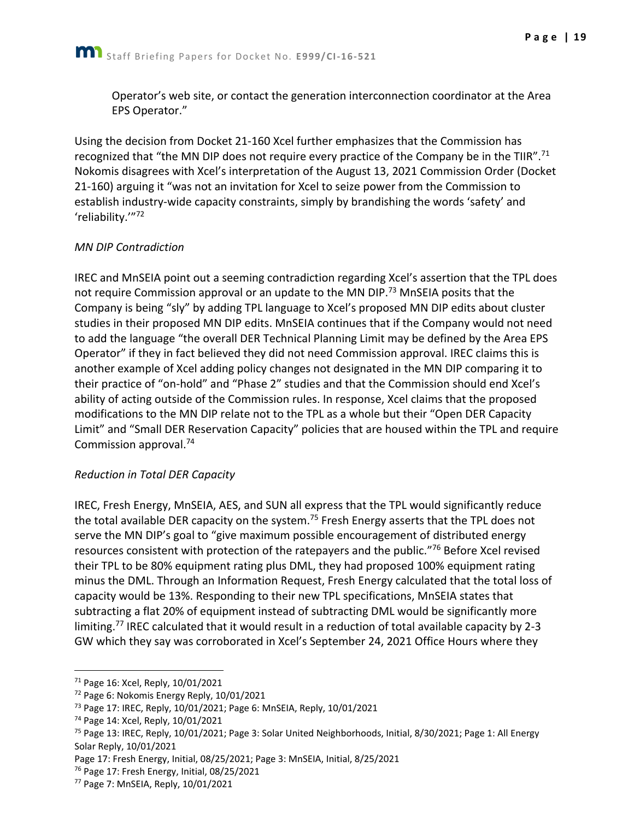Operator's web site, or contact the generation interconnection coordinator at the Area EPS Operator."

Using the decision from Docket 21-160 Xcel further emphasizes that the Commission has recognized that "the MN DIP does not require every practice of the Company be in the TIIR".<sup>71</sup> Nokomis disagrees with Xcel's interpretation of the August 13, 2021 Commission Order (Docket 21-160) arguing it "was not an invitation for Xcel to seize power from the Commission to establish industry-wide capacity constraints, simply by brandishing the words 'safety' and 'reliability.'"<sup>72</sup>

#### *MN DIP Contradiction*

IREC and MnSEIA point out a seeming contradiction regarding Xcel's assertion that the TPL does not require Commission approval or an update to the MN DIP.<sup>73</sup> MnSEIA posits that the Company is being "sly" by adding TPL language to Xcel's proposed MN DIP edits about cluster studies in their proposed MN DIP edits. MnSEIA continues that if the Company would not need to add the language "the overall DER Technical Planning Limit may be defined by the Area EPS Operator" if they in fact believed they did not need Commission approval. IREC claims this is another example of Xcel adding policy changes not designated in the MN DIP comparing it to their practice of "on-hold" and "Phase 2" studies and that the Commission should end Xcel's ability of acting outside of the Commission rules. In response, Xcel claims that the proposed modifications to the MN DIP relate not to the TPL as a whole but their "Open DER Capacity Limit" and "Small DER Reservation Capacity" policies that are housed within the TPL and require Commission approval.<sup>74</sup>

## *Reduction in Total DER Capacity*

IREC, Fresh Energy, MnSEIA, AES, and SUN all express that the TPL would significantly reduce the total available DER capacity on the system.<sup>75</sup> Fresh Energy asserts that the TPL does not serve the MN DIP's goal to "give maximum possible encouragement of distributed energy resources consistent with protection of the ratepayers and the public."<sup>76</sup> Before Xcel revised their TPL to be 80% equipment rating plus DML, they had proposed 100% equipment rating minus the DML. Through an Information Request, Fresh Energy calculated that the total loss of capacity would be 13%. Responding to their new TPL specifications, MnSEIA states that subtracting a flat 20% of equipment instead of subtracting DML would be significantly more limiting.<sup>77</sup> IREC calculated that it would result in a reduction of total available capacity by 2-3 GW which they say was corroborated in Xcel's September 24, 2021 Office Hours where they

<sup>71</sup> Page 16: Xcel, Reply, 10/01/2021

<sup>72</sup> Page 6: Nokomis Energy Reply, 10/01/2021

<sup>73</sup> Page 17: IREC, Reply, 10/01/2021; Page 6: MnSEIA, Reply, 10/01/2021

<sup>74</sup> Page 14: Xcel, Reply, 10/01/2021

<sup>&</sup>lt;sup>75</sup> Page 13: IREC, Reply, 10/01/2021; Page 3: Solar United Neighborhoods, Initial, 8/30/2021; Page 1: All Energy Solar Reply, 10/01/2021

Page 17: Fresh Energy, Initial, 08/25/2021; Page 3: MnSEIA, Initial, 8/25/2021

<sup>&</sup>lt;sup>76</sup> Page 17: Fresh Energy, Initial, 08/25/2021

<sup>77</sup> Page 7: MnSEIA, Reply, 10/01/2021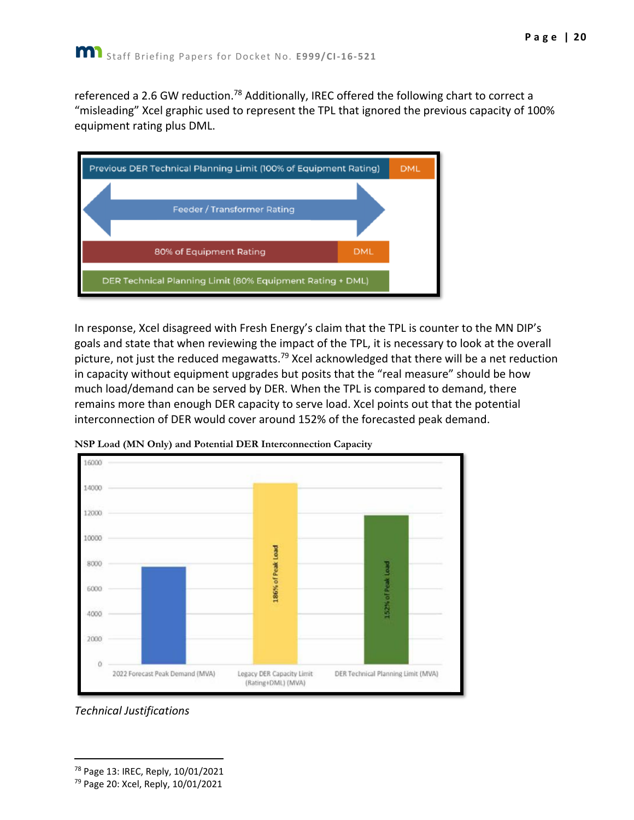referenced a 2.6 GW reduction.<sup>78</sup> Additionally, IREC offered the following chart to correct a "misleading" Xcel graphic used to represent the TPL that ignored the previous capacity of 100% equipment rating plus DML.



In response, Xcel disagreed with Fresh Energy's claim that the TPL is counter to the MN DIP's goals and state that when reviewing the impact of the TPL, it is necessary to look at the overall picture, not just the reduced megawatts.<sup>79</sup> Xcel acknowledged that there will be a net reduction in capacity without equipment upgrades but posits that the "real measure" should be how much load/demand can be served by DER. When the TPL is compared to demand, there remains more than enough DER capacity to serve load. Xcel points out that the potential interconnection of DER would cover around 152% of the forecasted peak demand.



**NSP Load (MN Only) and Potential DER Interconnection Capacity**

*Technical Justifications*

<sup>78</sup> Page 13: IREC, Reply, 10/01/2021

<sup>79</sup> Page 20: Xcel, Reply, 10/01/2021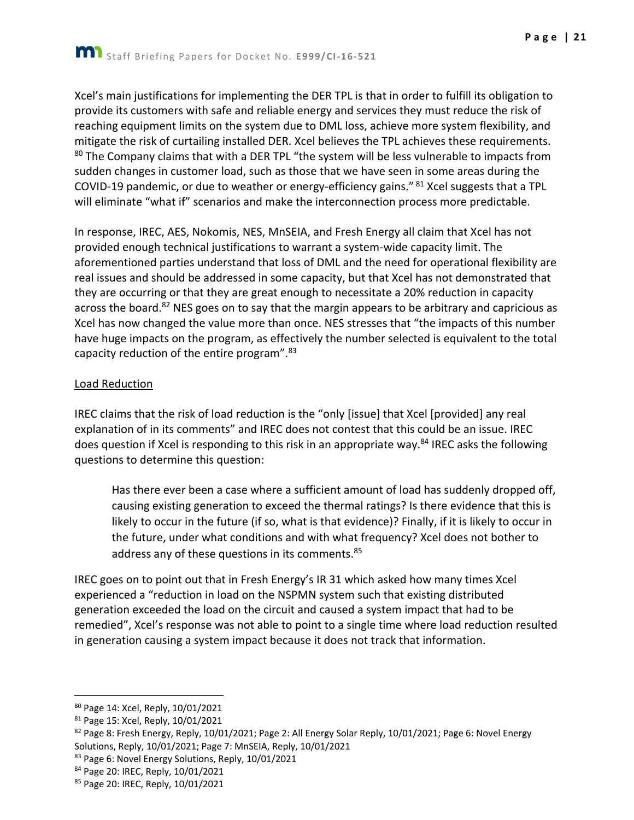Xcel's main justifications for implementing the DER TPL is that in order to fulfill its obligation to provide its customers with safe and reliable energy and services they must reduce the risk of reaching equipment limits on the system due to DML loss, achieve more system flexibility, and mitigate the risk of curtailing installed DER. Xcel believes the TPL achieves these requirements.  $80$  The Company claims that with a DER TPL "the system will be less vulnerable to impacts from sudden changes in customer load, such as those that we have seen in some areas during the COVID-19 pandemic, or due to weather or energy-efficiency gains." <sup>81</sup> Xcel suggests that a TPL will eliminate "what if" scenarios and make the interconnection process more predictable.

In response, IREC, AES, Nokomis, NES, MnSEIA, and Fresh Energy all claim that Xcel has not provided enough technical justifications to warrant a system-wide capacity limit. The aforementioned parties understand that loss of DML and the need for operational flexibility are real issues and should be addressed in some capacity, but that Xcel has not demonstrated that they are occurring or that they are great enough to necessitate a 20% reduction in capacity across the board.<sup>82</sup> NES goes on to say that the margin appears to be arbitrary and capricious as Xcel has now changed the value more than once. NES stresses that "the impacts of this number have huge impacts on the program, as effectively the number selected is equivalent to the total capacity reduction of the entire program".<sup>83</sup>

## Load Reduction

IREC claims that the risk of load reduction is the "only [issue] that Xcel [provided] any real explanation of in its comments" and IREC does not contest that this could be an issue. IREC does question if Xcel is responding to this risk in an appropriate way.<sup>84</sup> IREC asks the following questions to determine this question:

Has there ever been a case where a sufficient amount of load has suddenly dropped off, causing existing generation to exceed the thermal ratings? Is there evidence that this is likely to occur in the future (if so, what is that evidence)? Finally, if it is likely to occur in the future, under what conditions and with what frequency? Xcel does not bother to address any of these questions in its comments.<sup>85</sup>

IREC goes on to point out that in Fresh Energy's IR 31 which asked how many times Xcel experienced a "reduction in load on the NSPMN system such that existing distributed generation exceeded the load on the circuit and caused a system impact that had to be remedied", Xcel's response was not able to point to a single time where load reduction resulted in generation causing a system impact because it does not track that information.

- 82 Page 8: Fresh Energy, Reply, 10/01/2021; Page 2: All Energy Solar Reply, 10/01/2021; Page 6: Novel Energy Solutions, Reply, 10/01/2021; Page 7: MnSEIA, Reply, 10/01/2021
- 83 Page 6: Novel Energy Solutions, Reply, 10/01/2021
- 84 Page 20: IREC, Reply, 10/01/2021

<sup>80</sup> Page 14: Xcel, Reply, 10/01/2021

<sup>81</sup> Page 15: Xcel, Reply, 10/01/2021

<sup>85</sup> Page 20: IREC, Reply, 10/01/2021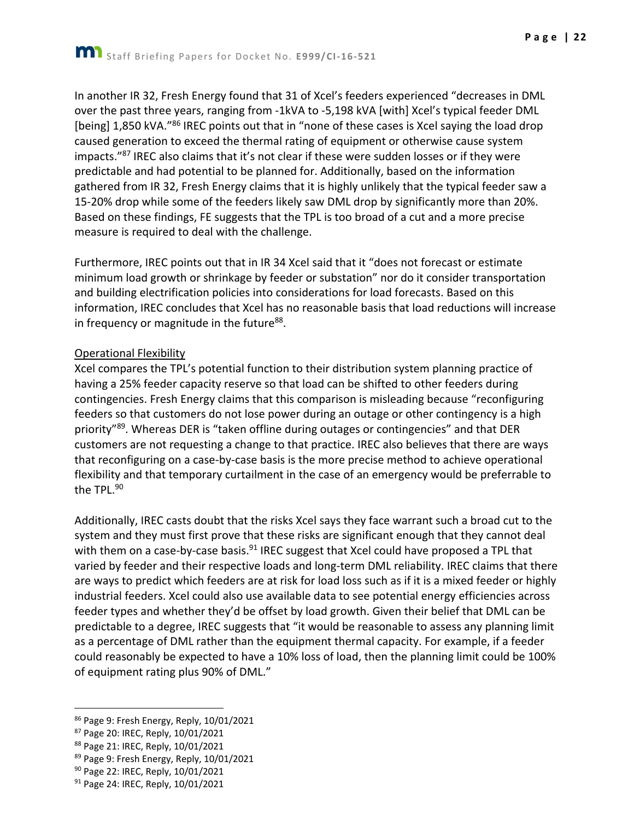**P a g e | 22**

In another IR 32, Fresh Energy found that 31 of Xcel's feeders experienced "decreases in DML over the past three years, ranging from -1kVA to -5,198 kVA [with] Xcel's typical feeder DML [being] 1,850 kVA.<sup>"86</sup> IREC points out that in "none of these cases is Xcel saying the load drop caused generation to exceed the thermal rating of equipment or otherwise cause system impacts."<sup>87</sup> IREC also claims that it's not clear if these were sudden losses or if they were predictable and had potential to be planned for. Additionally, based on the information gathered from IR 32, Fresh Energy claims that it is highly unlikely that the typical feeder saw a 15-20% drop while some of the feeders likely saw DML drop by significantly more than 20%. Based on these findings, FE suggests that the TPL is too broad of a cut and a more precise measure is required to deal with the challenge.

Furthermore, IREC points out that in IR 34 Xcel said that it "does not forecast or estimate minimum load growth or shrinkage by feeder or substation" nor do it consider transportation and building electrification policies into considerations for load forecasts. Based on this information, IREC concludes that Xcel has no reasonable basis that load reductions will increase in frequency or magnitude in the future<sup>88</sup>.

#### Operational Flexibility

Xcel compares the TPL's potential function to their distribution system planning practice of having a 25% feeder capacity reserve so that load can be shifted to other feeders during contingencies. Fresh Energy claims that this comparison is misleading because "reconfiguring feeders so that customers do not lose power during an outage or other contingency is a high priority"<sup>89</sup>. Whereas DER is "taken offline during outages or contingencies" and that DER customers are not requesting a change to that practice. IREC also believes that there are ways that reconfiguring on a case-by-case basis is the more precise method to achieve operational flexibility and that temporary curtailment in the case of an emergency would be preferrable to the TPL.<sup>90</sup>

Additionally, IREC casts doubt that the risks Xcel says they face warrant such a broad cut to the system and they must first prove that these risks are significant enough that they cannot deal with them on a case-by-case basis.<sup>91</sup> IREC suggest that Xcel could have proposed a TPL that varied by feeder and their respective loads and long-term DML reliability. IREC claims that there are ways to predict which feeders are at risk for load loss such as if it is a mixed feeder or highly industrial feeders. Xcel could also use available data to see potential energy efficiencies across feeder types and whether they'd be offset by load growth. Given their belief that DML can be predictable to a degree, IREC suggests that "it would be reasonable to assess any planning limit as a percentage of DML rather than the equipment thermal capacity. For example, if a feeder could reasonably be expected to have a 10% loss of load, then the planning limit could be 100% of equipment rating plus 90% of DML."

<sup>86</sup> Page 9: Fresh Energy, Reply, 10/01/2021

<sup>87</sup> Page 20: IREC, Reply, 10/01/2021

<sup>88</sup> Page 21: IREC, Reply, 10/01/2021

<sup>89</sup> Page 9: Fresh Energy, Reply, 10/01/2021

<sup>90</sup> Page 22: IREC, Reply, 10/01/2021

<sup>91</sup> Page 24: IREC, Reply, 10/01/2021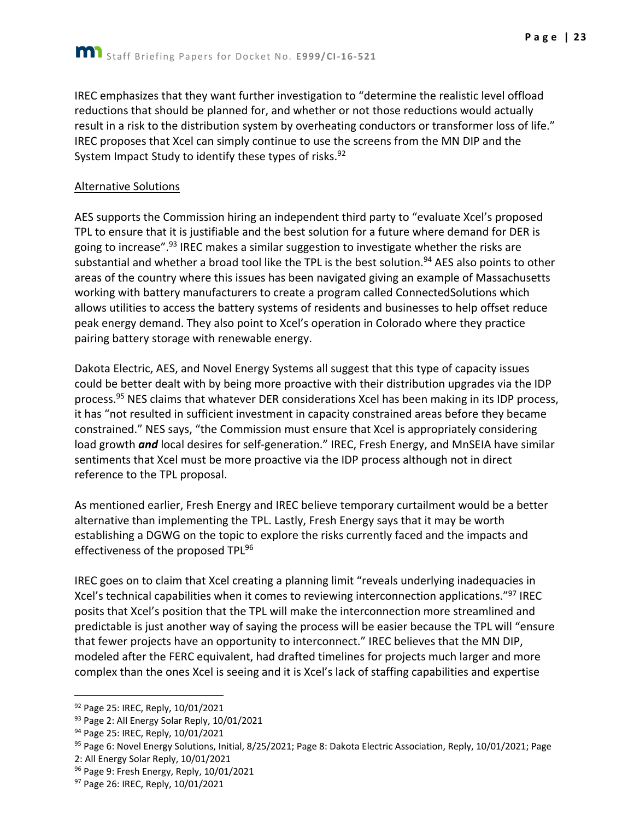IREC emphasizes that they want further investigation to "determine the realistic level offload reductions that should be planned for, and whether or not those reductions would actually result in a risk to the distribution system by overheating conductors or transformer loss of life." IREC proposes that Xcel can simply continue to use the screens from the MN DIP and the System Impact Study to identify these types of risks.<sup>92</sup>

#### Alternative Solutions

AES supports the Commission hiring an independent third party to "evaluate Xcel's proposed TPL to ensure that it is justifiable and the best solution for a future where demand for DER is going to increase".<sup>93</sup> IREC makes a similar suggestion to investigate whether the risks are substantial and whether a broad tool like the TPL is the best solution.<sup>94</sup> AES also points to other areas of the country where this issues has been navigated giving an example of Massachusetts working with battery manufacturers to create a program called ConnectedSolutions which allows utilities to access the battery systems of residents and businesses to help offset reduce peak energy demand. They also point to Xcel's operation in Colorado where they practice pairing battery storage with renewable energy.

Dakota Electric, AES, and Novel Energy Systems all suggest that this type of capacity issues could be better dealt with by being more proactive with their distribution upgrades via the IDP process.<sup>95</sup> NES claims that whatever DER considerations Xcel has been making in its IDP process, it has "not resulted in sufficient investment in capacity constrained areas before they became constrained." NES says, "the Commission must ensure that Xcel is appropriately considering load growth *and* local desires for self-generation." IREC, Fresh Energy, and MnSEIA have similar sentiments that Xcel must be more proactive via the IDP process although not in direct reference to the TPL proposal.

As mentioned earlier, Fresh Energy and IREC believe temporary curtailment would be a better alternative than implementing the TPL. Lastly, Fresh Energy says that it may be worth establishing a DGWG on the topic to explore the risks currently faced and the impacts and effectiveness of the proposed TPL<sup>96</sup>

IREC goes on to claim that Xcel creating a planning limit "reveals underlying inadequacies in Xcel's technical capabilities when it comes to reviewing interconnection applications."<sup>97</sup> IREC posits that Xcel's position that the TPL will make the interconnection more streamlined and predictable is just another way of saying the process will be easier because the TPL will "ensure that fewer projects have an opportunity to interconnect." IREC believes that the MN DIP, modeled after the FERC equivalent, had drafted timelines for projects much larger and more complex than the ones Xcel is seeing and it is Xcel's lack of staffing capabilities and expertise

<sup>92</sup> Page 25: IREC, Reply, 10/01/2021

<sup>93</sup> Page 2: All Energy Solar Reply, 10/01/2021

<sup>94</sup> Page 25: IREC, Reply, 10/01/2021

<sup>&</sup>lt;sup>95</sup> Page 6: Novel Energy Solutions, Initial, 8/25/2021; Page 8: Dakota Electric Association, Reply, 10/01/2021; Page

<sup>2:</sup> All Energy Solar Reply, 10/01/2021

<sup>96</sup> Page 9: Fresh Energy, Reply, 10/01/2021

<sup>97</sup> Page 26: IREC, Reply, 10/01/2021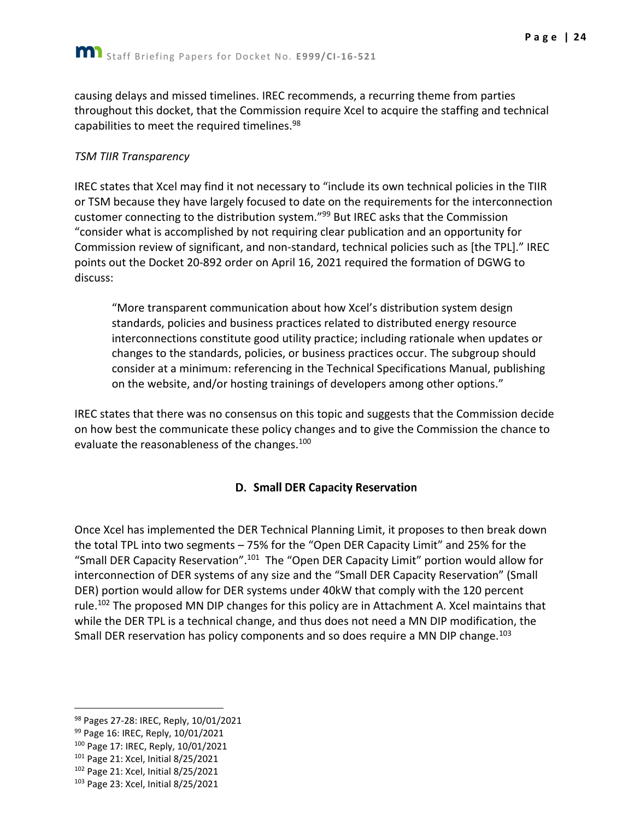causing delays and missed timelines. IREC recommends, a recurring theme from parties throughout this docket, that the Commission require Xcel to acquire the staffing and technical capabilities to meet the required timelines.<sup>98</sup>

#### *TSM TIIR Transparency*

IREC states that Xcel may find it not necessary to "include its own technical policies in the TIIR or TSM because they have largely focused to date on the requirements for the interconnection customer connecting to the distribution system."<sup>99</sup> But IREC asks that the Commission "consider what is accomplished by not requiring clear publication and an opportunity for Commission review of significant, and non-standard, technical policies such as [the TPL]." IREC points out the Docket 20-892 order on April 16, 2021 required the formation of DGWG to discuss:

"More transparent communication about how Xcel's distribution system design standards, policies and business practices related to distributed energy resource interconnections constitute good utility practice; including rationale when updates or changes to the standards, policies, or business practices occur. The subgroup should consider at a minimum: referencing in the Technical Specifications Manual, publishing on the website, and/or hosting trainings of developers among other options."

IREC states that there was no consensus on this topic and suggests that the Commission decide on how best the communicate these policy changes and to give the Commission the chance to evaluate the reasonableness of the changes.<sup>100</sup>

## **D. Small DER Capacity Reservation**

<span id="page-24-0"></span>Once Xcel has implemented the DER Technical Planning Limit, it proposes to then break down the total TPL into two segments – 75% for the "Open DER Capacity Limit" and 25% for the "Small DER Capacity Reservation".<sup>101</sup> The "Open DER Capacity Limit" portion would allow for interconnection of DER systems of any size and the "Small DER Capacity Reservation" (Small DER) portion would allow for DER systems under 40kW that comply with the 120 percent rule.<sup>102</sup> The proposed MN DIP changes for this policy are in Attachment A. Xcel maintains that while the DER TPL is a technical change, and thus does not need a MN DIP modification, the Small DER reservation has policy components and so does require a MN DIP change.<sup>103</sup>

<sup>98</sup> Pages 27-28: IREC, Reply, 10/01/2021

<sup>99</sup> Page 16: IREC, Reply, 10/01/2021

<sup>100</sup> Page 17: IREC, Reply, 10/01/2021

<sup>101</sup> Page 21: Xcel, Initial 8/25/2021

<sup>102</sup> Page 21: Xcel, Initial 8/25/2021

<sup>103</sup> Page 23: Xcel, Initial 8/25/2021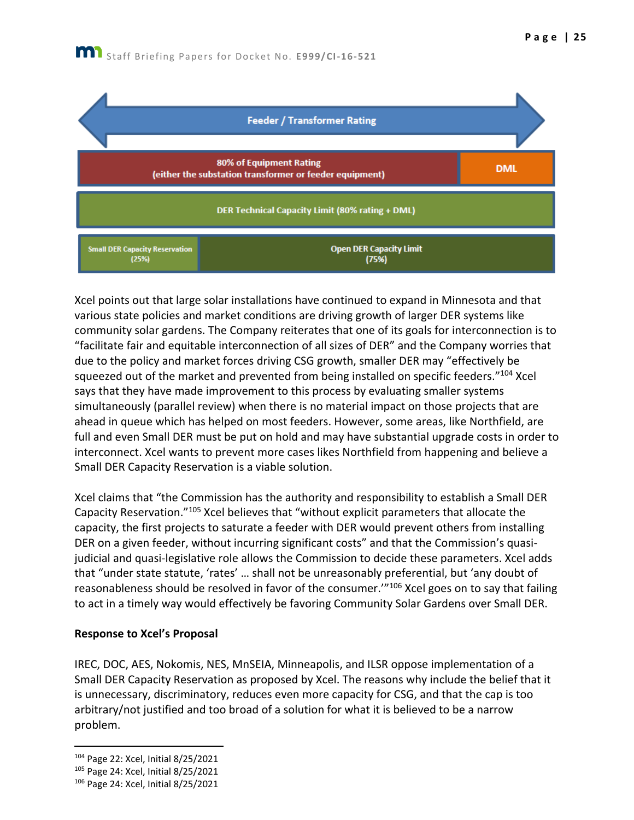

Xcel points out that large solar installations have continued to expand in Minnesota and that various state policies and market conditions are driving growth of larger DER systems like community solar gardens. The Company reiterates that one of its goals for interconnection is to "facilitate fair and equitable interconnection of all sizes of DER" and the Company worries that due to the policy and market forces driving CSG growth, smaller DER may "effectively be squeezed out of the market and prevented from being installed on specific feeders."104 Xcel says that they have made improvement to this process by evaluating smaller systems simultaneously (parallel review) when there is no material impact on those projects that are ahead in queue which has helped on most feeders. However, some areas, like Northfield, are full and even Small DER must be put on hold and may have substantial upgrade costs in order to interconnect. Xcel wants to prevent more cases likes Northfield from happening and believe a Small DER Capacity Reservation is a viable solution.

Xcel claims that "the Commission has the authority and responsibility to establish a Small DER Capacity Reservation."<sup>105</sup> Xcel believes that "without explicit parameters that allocate the capacity, the first projects to saturate a feeder with DER would prevent others from installing DER on a given feeder, without incurring significant costs" and that the Commission's quasijudicial and quasi-legislative role allows the Commission to decide these parameters. Xcel adds that "under state statute, 'rates' … shall not be unreasonably preferential, but 'any doubt of reasonableness should be resolved in favor of the consumer.'"<sup>106</sup> Xcel goes on to say that failing to act in a timely way would effectively be favoring Community Solar Gardens over Small DER.

#### **Response to Xcel's Proposal**

IREC, DOC, AES, Nokomis, NES, MnSEIA, Minneapolis, and ILSR oppose implementation of a Small DER Capacity Reservation as proposed by Xcel. The reasons why include the belief that it is unnecessary, discriminatory, reduces even more capacity for CSG, and that the cap is too arbitrary/not justified and too broad of a solution for what it is believed to be a narrow problem.

<sup>104</sup> Page 22: Xcel, Initial 8/25/2021

<sup>105</sup> Page 24: Xcel, Initial 8/25/2021

<sup>106</sup> Page 24: Xcel, Initial 8/25/2021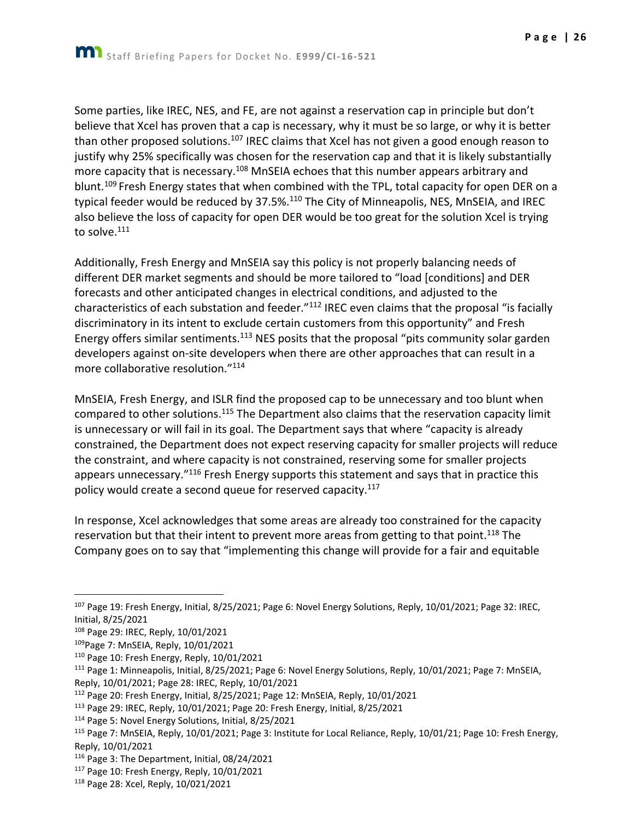Some parties, like IREC, NES, and FE, are not against a reservation cap in principle but don't believe that Xcel has proven that a cap is necessary, why it must be so large, or why it is better than other proposed solutions.<sup>107</sup> IREC claims that Xcel has not given a good enough reason to justify why 25% specifically was chosen for the reservation cap and that it is likely substantially more capacity that is necessary.<sup>108</sup> MnSEIA echoes that this number appears arbitrary and blunt.<sup>109</sup> Fresh Energy states that when combined with the TPL, total capacity for open DER on a typical feeder would be reduced by 37.5%.<sup>110</sup> The City of Minneapolis, NES, MnSEIA, and IREC also believe the loss of capacity for open DER would be too great for the solution Xcel is trying to solve.<sup>111</sup>

Additionally, Fresh Energy and MnSEIA say this policy is not properly balancing needs of different DER market segments and should be more tailored to "load [conditions] and DER forecasts and other anticipated changes in electrical conditions, and adjusted to the characteristics of each substation and feeder."<sup>112</sup> IREC even claims that the proposal "is facially discriminatory in its intent to exclude certain customers from this opportunity" and Fresh Energy offers similar sentiments.<sup>113</sup> NES posits that the proposal "pits community solar garden developers against on-site developers when there are other approaches that can result in a more collaborative resolution."<sup>114</sup>

MnSEIA, Fresh Energy, and ISLR find the proposed cap to be unnecessary and too blunt when compared to other solutions.<sup>115</sup> The Department also claims that the reservation capacity limit is unnecessary or will fail in its goal. The Department says that where "capacity is already constrained, the Department does not expect reserving capacity for smaller projects will reduce the constraint, and where capacity is not constrained, reserving some for smaller projects appears unnecessary."<sup>116</sup> Fresh Energy supports this statement and says that in practice this policy would create a second queue for reserved capacity.<sup>117</sup>

In response, Xcel acknowledges that some areas are already too constrained for the capacity reservation but that their intent to prevent more areas from getting to that point.<sup>118</sup> The Company goes on to say that "implementing this change will provide for a fair and equitable

 $107$  Page 19: Fresh Energy, Initial, 8/25/2021; Page 6: Novel Energy Solutions, Reply, 10/01/2021; Page 32: IREC, Initial, 8/25/2021

<sup>108</sup> Page 29: IREC, Reply, 10/01/2021

<sup>109</sup>Page 7: MnSEIA, Reply, 10/01/2021

<sup>110</sup> Page 10: Fresh Energy, Reply, 10/01/2021

<sup>111</sup> Page 1: Minneapolis, Initial, 8/25/2021; Page 6: Novel Energy Solutions, Reply, 10/01/2021; Page 7: MnSEIA, Reply, 10/01/2021; Page 28: IREC, Reply, 10/01/2021

<sup>112</sup> Page 20: Fresh Energy, Initial, 8/25/2021; Page 12: MnSEIA, Reply, 10/01/2021

<sup>113</sup> Page 29: IREC, Reply, 10/01/2021; Page 20: Fresh Energy, Initial, 8/25/2021

<sup>114</sup> Page 5: Novel Energy Solutions, Initial, 8/25/2021

<sup>115</sup> Page 7: MnSEIA, Reply, 10/01/2021; Page 3: Institute for Local Reliance, Reply, 10/01/21; Page 10: Fresh Energy, Reply, 10/01/2021

<sup>116</sup> Page 3: The Department, Initial, 08/24/2021

<sup>117</sup> Page 10: Fresh Energy, Reply, 10/01/2021

<sup>118</sup> Page 28: Xcel, Reply, 10/021/2021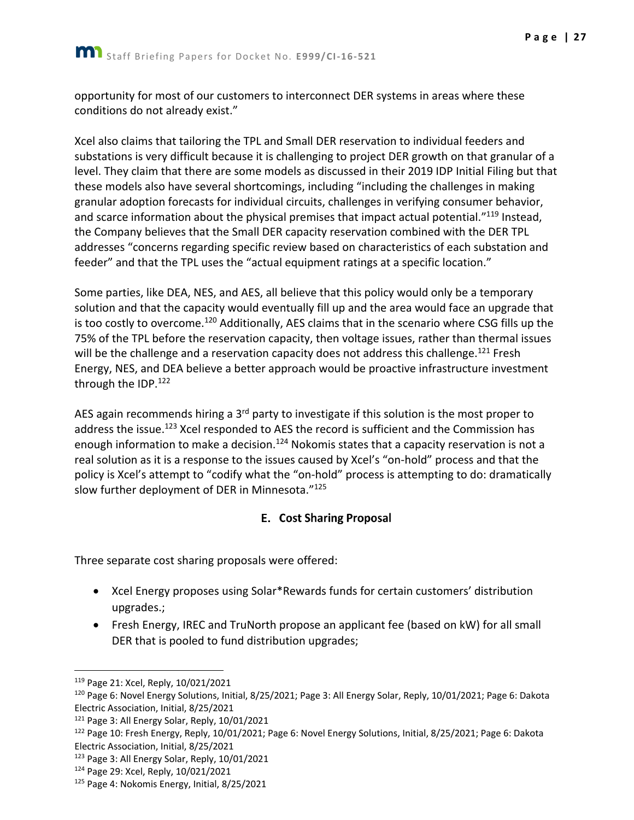opportunity for most of our customers to interconnect DER systems in areas where these conditions do not already exist."

Xcel also claims that tailoring the TPL and Small DER reservation to individual feeders and substations is very difficult because it is challenging to project DER growth on that granular of a level. They claim that there are some models as discussed in their 2019 IDP Initial Filing but that these models also have several shortcomings, including "including the challenges in making granular adoption forecasts for individual circuits, challenges in verifying consumer behavior, and scarce information about the physical premises that impact actual potential."<sup>119</sup> Instead, the Company believes that the Small DER capacity reservation combined with the DER TPL addresses "concerns regarding specific review based on characteristics of each substation and feeder" and that the TPL uses the "actual equipment ratings at a specific location."

Some parties, like DEA, NES, and AES, all believe that this policy would only be a temporary solution and that the capacity would eventually fill up and the area would face an upgrade that is too costly to overcome.<sup>120</sup> Additionally, AES claims that in the scenario where CSG fills up the 75% of the TPL before the reservation capacity, then voltage issues, rather than thermal issues will be the challenge and a reservation capacity does not address this challenge.<sup>121</sup> Fresh Energy, NES, and DEA believe a better approach would be proactive infrastructure investment through the IDP.<sup>122</sup>

AES again recommends hiring a  $3<sup>rd</sup>$  party to investigate if this solution is the most proper to address the issue.<sup>123</sup> Xcel responded to AES the record is sufficient and the Commission has enough information to make a decision.<sup>124</sup> Nokomis states that a capacity reservation is not a real solution as it is a response to the issues caused by Xcel's "on-hold" process and that the policy is Xcel's attempt to "codify what the "on-hold" process is attempting to do: dramatically slow further deployment of DER in Minnesota."<sup>125</sup>

## **E.** Cost Sharing Proposal

<span id="page-27-0"></span>Three separate cost sharing proposals were offered:

- Xcel Energy proposes using Solar\*Rewards funds for certain customers' distribution upgrades.;
- Fresh Energy, IREC and TruNorth propose an applicant fee (based on kW) for all small DER that is pooled to fund distribution upgrades;

<sup>119</sup> Page 21: Xcel, Reply, 10/021/2021

<sup>120</sup> Page 6: Novel Energy Solutions, Initial, 8/25/2021; Page 3: All Energy Solar, Reply, 10/01/2021; Page 6: Dakota Electric Association, Initial, 8/25/2021

<sup>&</sup>lt;sup>121</sup> Page 3: All Energy Solar, Reply, 10/01/2021

<sup>122</sup> Page 10: Fresh Energy, Reply, 10/01/2021; Page 6: Novel Energy Solutions, Initial, 8/25/2021; Page 6: Dakota Electric Association, Initial, 8/25/2021

<sup>123</sup> Page 3: All Energy Solar, Reply, 10/01/2021

<sup>124</sup> Page 29: Xcel, Reply, 10/021/2021

<sup>125</sup> Page 4: Nokomis Energy, Initial, 8/25/2021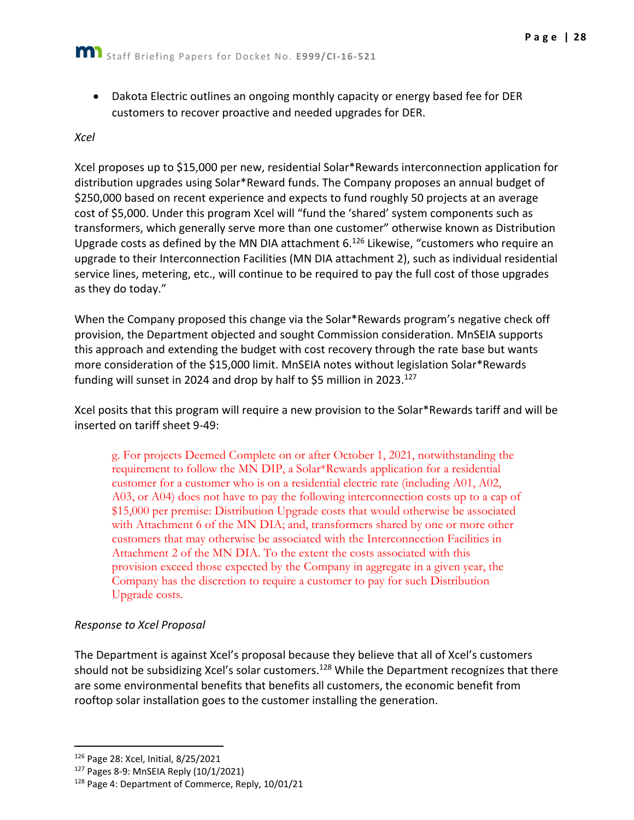• Dakota Electric outlines an ongoing monthly capacity or energy based fee for DER customers to recover proactive and needed upgrades for DER.

#### *Xcel*

Xcel proposes up to \$15,000 per new, residential Solar\*Rewards interconnection application for distribution upgrades using Solar\*Reward funds. The Company proposes an annual budget of \$250,000 based on recent experience and expects to fund roughly 50 projects at an average cost of \$5,000. Under this program Xcel will "fund the 'shared' system components such as transformers, which generally serve more than one customer" otherwise known as Distribution Upgrade costs as defined by the MN DIA attachment 6.<sup>126</sup> Likewise, "customers who require an upgrade to their Interconnection Facilities (MN DIA attachment 2), such as individual residential service lines, metering, etc., will continue to be required to pay the full cost of those upgrades as they do today."

When the Company proposed this change via the Solar\*Rewards program's negative check off provision, the Department objected and sought Commission consideration. MnSEIA supports this approach and extending the budget with cost recovery through the rate base but wants more consideration of the \$15,000 limit. MnSEIA notes without legislation Solar\*Rewards funding will sunset in 2024 and drop by half to \$5 million in 2023.<sup>127</sup>

Xcel posits that this program will require a new provision to the Solar\*Rewards tariff and will be inserted on tariff sheet 9-49:

g. For projects Deemed Complete on or after October 1, 2021, notwithstanding the requirement to follow the MN DIP, a Solar\*Rewards application for a residential customer for a customer who is on a residential electric rate (including A01, A02, A03, or A04) does not have to pay the following interconnection costs up to a cap of \$15,000 per premise: Distribution Upgrade costs that would otherwise be associated with Attachment 6 of the MN DIA; and, transformers shared by one or more other customers that may otherwise be associated with the Interconnection Facilities in Attachment 2 of the MN DIA. To the extent the costs associated with this provision exceed those expected by the Company in aggregate in a given year, the Company has the discretion to require a customer to pay for such Distribution Upgrade costs.

#### *Response to Xcel Proposal*

The Department is against Xcel's proposal because they believe that all of Xcel's customers should not be subsidizing Xcel's solar customers.<sup>128</sup> While the Department recognizes that there are some environmental benefits that benefits all customers, the economic benefit from rooftop solar installation goes to the customer installing the generation.

<sup>126</sup> Page 28: Xcel, Initial, 8/25/2021

<sup>127</sup> Pages 8-9: MnSEIA Reply (10/1/2021)

<sup>128</sup> Page 4: Department of Commerce, Reply, 10/01/21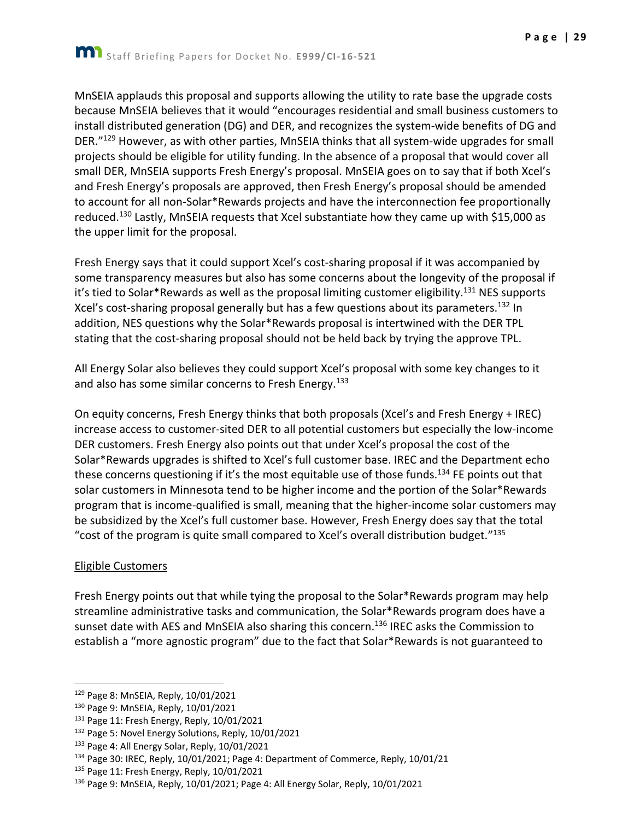MnSEIA applauds this proposal and supports allowing the utility to rate base the upgrade costs because MnSEIA believes that it would "encourages residential and small business customers to install distributed generation (DG) and DER, and recognizes the system-wide benefits of DG and DER."<sup>129</sup> However, as with other parties, MnSEIA thinks that all system-wide upgrades for small projects should be eligible for utility funding. In the absence of a proposal that would cover all small DER, MnSEIA supports Fresh Energy's proposal. MnSEIA goes on to say that if both Xcel's and Fresh Energy's proposals are approved, then Fresh Energy's proposal should be amended to account for all non-Solar\*Rewards projects and have the interconnection fee proportionally reduced.<sup>130</sup> Lastly, MnSEIA requests that Xcel substantiate how they came up with \$15,000 as the upper limit for the proposal.

Fresh Energy says that it could support Xcel's cost-sharing proposal if it was accompanied by some transparency measures but also has some concerns about the longevity of the proposal if it's tied to Solar\*Rewards as well as the proposal limiting customer eligibility.<sup>131</sup> NES supports Xcel's cost-sharing proposal generally but has a few questions about its parameters.<sup>132</sup> In addition, NES questions why the Solar\*Rewards proposal is intertwined with the DER TPL stating that the cost-sharing proposal should not be held back by trying the approve TPL.

All Energy Solar also believes they could support Xcel's proposal with some key changes to it and also has some similar concerns to Fresh Energy.<sup>133</sup>

On equity concerns, Fresh Energy thinks that both proposals (Xcel's and Fresh Energy + IREC) increase access to customer-sited DER to all potential customers but especially the low-income DER customers. Fresh Energy also points out that under Xcel's proposal the cost of the Solar\*Rewards upgrades is shifted to Xcel's full customer base. IREC and the Department echo these concerns questioning if it's the most equitable use of those funds.<sup>134</sup> FE points out that solar customers in Minnesota tend to be higher income and the portion of the Solar\*Rewards program that is income-qualified is small, meaning that the higher-income solar customers may be subsidized by the Xcel's full customer base. However, Fresh Energy does say that the total "cost of the program is quite small compared to Xcel's overall distribution budget." 135

#### Eligible Customers

Fresh Energy points out that while tying the proposal to the Solar\*Rewards program may help streamline administrative tasks and communication, the Solar\*Rewards program does have a sunset date with AES and MnSEIA also sharing this concern.<sup>136</sup> IREC asks the Commission to establish a "more agnostic program" due to the fact that Solar\*Rewards is not guaranteed to

<sup>129</sup> Page 8: MnSEIA, Reply, 10/01/2021

<sup>130</sup> Page 9: MnSEIA, Reply, 10/01/2021

<sup>&</sup>lt;sup>131</sup> Page 11: Fresh Energy, Reply, 10/01/2021

<sup>132</sup> Page 5: Novel Energy Solutions, Reply, 10/01/2021

<sup>133</sup> Page 4: All Energy Solar, Reply, 10/01/2021

<sup>134</sup> Page 30: IREC, Reply, 10/01/2021; Page 4: Department of Commerce, Reply, 10/01/21

<sup>&</sup>lt;sup>135</sup> Page 11: Fresh Energy, Reply, 10/01/2021

<sup>136</sup> Page 9: MnSEIA, Reply, 10/01/2021; Page 4: All Energy Solar, Reply, 10/01/2021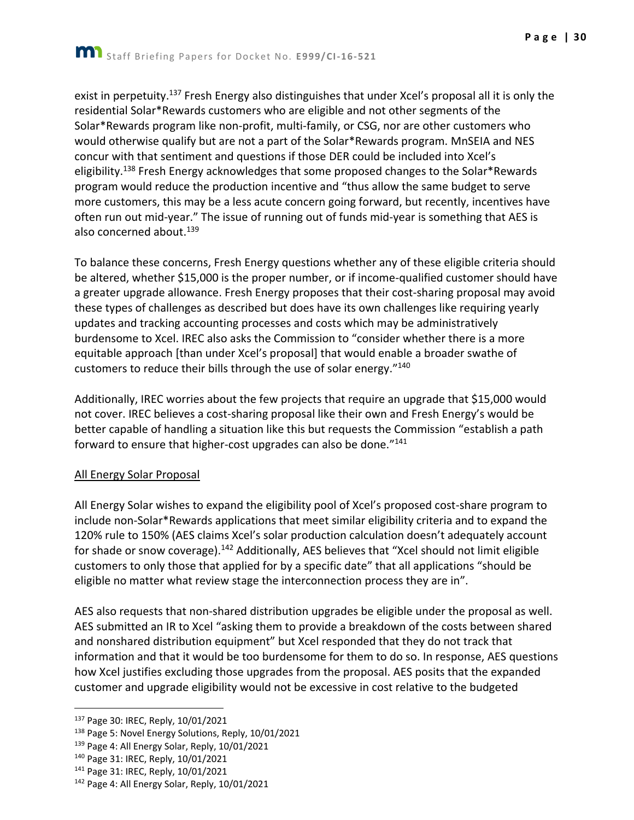exist in perpetuity.<sup>137</sup> Fresh Energy also distinguishes that under Xcel's proposal all it is only the residential Solar\*Rewards customers who are eligible and not other segments of the Solar\*Rewards program like non-profit, multi-family, or CSG, nor are other customers who would otherwise qualify but are not a part of the Solar\*Rewards program. MnSEIA and NES concur with that sentiment and questions if those DER could be included into Xcel's eligibility.<sup>138</sup> Fresh Energy acknowledges that some proposed changes to the Solar\*Rewards program would reduce the production incentive and "thus allow the same budget to serve more customers, this may be a less acute concern going forward, but recently, incentives have often run out mid-year." The issue of running out of funds mid-year is something that AES is also concerned about.<sup>139</sup>

To balance these concerns, Fresh Energy questions whether any of these eligible criteria should be altered, whether \$15,000 is the proper number, or if income-qualified customer should have a greater upgrade allowance. Fresh Energy proposes that their cost-sharing proposal may avoid these types of challenges as described but does have its own challenges like requiring yearly updates and tracking accounting processes and costs which may be administratively burdensome to Xcel. IREC also asks the Commission to "consider whether there is a more equitable approach [than under Xcel's proposal] that would enable a broader swathe of customers to reduce their bills through the use of solar energy."<sup>140</sup>

Additionally, IREC worries about the few projects that require an upgrade that \$15,000 would not cover. IREC believes a cost-sharing proposal like their own and Fresh Energy's would be better capable of handling a situation like this but requests the Commission "establish a path forward to ensure that higher-cost upgrades can also be done."<sup>141</sup>

#### All Energy Solar Proposal

All Energy Solar wishes to expand the eligibility pool of Xcel's proposed cost-share program to include non-Solar\*Rewards applications that meet similar eligibility criteria and to expand the 120% rule to 150% (AES claims Xcel's solar production calculation doesn't adequately account for shade or snow coverage).<sup>142</sup> Additionally, AES believes that "Xcel should not limit eligible customers to only those that applied for by a specific date" that all applications "should be eligible no matter what review stage the interconnection process they are in".

AES also requests that non-shared distribution upgrades be eligible under the proposal as well. AES submitted an IR to Xcel "asking them to provide a breakdown of the costs between shared and nonshared distribution equipment" but Xcel responded that they do not track that information and that it would be too burdensome for them to do so. In response, AES questions how Xcel justifies excluding those upgrades from the proposal. AES posits that the expanded customer and upgrade eligibility would not be excessive in cost relative to the budgeted

<sup>137</sup> Page 30: IREC, Reply, 10/01/2021

<sup>138</sup> Page 5: Novel Energy Solutions, Reply, 10/01/2021

<sup>139</sup> Page 4: All Energy Solar, Reply, 10/01/2021

<sup>140</sup> Page 31: IREC, Reply, 10/01/2021

<sup>141</sup> Page 31: IREC, Reply, 10/01/2021

<sup>142</sup> Page 4: All Energy Solar, Reply, 10/01/2021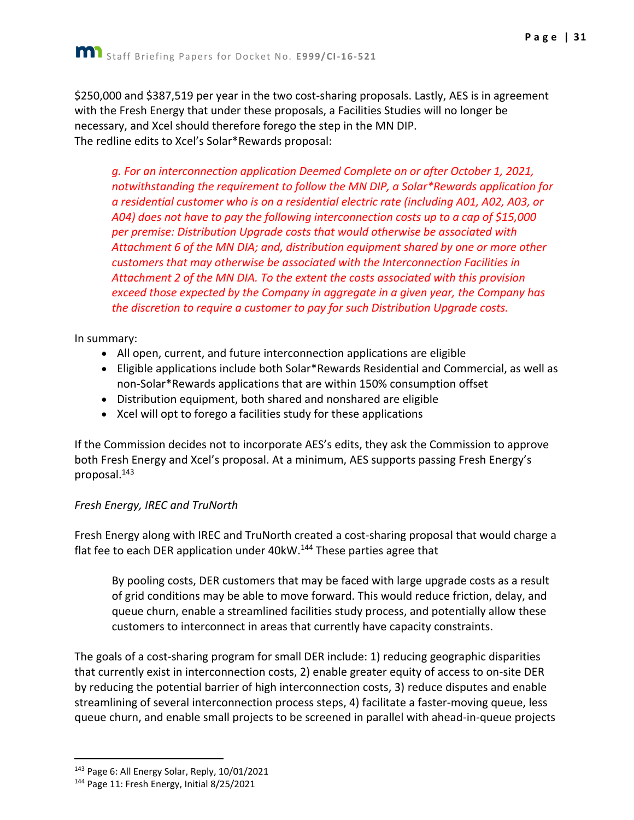\$250,000 and \$387,519 per year in the two cost-sharing proposals. Lastly, AES is in agreement with the Fresh Energy that under these proposals, a Facilities Studies will no longer be necessary, and Xcel should therefore forego the step in the MN DIP. The redline edits to Xcel's Solar\*Rewards proposal:

*g. For an interconnection application Deemed Complete on or after October 1, 2021, notwithstanding the requirement to follow the MN DIP, a Solar\*Rewards application for a residential customer who is on a residential electric rate (including A01, A02, A03, or A04) does not have to pay the following interconnection costs up to a cap of \$15,000 per premise: Distribution Upgrade costs that would otherwise be associated with Attachment 6 of the MN DIA; and, distribution equipment shared by one or more other customers that may otherwise be associated with the Interconnection Facilities in Attachment 2 of the MN DIA. To the extent the costs associated with this provision exceed those expected by the Company in aggregate in a given year, the Company has the discretion to require a customer to pay for such Distribution Upgrade costs.*

In summary:

- All open, current, and future interconnection applications are eligible
- Eligible applications include both Solar\*Rewards Residential and Commercial, as well as non-Solar\*Rewards applications that are within 150% consumption offset
- Distribution equipment, both shared and nonshared are eligible
- Xcel will opt to forego a facilities study for these applications

If the Commission decides not to incorporate AES's edits, they ask the Commission to approve both Fresh Energy and Xcel's proposal. At a minimum, AES supports passing Fresh Energy's proposal.<sup>143</sup>

#### *Fresh Energy, IREC and TruNorth*

Fresh Energy along with IREC and TruNorth created a cost-sharing proposal that would charge a flat fee to each DER application under 40kW.<sup>144</sup> These parties agree that

By pooling costs, DER customers that may be faced with large upgrade costs as a result of grid conditions may be able to move forward. This would reduce friction, delay, and queue churn, enable a streamlined facilities study process, and potentially allow these customers to interconnect in areas that currently have capacity constraints.

The goals of a cost-sharing program for small DER include: 1) reducing geographic disparities that currently exist in interconnection costs, 2) enable greater equity of access to on-site DER by reducing the potential barrier of high interconnection costs, 3) reduce disputes and enable streamlining of several interconnection process steps, 4) facilitate a faster-moving queue, less queue churn, and enable small projects to be screened in parallel with ahead-in-queue projects

<sup>143</sup> Page 6: All Energy Solar, Reply, 10/01/2021

<sup>144</sup> Page 11: Fresh Energy, Initial 8/25/2021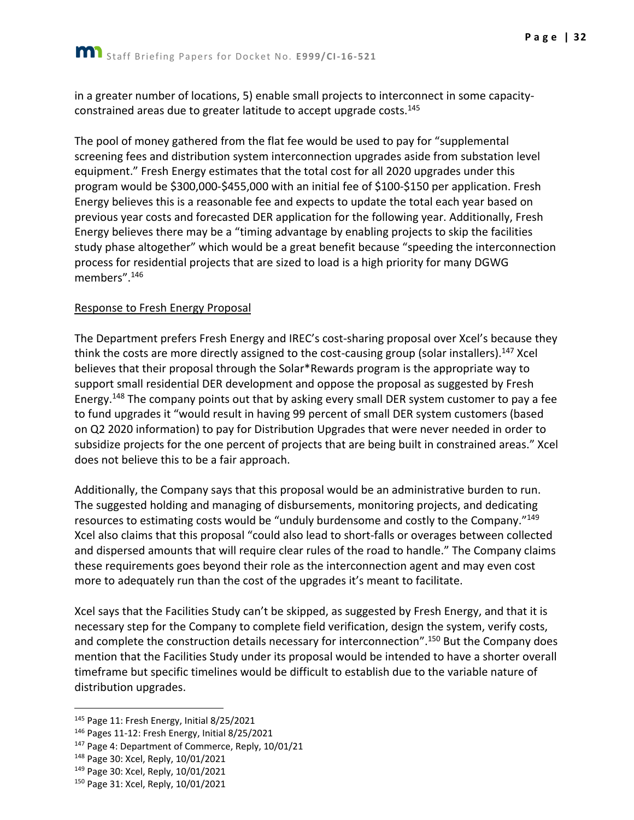in a greater number of locations, 5) enable small projects to interconnect in some capacityconstrained areas due to greater latitude to accept upgrade costs.<sup>145</sup>

The pool of money gathered from the flat fee would be used to pay for "supplemental screening fees and distribution system interconnection upgrades aside from substation level equipment." Fresh Energy estimates that the total cost for all 2020 upgrades under this program would be \$300,000-\$455,000 with an initial fee of \$100-\$150 per application. Fresh Energy believes this is a reasonable fee and expects to update the total each year based on previous year costs and forecasted DER application for the following year. Additionally, Fresh Energy believes there may be a "timing advantage by enabling projects to skip the facilities study phase altogether" which would be a great benefit because "speeding the interconnection process for residential projects that are sized to load is a high priority for many DGWG members".<sup>146</sup>

#### Response to Fresh Energy Proposal

The Department prefers Fresh Energy and IREC's cost-sharing proposal over Xcel's because they think the costs are more directly assigned to the cost-causing group (solar installers).<sup>147</sup> Xcel believes that their proposal through the Solar\*Rewards program is the appropriate way to support small residential DER development and oppose the proposal as suggested by Fresh Energy.<sup>148</sup> The company points out that by asking every small DER system customer to pay a fee to fund upgrades it "would result in having 99 percent of small DER system customers (based on Q2 2020 information) to pay for Distribution Upgrades that were never needed in order to subsidize projects for the one percent of projects that are being built in constrained areas." Xcel does not believe this to be a fair approach.

Additionally, the Company says that this proposal would be an administrative burden to run. The suggested holding and managing of disbursements, monitoring projects, and dedicating resources to estimating costs would be "unduly burdensome and costly to the Company."<sup>149</sup> Xcel also claims that this proposal "could also lead to short-falls or overages between collected and dispersed amounts that will require clear rules of the road to handle." The Company claims these requirements goes beyond their role as the interconnection agent and may even cost more to adequately run than the cost of the upgrades it's meant to facilitate.

Xcel says that the Facilities Study can't be skipped, as suggested by Fresh Energy, and that it is necessary step for the Company to complete field verification, design the system, verify costs, and complete the construction details necessary for interconnection".<sup>150</sup> But the Company does mention that the Facilities Study under its proposal would be intended to have a shorter overall timeframe but specific timelines would be difficult to establish due to the variable nature of distribution upgrades.

<sup>&</sup>lt;sup>145</sup> Page 11: Fresh Energy, Initial 8/25/2021

<sup>146</sup> Pages 11-12: Fresh Energy, Initial 8/25/2021

<sup>147</sup> Page 4: Department of Commerce, Reply, 10/01/21

<sup>148</sup> Page 30: Xcel, Reply, 10/01/2021

<sup>&</sup>lt;sup>149</sup> Page 30: Xcel, Reply, 10/01/2021

<sup>150</sup> Page 31: Xcel, Reply, 10/01/2021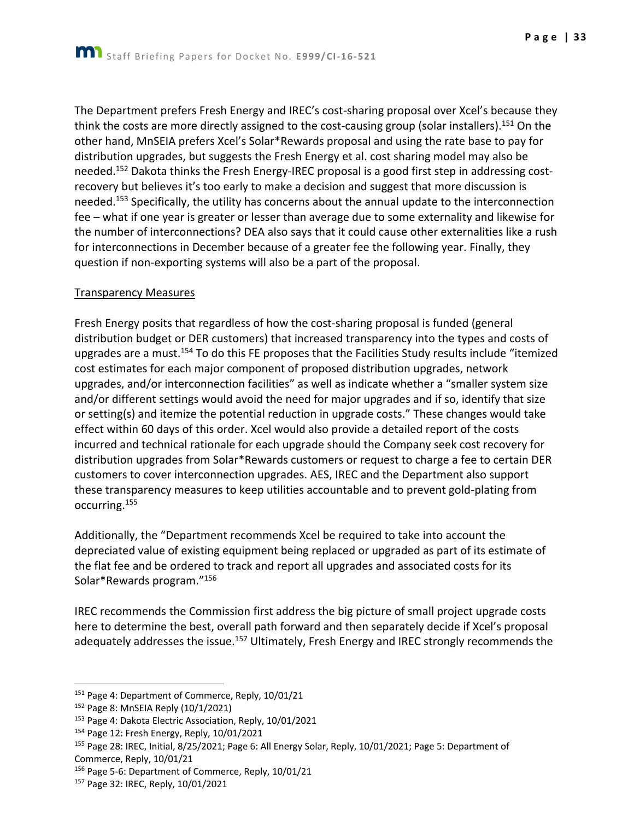**P a g e | 33**

think the costs are more directly assigned to the cost-causing group (solar installers).<sup>151</sup> On the other hand, MnSEIA prefers Xcel's Solar\*Rewards proposal and using the rate base to pay for distribution upgrades, but suggests the Fresh Energy et al. cost sharing model may also be needed.<sup>152</sup> Dakota thinks the Fresh Energy-IREC proposal is a good first step in addressing costrecovery but believes it's too early to make a decision and suggest that more discussion is needed.<sup>153</sup> Specifically, the utility has concerns about the annual update to the interconnection fee – what if one year is greater or lesser than average due to some externality and likewise for the number of interconnections? DEA also says that it could cause other externalities like a rush for interconnections in December because of a greater fee the following year. Finally, they question if non-exporting systems will also be a part of the proposal.

#### Transparency Measures

Fresh Energy posits that regardless of how the cost-sharing proposal is funded (general distribution budget or DER customers) that increased transparency into the types and costs of upgrades are a must.<sup>154</sup> To do this FE proposes that the Facilities Study results include "itemized cost estimates for each major component of proposed distribution upgrades, network upgrades, and/or interconnection facilities" as well as indicate whether a "smaller system size and/or different settings would avoid the need for major upgrades and if so, identify that size or setting(s) and itemize the potential reduction in upgrade costs." These changes would take effect within 60 days of this order. Xcel would also provide a detailed report of the costs incurred and technical rationale for each upgrade should the Company seek cost recovery for distribution upgrades from Solar\*Rewards customers or request to charge a fee to certain DER customers to cover interconnection upgrades. AES, IREC and the Department also support these transparency measures to keep utilities accountable and to prevent gold-plating from occurring.<sup>155</sup>

Additionally, the "Department recommends Xcel be required to take into account the depreciated value of existing equipment being replaced or upgraded as part of its estimate of the flat fee and be ordered to track and report all upgrades and associated costs for its Solar\*Rewards program."<sup>156</sup>

IREC recommends the Commission first address the big picture of small project upgrade costs here to determine the best, overall path forward and then separately decide if Xcel's proposal adequately addresses the issue.<sup>157</sup> Ultimately, Fresh Energy and IREC strongly recommends the

<sup>&</sup>lt;sup>151</sup> Page 4: Department of Commerce, Reply, 10/01/21

<sup>152</sup> Page 8: MnSEIA Reply (10/1/2021)

<sup>153</sup> Page 4: Dakota Electric Association, Reply, 10/01/2021

<sup>154</sup> Page 12: Fresh Energy, Reply, 10/01/2021

<sup>155</sup> Page 28: IREC, Initial, 8/25/2021; Page 6: All Energy Solar, Reply, 10/01/2021; Page 5: Department of Commerce, Reply, 10/01/21

<sup>156</sup> Page 5-6: Department of Commerce, Reply, 10/01/21

<sup>157</sup> Page 32: IREC, Reply, 10/01/2021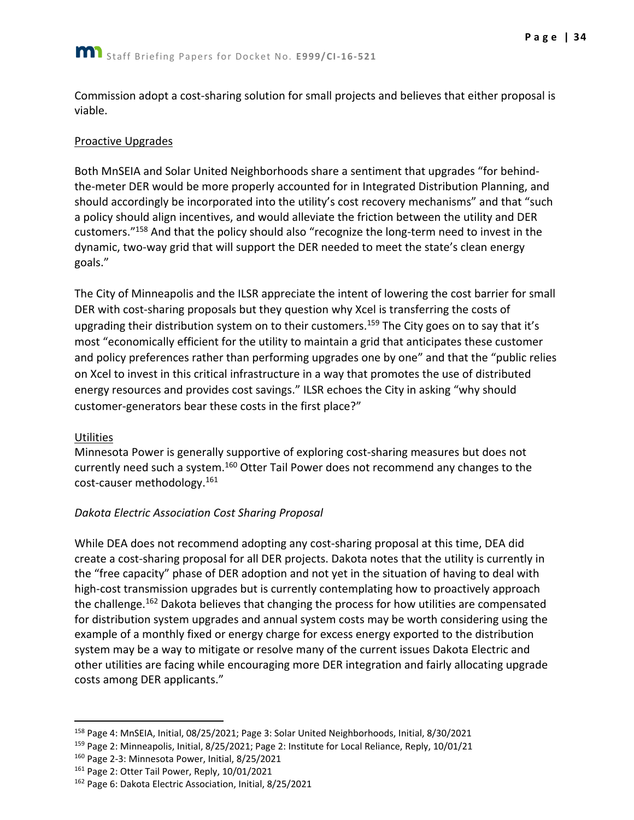Commission adopt a cost-sharing solution for small projects and believes that either proposal is viable.

#### Proactive Upgrades

Both MnSEIA and Solar United Neighborhoods share a sentiment that upgrades "for behindthe-meter DER would be more properly accounted for in Integrated Distribution Planning, and should accordingly be incorporated into the utility's cost recovery mechanisms" and that "such a policy should align incentives, and would alleviate the friction between the utility and DER customers."<sup>158</sup> And that the policy should also "recognize the long-term need to invest in the dynamic, two-way grid that will support the DER needed to meet the state's clean energy goals."

The City of Minneapolis and the ILSR appreciate the intent of lowering the cost barrier for small DER with cost-sharing proposals but they question why Xcel is transferring the costs of upgrading their distribution system on to their customers.<sup>159</sup> The City goes on to say that it's most "economically efficient for the utility to maintain a grid that anticipates these customer and policy preferences rather than performing upgrades one by one" and that the "public relies on Xcel to invest in this critical infrastructure in a way that promotes the use of distributed energy resources and provides cost savings." ILSR echoes the City in asking "why should customer-generators bear these costs in the first place?"

#### **Utilities**

Minnesota Power is generally supportive of exploring cost-sharing measures but does not currently need such a system.<sup>160</sup> Otter Tail Power does not recommend any changes to the cost-causer methodology.<sup>161</sup>

## *Dakota Electric Association Cost Sharing Proposal*

While DEA does not recommend adopting any cost-sharing proposal at this time, DEA did create a cost-sharing proposal for all DER projects. Dakota notes that the utility is currently in the "free capacity" phase of DER adoption and not yet in the situation of having to deal with high-cost transmission upgrades but is currently contemplating how to proactively approach the challenge.<sup>162</sup> Dakota believes that changing the process for how utilities are compensated for distribution system upgrades and annual system costs may be worth considering using the example of a monthly fixed or energy charge for excess energy exported to the distribution system may be a way to mitigate or resolve many of the current issues Dakota Electric and other utilities are facing while encouraging more DER integration and fairly allocating upgrade costs among DER applicants."

<sup>158</sup> Page 4: MnSEIA, Initial, 08/25/2021; Page 3: Solar United Neighborhoods, Initial, 8/30/2021

<sup>159</sup> Page 2: Minneapolis, Initial, 8/25/2021; Page 2: Institute for Local Reliance, Reply, 10/01/21

<sup>160</sup> Page 2-3: Minnesota Power, Initial, 8/25/2021

<sup>&</sup>lt;sup>161</sup> Page 2: Otter Tail Power, Reply, 10/01/2021

<sup>162</sup> Page 6: Dakota Electric Association, Initial, 8/25/2021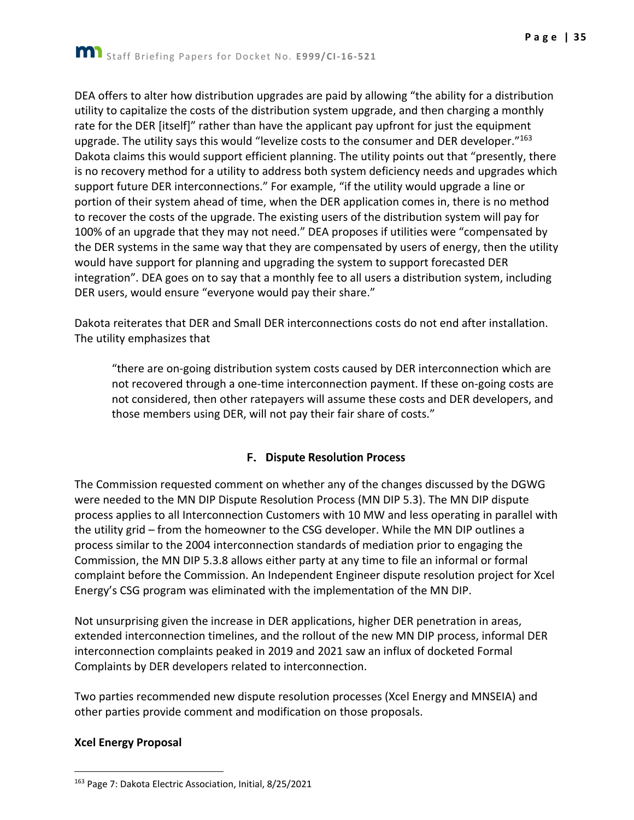DEA offers to alter how distribution upgrades are paid by allowing "the ability for a distribution utility to capitalize the costs of the distribution system upgrade, and then charging a monthly rate for the DER [itself]" rather than have the applicant pay upfront for just the equipment upgrade. The utility says this would "levelize costs to the consumer and DER developer."<sup>163</sup> Dakota claims this would support efficient planning. The utility points out that "presently, there is no recovery method for a utility to address both system deficiency needs and upgrades which support future DER interconnections." For example, "if the utility would upgrade a line or portion of their system ahead of time, when the DER application comes in, there is no method to recover the costs of the upgrade. The existing users of the distribution system will pay for 100% of an upgrade that they may not need." DEA proposes if utilities were "compensated by the DER systems in the same way that they are compensated by users of energy, then the utility

would have support for planning and upgrading the system to support forecasted DER integration". DEA goes on to say that a monthly fee to all users a distribution system, including DER users, would ensure "everyone would pay their share."

Dakota reiterates that DER and Small DER interconnections costs do not end after installation. The utility emphasizes that

"there are on-going distribution system costs caused by DER interconnection which are not recovered through a one-time interconnection payment. If these on-going costs are not considered, then other ratepayers will assume these costs and DER developers, and those members using DER, will not pay their fair share of costs."

## **F. Dispute Resolution Process**

<span id="page-35-0"></span>The Commission requested comment on whether any of the changes discussed by the DGWG were needed to the MN DIP Dispute Resolution Process (MN DIP 5.3). The MN DIP dispute process applies to all Interconnection Customers with 10 MW and less operating in parallel with the utility grid – from the homeowner to the CSG developer. While the MN DIP outlines a process similar to the 2004 interconnection standards of mediation prior to engaging the Commission, the MN DIP 5.3.8 allows either party at any time to file an informal or formal complaint before the Commission. An Independent Engineer dispute resolution project for Xcel Energy's CSG program was eliminated with the implementation of the MN DIP.

Not unsurprising given the increase in DER applications, higher DER penetration in areas, extended interconnection timelines, and the rollout of the new MN DIP process, informal DER interconnection complaints peaked in 2019 and 2021 saw an influx of docketed Formal Complaints by DER developers related to interconnection.

Two parties recommended new dispute resolution processes (Xcel Energy and MNSEIA) and other parties provide comment and modification on those proposals.

#### **Xcel Energy Proposal**

<sup>163</sup> Page 7: Dakota Electric Association, Initial, 8/25/2021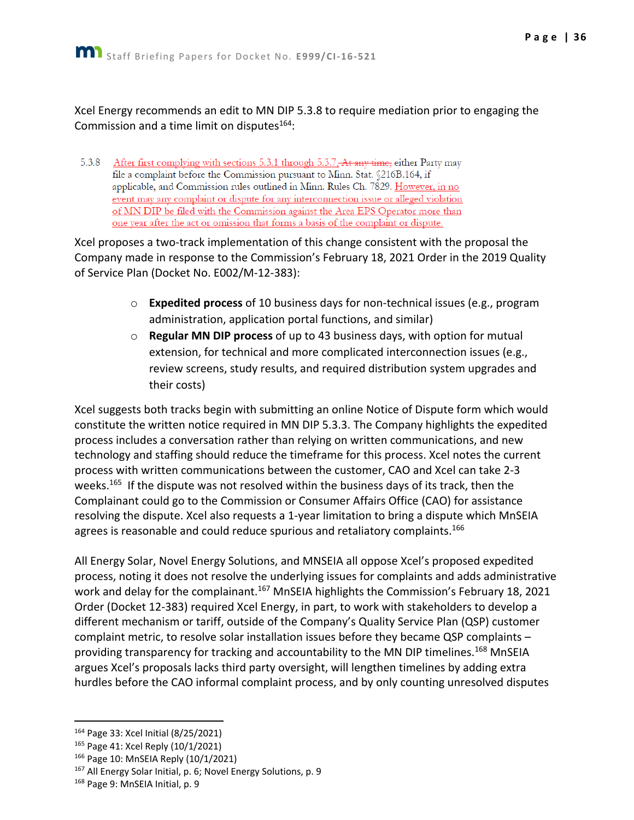Xcel Energy recommends an edit to MN DIP 5.3.8 to require mediation prior to engaging the Commission and a time limit on disputes $164$ :

5.3.8 After first complying with sections 5.3.1 through 5.3.7. At any time, either Party may file a complaint before the Commission pursuant to Minn. Stat. §216B.164, if applicable, and Commission rules outlined in Minn. Rules Ch. 7829. However, in no event may any complaint or dispute for any interconnection issue or alleged violation of MN DIP be filed with the Commission against the Area EPS Operator more than one year after the act or omission that forms a basis of the complaint or dispute.

Xcel proposes a two-track implementation of this change consistent with the proposal the Company made in response to the Commission's February 18, 2021 Order in the 2019 Quality of Service Plan (Docket No. E002/M-12-383):

- o **Expedited process** of 10 business days for non-technical issues (e.g., program administration, application portal functions, and similar)
- o **Regular MN DIP process** of up to 43 business days, with option for mutual extension, for technical and more complicated interconnection issues (e.g., review screens, study results, and required distribution system upgrades and their costs)

Xcel suggests both tracks begin with submitting an online Notice of Dispute form which would constitute the written notice required in MN DIP 5.3.3. The Company highlights the expedited process includes a conversation rather than relying on written communications, and new technology and staffing should reduce the timeframe for this process. Xcel notes the current process with written communications between the customer, CAO and Xcel can take 2-3 weeks.<sup>165</sup> If the dispute was not resolved within the business days of its track, then the Complainant could go to the Commission or Consumer Affairs Office (CAO) for assistance resolving the dispute. Xcel also requests a 1-year limitation to bring a dispute which MnSEIA agrees is reasonable and could reduce spurious and retaliatory complaints.<sup>166</sup>

All Energy Solar, Novel Energy Solutions, and MNSEIA all oppose Xcel's proposed expedited process, noting it does not resolve the underlying issues for complaints and adds administrative work and delay for the complainant.<sup>167</sup> MnSEIA highlights the Commission's February 18, 2021 Order (Docket 12-383) required Xcel Energy, in part, to work with stakeholders to develop a different mechanism or tariff, outside of the Company's Quality Service Plan (QSP) customer complaint metric, to resolve solar installation issues before they became QSP complaints – providing transparency for tracking and accountability to the MN DIP timelines.<sup>168</sup> MnSEIA argues Xcel's proposals lacks third party oversight, will lengthen timelines by adding extra hurdles before the CAO informal complaint process, and by only counting unresolved disputes

<sup>164</sup> Page 33: Xcel Initial (8/25/2021)

<sup>165</sup> Page 41: Xcel Reply (10/1/2021)

<sup>166</sup> Page 10: MnSEIA Reply (10/1/2021)

<sup>&</sup>lt;sup>167</sup> All Energy Solar Initial, p. 6; Novel Energy Solutions, p. 9

<sup>168</sup> Page 9: MnSEIA Initial, p. 9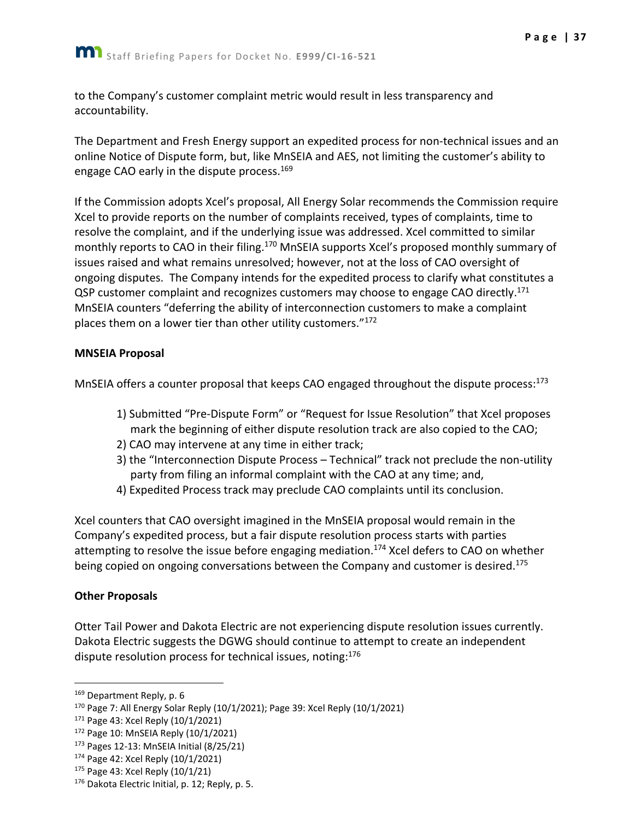to the Company's customer complaint metric would result in less transparency and accountability.

The Department and Fresh Energy support an expedited process for non-technical issues and an online Notice of Dispute form, but, like MnSEIA and AES, not limiting the customer's ability to engage CAO early in the dispute process.<sup>169</sup>

If the Commission adopts Xcel's proposal, All Energy Solar recommends the Commission require Xcel to provide reports on the number of complaints received, types of complaints, time to resolve the complaint, and if the underlying issue was addressed. Xcel committed to similar monthly reports to CAO in their filing.<sup>170</sup> MnSEIA supports Xcel's proposed monthly summary of issues raised and what remains unresolved; however, not at the loss of CAO oversight of ongoing disputes. The Company intends for the expedited process to clarify what constitutes a QSP customer complaint and recognizes customers may choose to engage CAO directly.<sup>171</sup> MnSEIA counters "deferring the ability of interconnection customers to make a complaint places them on a lower tier than other utility customers."<sup>172</sup>

#### **MNSEIA Proposal**

MnSEIA offers a counter proposal that keeps CAO engaged throughout the dispute process:<sup>173</sup>

- 1) Submitted "Pre-Dispute Form" or "Request for Issue Resolution" that Xcel proposes mark the beginning of either dispute resolution track are also copied to the CAO;
- 2) CAO may intervene at any time in either track;
- 3) the "Interconnection Dispute Process Technical" track not preclude the non-utility party from filing an informal complaint with the CAO at any time; and,
- 4) Expedited Process track may preclude CAO complaints until its conclusion.

Xcel counters that CAO oversight imagined in the MnSEIA proposal would remain in the Company's expedited process, but a fair dispute resolution process starts with parties attempting to resolve the issue before engaging mediation.<sup>174</sup> Xcel defers to CAO on whether being copied on ongoing conversations between the Company and customer is desired.<sup>175</sup>

#### **Other Proposals**

Otter Tail Power and Dakota Electric are not experiencing dispute resolution issues currently. Dakota Electric suggests the DGWG should continue to attempt to create an independent dispute resolution process for technical issues, noting:<sup>176</sup>

<sup>169</sup> Department Reply, p. 6

 $170$  Page 7: All Energy Solar Reply (10/1/2021); Page 39: Xcel Reply (10/1/2021)

<sup>171</sup> Page 43: Xcel Reply (10/1/2021)

<sup>172</sup> Page 10: MnSEIA Reply (10/1/2021)

<sup>173</sup> Pages 12-13: MnSEIA Initial (8/25/21)

<sup>174</sup> Page 42: Xcel Reply (10/1/2021)

<sup>175</sup> Page 43: Xcel Reply (10/1/21)

 $176$  Dakota Electric Initial, p. 12; Reply, p. 5.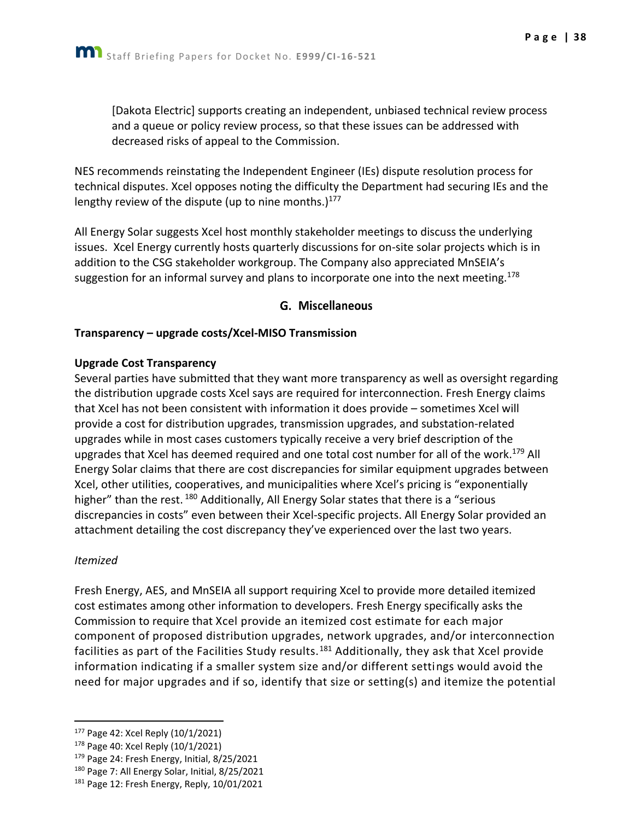[Dakota Electric] supports creating an independent, unbiased technical review process and a queue or policy review process, so that these issues can be addressed with decreased risks of appeal to the Commission.

NES recommends reinstating the Independent Engineer (IEs) dispute resolution process for technical disputes. Xcel opposes noting the difficulty the Department had securing IEs and the lengthy review of the dispute (up to nine months.) $177$ 

All Energy Solar suggests Xcel host monthly stakeholder meetings to discuss the underlying issues. Xcel Energy currently hosts quarterly discussions for on-site solar projects which is in addition to the CSG stakeholder workgroup. The Company also appreciated MnSEIA's suggestion for an informal survey and plans to incorporate one into the next meeting.<sup>178</sup>

#### G. Miscellaneous

#### <span id="page-38-0"></span>**Transparency – upgrade costs/Xcel-MISO Transmission**

#### **Upgrade Cost Transparency**

Several parties have submitted that they want more transparency as well as oversight regarding the distribution upgrade costs Xcel says are required for interconnection. Fresh Energy claims that Xcel has not been consistent with information it does provide – sometimes Xcel will provide a cost for distribution upgrades, transmission upgrades, and substation-related upgrades while in most cases customers typically receive a very brief description of the upgrades that Xcel has deemed required and one total cost number for all of the work.<sup>179</sup> All Energy Solar claims that there are cost discrepancies for similar equipment upgrades between Xcel, other utilities, cooperatives, and municipalities where Xcel's pricing is "exponentially higher" than the rest. <sup>180</sup> Additionally, All Energy Solar states that there is a "serious discrepancies in costs" even between their Xcel-specific projects. All Energy Solar provided an attachment detailing the cost discrepancy they've experienced over the last two years.

#### *Itemized*

Fresh Energy, AES, and MnSEIA all support requiring Xcel to provide more detailed itemized cost estimates among other information to developers. Fresh Energy specifically asks the Commission to require that Xcel provide an itemized cost estimate for each major component of proposed distribution upgrades, network upgrades, and/or interconnection facilities as part of the Facilities Study results.<sup>181</sup> Additionally, they ask that Xcel provide information indicating if a smaller system size and/or different settings would avoid the need for major upgrades and if so, identify that size or setting(s) and itemize the potential

<sup>177</sup> Page 42: Xcel Reply (10/1/2021)

<sup>178</sup> Page 40: Xcel Reply (10/1/2021)

<sup>179</sup> Page 24: Fresh Energy, Initial, 8/25/2021

<sup>180</sup> Page 7: All Energy Solar, Initial, 8/25/2021

<sup>181</sup> Page 12: Fresh Energy, Reply, 10/01/2021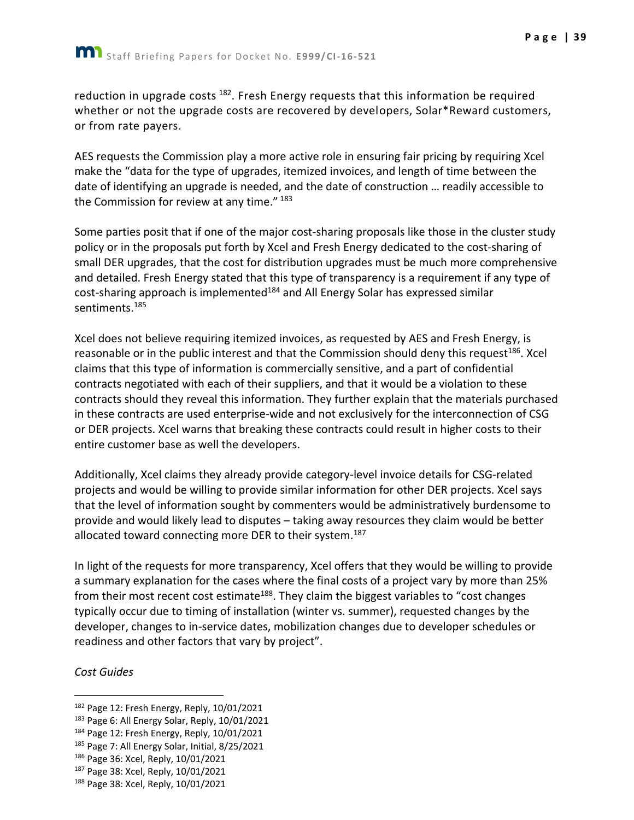reduction in upgrade costs <sup>182</sup>. Fresh Energy requests that this information be required whether or not the upgrade costs are recovered by developers, Solar\*Reward customers, or from rate payers.

AES requests the Commission play a more active role in ensuring fair pricing by requiring Xcel make the "data for the type of upgrades, itemized invoices, and length of time between the date of identifying an upgrade is needed, and the date of construction … readily accessible to the Commission for review at any time." 183

Some parties posit that if one of the major cost-sharing proposals like those in the cluster study policy or in the proposals put forth by Xcel and Fresh Energy dedicated to the cost-sharing of small DER upgrades, that the cost for distribution upgrades must be much more comprehensive and detailed. Fresh Energy stated that this type of transparency is a requirement if any type of cost-sharing approach is implemented<sup>184</sup> and All Energy Solar has expressed similar sentiments.<sup>185</sup>

Xcel does not believe requiring itemized invoices, as requested by AES and Fresh Energy, is reasonable or in the public interest and that the Commission should deny this request<sup>186</sup>. Xcel claims that this type of information is commercially sensitive, and a part of confidential contracts negotiated with each of their suppliers, and that it would be a violation to these contracts should they reveal this information. They further explain that the materials purchased in these contracts are used enterprise-wide and not exclusively for the interconnection of CSG or DER projects. Xcel warns that breaking these contracts could result in higher costs to their entire customer base as well the developers.

Additionally, Xcel claims they already provide category-level invoice details for CSG-related projects and would be willing to provide similar information for other DER projects. Xcel says that the level of information sought by commenters would be administratively burdensome to provide and would likely lead to disputes – taking away resources they claim would be better allocated toward connecting more DER to their system.<sup>187</sup>

In light of the requests for more transparency, Xcel offers that they would be willing to provide a summary explanation for the cases where the final costs of a project vary by more than 25% from their most recent cost estimate<sup>188</sup>. They claim the biggest variables to "cost changes typically occur due to timing of installation (winter vs. summer), requested changes by the developer, changes to in-service dates, mobilization changes due to developer schedules or readiness and other factors that vary by project".

#### *Cost Guides*

184 Page 12: Fresh Energy, Reply, 10/01/2021

<sup>&</sup>lt;sup>182</sup> Page 12: Fresh Energy, Reply, 10/01/2021

<sup>&</sup>lt;sup>183</sup> Page 6: All Energy Solar, Reply, 10/01/2021

<sup>185</sup> Page 7: All Energy Solar, Initial, 8/25/2021

<sup>186</sup> Page 36: Xcel, Reply, 10/01/2021

<sup>187</sup> Page 38: Xcel, Reply, 10/01/2021

<sup>188</sup> Page 38: Xcel, Reply, 10/01/2021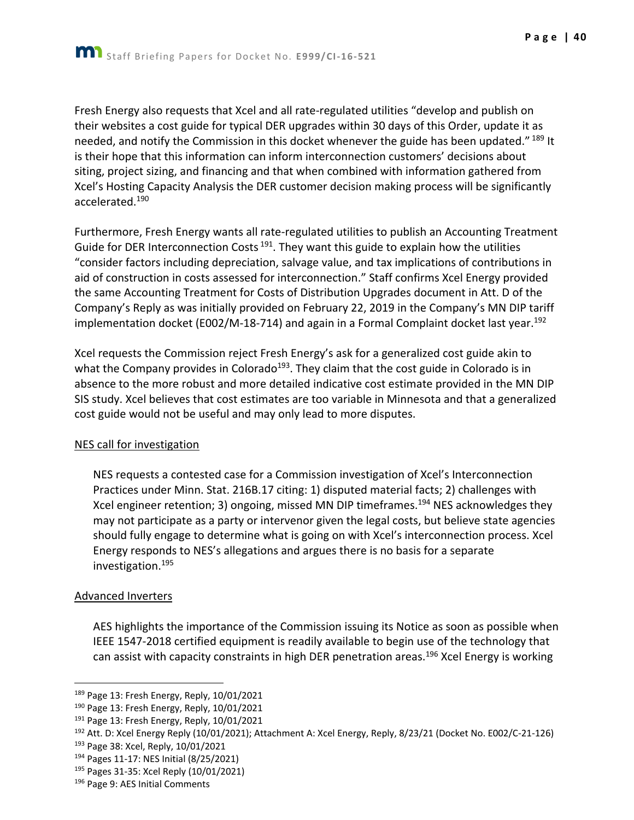Fresh Energy also requests that Xcel and all rate-regulated utilities "develop and publish on their websites a cost guide for typical DER upgrades within 30 days of this Order, update it as needed, and notify the Commission in this docket whenever the guide has been updated." 189 It is their hope that this information can inform interconnection customers' decisions about siting, project sizing, and financing and that when combined with information gathered from Xcel's Hosting Capacity Analysis the DER customer decision making process will be significantly accelerated.<sup>190</sup>

Furthermore, Fresh Energy wants all rate-regulated utilities to publish an Accounting Treatment Guide for DER Interconnection Costs<sup>191</sup>. They want this guide to explain how the utilities "consider factors including depreciation, salvage value, and tax implications of contributions in aid of construction in costs assessed for interconnection." Staff confirms Xcel Energy provided the same Accounting Treatment for Costs of Distribution Upgrades document in Att. D of the Company's Reply as was initially provided on February 22, 2019 in the Company's MN DIP tariff implementation docket (E002/M-18-714) and again in a Formal Complaint docket last year.<sup>192</sup>

Xcel requests the Commission reject Fresh Energy's ask for a generalized cost guide akin to what the Company provides in Colorado<sup>193</sup>. They claim that the cost guide in Colorado is in absence to the more robust and more detailed indicative cost estimate provided in the MN DIP SIS study. Xcel believes that cost estimates are too variable in Minnesota and that a generalized cost guide would not be useful and may only lead to more disputes.

#### NES call for investigation

NES requests a contested case for a Commission investigation of Xcel's Interconnection Practices under Minn. Stat. 216B.17 citing: 1) disputed material facts; 2) challenges with Xcel engineer retention; 3) ongoing, missed MN DIP timeframes.<sup>194</sup> NES acknowledges they may not participate as a party or intervenor given the legal costs, but believe state agencies should fully engage to determine what is going on with Xcel's interconnection process. Xcel Energy responds to NES's allegations and argues there is no basis for a separate investigation.<sup>195</sup>

#### Advanced Inverters

AES highlights the importance of the Commission issuing its Notice as soon as possible when IEEE 1547-2018 certified equipment is readily available to begin use of the technology that can assist with capacity constraints in high DER penetration areas.<sup>196</sup> Xcel Energy is working

<sup>189</sup> Page 13: Fresh Energy, Reply, 10/01/2021

<sup>190</sup> Page 13: Fresh Energy, Reply, 10/01/2021

<sup>&</sup>lt;sup>191</sup> Page 13: Fresh Energy, Reply, 10/01/2021

<sup>192</sup> Att. D: Xcel Energy Reply (10/01/2021); Attachment A: Xcel Energy, Reply, 8/23/21 (Docket No. E002/C-21-126)

<sup>193</sup> Page 38: Xcel, Reply, 10/01/2021

<sup>194</sup> Pages 11-17: NES Initial (8/25/2021)

<sup>195</sup> Pages 31-35: Xcel Reply (10/01/2021)

<sup>196</sup> Page 9: AES Initial Comments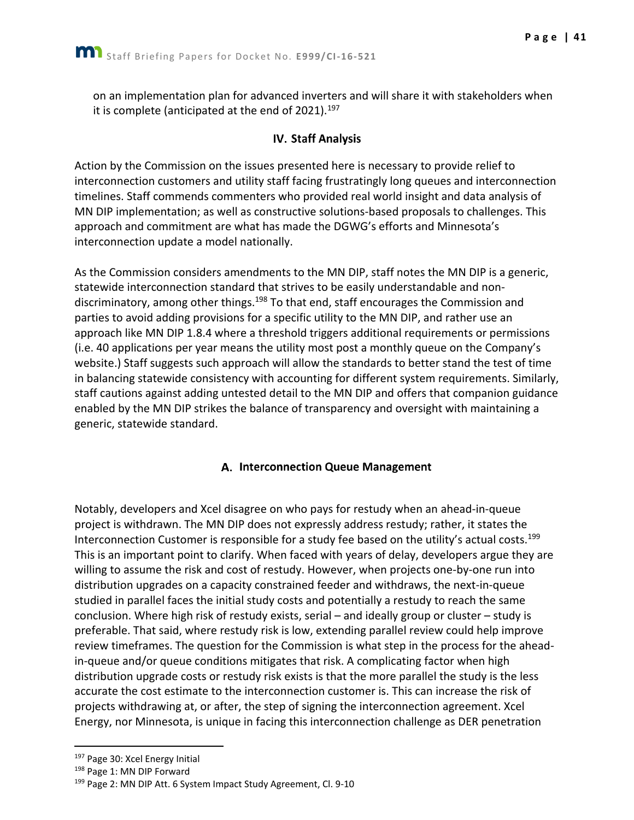<span id="page-41-0"></span>on an implementation plan for advanced inverters and will share it with stakeholders when it is complete (anticipated at the end of 2021).<sup>197</sup>

## **IV. Staff Analysis**

Action by the Commission on the issues presented here is necessary to provide relief to interconnection customers and utility staff facing frustratingly long queues and interconnection timelines. Staff commends commenters who provided real world insight and data analysis of MN DIP implementation; as well as constructive solutions-based proposals to challenges. This approach and commitment are what has made the DGWG's efforts and Minnesota's interconnection update a model nationally.

As the Commission considers amendments to the MN DIP, staff notes the MN DIP is a generic, statewide interconnection standard that strives to be easily understandable and nondiscriminatory, among other things.<sup>198</sup> To that end, staff encourages the Commission and parties to avoid adding provisions for a specific utility to the MN DIP, and rather use an approach like MN DIP 1.8.4 where a threshold triggers additional requirements or permissions (i.e. 40 applications per year means the utility most post a monthly queue on the Company's website.) Staff suggests such approach will allow the standards to better stand the test of time in balancing statewide consistency with accounting for different system requirements. Similarly, staff cautions against adding untested detail to the MN DIP and offers that companion guidance enabled by the MN DIP strikes the balance of transparency and oversight with maintaining a generic, statewide standard.

## A. Interconnection Queue Management

<span id="page-41-1"></span>Notably, developers and Xcel disagree on who pays for restudy when an ahead-in-queue project is withdrawn. The MN DIP does not expressly address restudy; rather, it states the Interconnection Customer is responsible for a study fee based on the utility's actual costs.<sup>199</sup> This is an important point to clarify. When faced with years of delay, developers argue they are willing to assume the risk and cost of restudy. However, when projects one-by-one run into distribution upgrades on a capacity constrained feeder and withdraws, the next-in-queue studied in parallel faces the initial study costs and potentially a restudy to reach the same conclusion. Where high risk of restudy exists, serial – and ideally group or cluster – study is preferable. That said, where restudy risk is low, extending parallel review could help improve review timeframes. The question for the Commission is what step in the process for the aheadin-queue and/or queue conditions mitigates that risk. A complicating factor when high distribution upgrade costs or restudy risk exists is that the more parallel the study is the less accurate the cost estimate to the interconnection customer is. This can increase the risk of projects withdrawing at, or after, the step of signing the interconnection agreement. Xcel Energy, nor Minnesota, is unique in facing this interconnection challenge as DER penetration

<sup>197</sup> Page 30: Xcel Energy Initial

<sup>&</sup>lt;sup>198</sup> Page 1: MN DIP Forward

<sup>&</sup>lt;sup>199</sup> Page 2: MN DIP Att. 6 System Impact Study Agreement, Cl. 9-10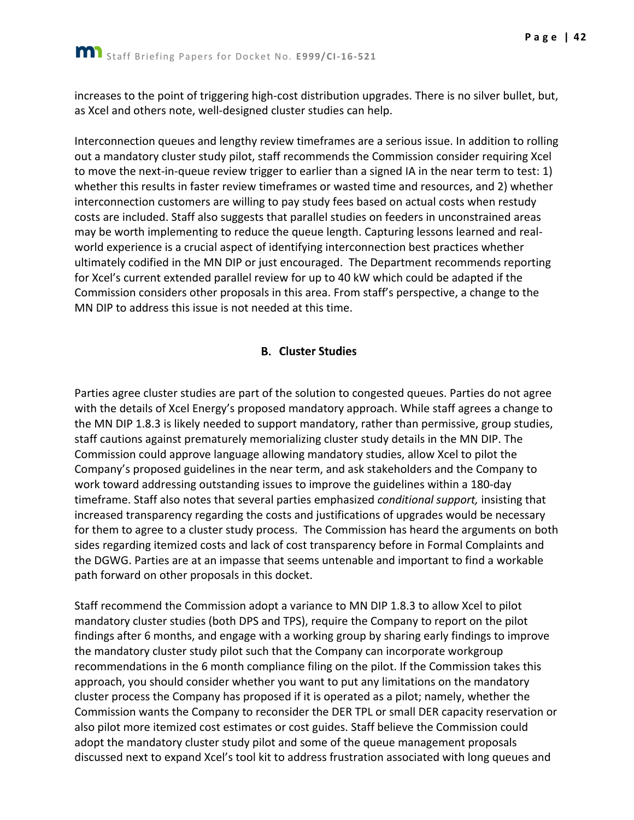increases to the point of triggering high-cost distribution upgrades. There is no silver bullet, but, as Xcel and others note, well-designed cluster studies can help.

Interconnection queues and lengthy review timeframes are a serious issue. In addition to rolling out a mandatory cluster study pilot, staff recommends the Commission consider requiring Xcel to move the next-in-queue review trigger to earlier than a signed IA in the near term to test: 1) whether this results in faster review timeframes or wasted time and resources, and 2) whether interconnection customers are willing to pay study fees based on actual costs when restudy costs are included. Staff also suggests that parallel studies on feeders in unconstrained areas may be worth implementing to reduce the queue length. Capturing lessons learned and realworld experience is a crucial aspect of identifying interconnection best practices whether ultimately codified in the MN DIP or just encouraged. The Department recommends reporting for Xcel's current extended parallel review for up to 40 kW which could be adapted if the Commission considers other proposals in this area. From staff's perspective, a change to the MN DIP to address this issue is not needed at this time.

## **B.** Cluster Studies

<span id="page-42-0"></span>Parties agree cluster studies are part of the solution to congested queues. Parties do not agree with the details of Xcel Energy's proposed mandatory approach. While staff agrees a change to the MN DIP 1.8.3 is likely needed to support mandatory, rather than permissive, group studies, staff cautions against prematurely memorializing cluster study details in the MN DIP. The Commission could approve language allowing mandatory studies, allow Xcel to pilot the Company's proposed guidelines in the near term, and ask stakeholders and the Company to work toward addressing outstanding issues to improve the guidelines within a 180-day timeframe. Staff also notes that several parties emphasized *conditional support,* insisting that increased transparency regarding the costs and justifications of upgrades would be necessary for them to agree to a cluster study process. The Commission has heard the arguments on both sides regarding itemized costs and lack of cost transparency before in Formal Complaints and the DGWG. Parties are at an impasse that seems untenable and important to find a workable path forward on other proposals in this docket.

Staff recommend the Commission adopt a variance to MN DIP 1.8.3 to allow Xcel to pilot mandatory cluster studies (both DPS and TPS), require the Company to report on the pilot findings after 6 months, and engage with a working group by sharing early findings to improve the mandatory cluster study pilot such that the Company can incorporate workgroup recommendations in the 6 month compliance filing on the pilot. If the Commission takes this approach, you should consider whether you want to put any limitations on the mandatory cluster process the Company has proposed if it is operated as a pilot; namely, whether the Commission wants the Company to reconsider the DER TPL or small DER capacity reservation or also pilot more itemized cost estimates or cost guides. Staff believe the Commission could adopt the mandatory cluster study pilot and some of the queue management proposals discussed next to expand Xcel's tool kit to address frustration associated with long queues and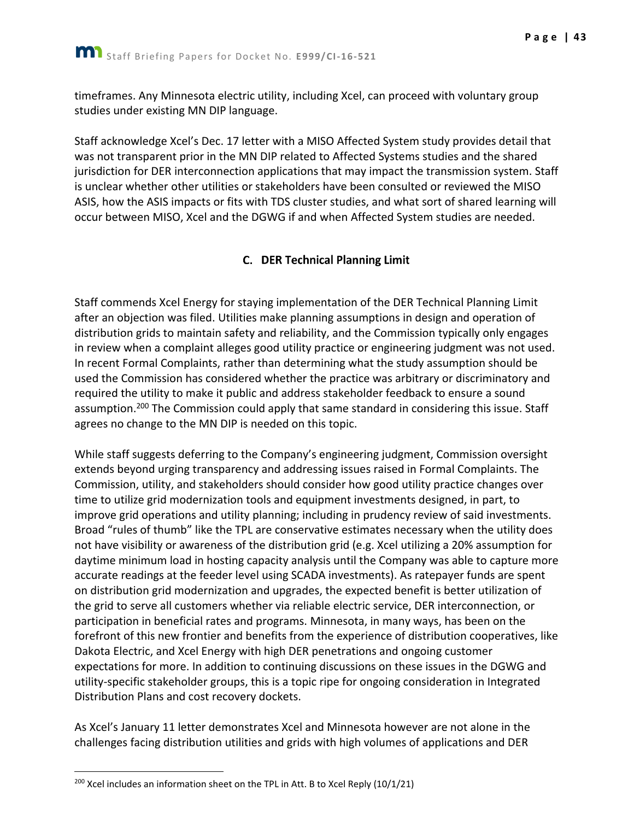timeframes. Any Minnesota electric utility, including Xcel, can proceed with voluntary group studies under existing MN DIP language.

Staff acknowledge Xcel's Dec. 17 letter with a MISO Affected System study provides detail that was not transparent prior in the MN DIP related to Affected Systems studies and the shared jurisdiction for DER interconnection applications that may impact the transmission system. Staff is unclear whether other utilities or stakeholders have been consulted or reviewed the MISO ASIS, how the ASIS impacts or fits with TDS cluster studies, and what sort of shared learning will occur between MISO, Xcel and the DGWG if and when Affected System studies are needed.

## C. DER Technical Planning Limit

<span id="page-43-0"></span>Staff commends Xcel Energy for staying implementation of the DER Technical Planning Limit after an objection was filed. Utilities make planning assumptions in design and operation of distribution grids to maintain safety and reliability, and the Commission typically only engages in review when a complaint alleges good utility practice or engineering judgment was not used. In recent Formal Complaints, rather than determining what the study assumption should be used the Commission has considered whether the practice was arbitrary or discriminatory and required the utility to make it public and address stakeholder feedback to ensure a sound assumption.<sup>200</sup> The Commission could apply that same standard in considering this issue. Staff agrees no change to the MN DIP is needed on this topic.

While staff suggests deferring to the Company's engineering judgment, Commission oversight extends beyond urging transparency and addressing issues raised in Formal Complaints. The Commission, utility, and stakeholders should consider how good utility practice changes over time to utilize grid modernization tools and equipment investments designed, in part, to improve grid operations and utility planning; including in prudency review of said investments. Broad "rules of thumb" like the TPL are conservative estimates necessary when the utility does not have visibility or awareness of the distribution grid (e.g. Xcel utilizing a 20% assumption for daytime minimum load in hosting capacity analysis until the Company was able to capture more accurate readings at the feeder level using SCADA investments). As ratepayer funds are spent on distribution grid modernization and upgrades, the expected benefit is better utilization of the grid to serve all customers whether via reliable electric service, DER interconnection, or participation in beneficial rates and programs. Minnesota, in many ways, has been on the forefront of this new frontier and benefits from the experience of distribution cooperatives, like Dakota Electric, and Xcel Energy with high DER penetrations and ongoing customer expectations for more. In addition to continuing discussions on these issues in the DGWG and utility-specific stakeholder groups, this is a topic ripe for ongoing consideration in Integrated Distribution Plans and cost recovery dockets.

As Xcel's January 11 letter demonstrates Xcel and Minnesota however are not alone in the challenges facing distribution utilities and grids with high volumes of applications and DER

 $200$  Xcel includes an information sheet on the TPL in Att. B to Xcel Reply (10/1/21)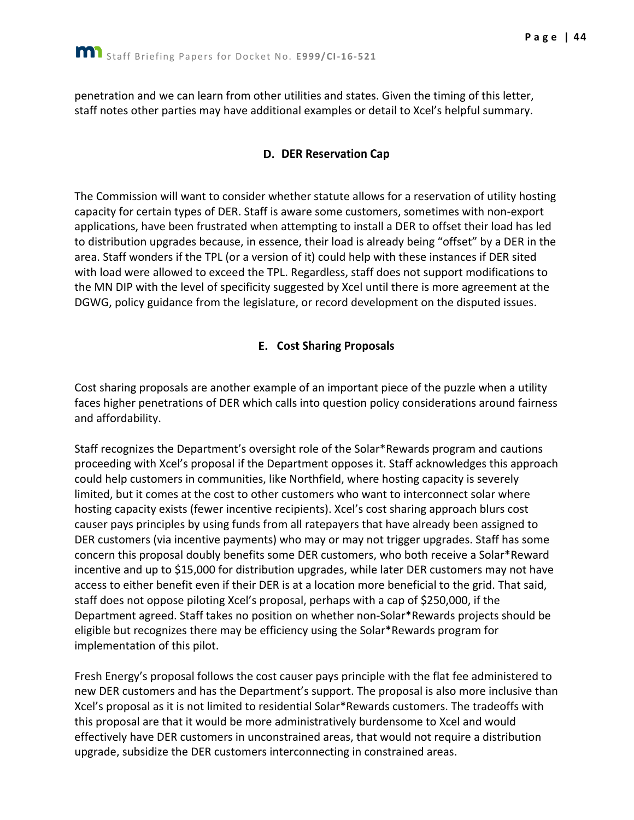<span id="page-44-0"></span>penetration and we can learn from other utilities and states. Given the timing of this letter, staff notes other parties may have additional examples or detail to Xcel's helpful summary.

#### D. DER Reservation Cap

The Commission will want to consider whether statute allows for a reservation of utility hosting capacity for certain types of DER. Staff is aware some customers, sometimes with non-export applications, have been frustrated when attempting to install a DER to offset their load has led to distribution upgrades because, in essence, their load is already being "offset" by a DER in the area. Staff wonders if the TPL (or a version of it) could help with these instances if DER sited with load were allowed to exceed the TPL. Regardless, staff does not support modifications to the MN DIP with the level of specificity suggested by Xcel until there is more agreement at the DGWG, policy guidance from the legislature, or record development on the disputed issues.

#### **E.** Cost Sharing Proposals

<span id="page-44-1"></span>Cost sharing proposals are another example of an important piece of the puzzle when a utility faces higher penetrations of DER which calls into question policy considerations around fairness and affordability.

Staff recognizes the Department's oversight role of the Solar\*Rewards program and cautions proceeding with Xcel's proposal if the Department opposes it. Staff acknowledges this approach could help customers in communities, like Northfield, where hosting capacity is severely limited, but it comes at the cost to other customers who want to interconnect solar where hosting capacity exists (fewer incentive recipients). Xcel's cost sharing approach blurs cost causer pays principles by using funds from all ratepayers that have already been assigned to DER customers (via incentive payments) who may or may not trigger upgrades. Staff has some concern this proposal doubly benefits some DER customers, who both receive a Solar\*Reward incentive and up to \$15,000 for distribution upgrades, while later DER customers may not have access to either benefit even if their DER is at a location more beneficial to the grid. That said, staff does not oppose piloting Xcel's proposal, perhaps with a cap of \$250,000, if the Department agreed. Staff takes no position on whether non-Solar\*Rewards projects should be eligible but recognizes there may be efficiency using the Solar\*Rewards program for implementation of this pilot.

Fresh Energy's proposal follows the cost causer pays principle with the flat fee administered to new DER customers and has the Department's support. The proposal is also more inclusive than Xcel's proposal as it is not limited to residential Solar\*Rewards customers. The tradeoffs with this proposal are that it would be more administratively burdensome to Xcel and would effectively have DER customers in unconstrained areas, that would not require a distribution upgrade, subsidize the DER customers interconnecting in constrained areas.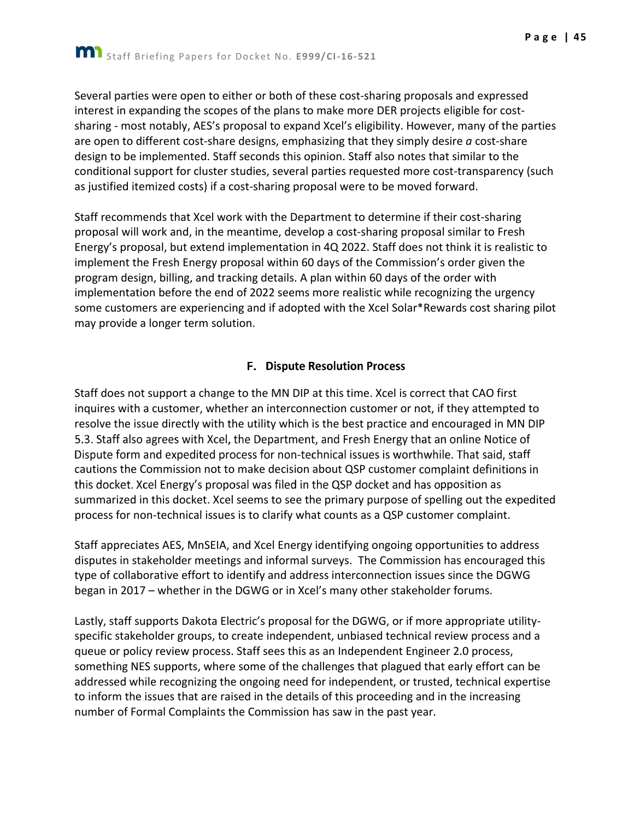Several parties were open to either or both of these cost-sharing proposals and expressed interest in expanding the scopes of the plans to make more DER projects eligible for costsharing - most notably, AES's proposal to expand Xcel's eligibility. However, many of the parties are open to different cost-share designs, emphasizing that they simply desire *a* cost-share design to be implemented. Staff seconds this opinion. Staff also notes that similar to the conditional support for cluster studies, several parties requested more cost-transparency (such as justified itemized costs) if a cost-sharing proposal were to be moved forward.

Staff recommends that Xcel work with the Department to determine if their cost-sharing proposal will work and, in the meantime, develop a cost-sharing proposal similar to Fresh Energy's proposal, but extend implementation in 4Q 2022. Staff does not think it is realistic to implement the Fresh Energy proposal within 60 days of the Commission's order given the program design, billing, and tracking details. A plan within 60 days of the order with implementation before the end of 2022 seems more realistic while recognizing the urgency some customers are experiencing and if adopted with the Xcel Solar\*Rewards cost sharing pilot may provide a longer term solution.

## **F. Dispute Resolution Process**

<span id="page-45-0"></span>Staff does not support a change to the MN DIP at this time. Xcel is correct that CAO first inquires with a customer, whether an interconnection customer or not, if they attempted to resolve the issue directly with the utility which is the best practice and encouraged in MN DIP 5.3. Staff also agrees with Xcel, the Department, and Fresh Energy that an online Notice of Dispute form and expedited process for non-technical issues is worthwhile. That said, staff cautions the Commission not to make decision about QSP cust this docket. Xcel Energy's proposal was filed in the QSP docket and has opposition as summarized in this docket. Xcel seems to see the primary purpose of spelling out the expedited process for non-technical issues is to clarify what counts as a QSP customer complaint.

Staff appreciates AES, MnSEIA, and Xcel Energy identifying ongoing opportunities to address disputes in stakeholder meetings and informal surveys. The Commission has encouraged this type of collaborative effort to identify and address interconnection issues since the DGWG began in 2017 – whether in the DGWG or in Xcel's many other stakeholder forums.

Lastly, staff supports Dakota Electric's proposal for the DGWG, or if more appropriate utilityspecific stakeholder groups, to create independent, unbiased technical review process and a queue or policy review process. Staff sees this as an Independent Engineer 2.0 process, something NES supports, where some of the challenges that plagued that early effort can be addressed while recognizing the ongoing need for independent, or trusted, technical expertise to inform the issues that are raised in the details of this proceeding and in the increasing number of Formal Complaints the Commission has saw in the past year.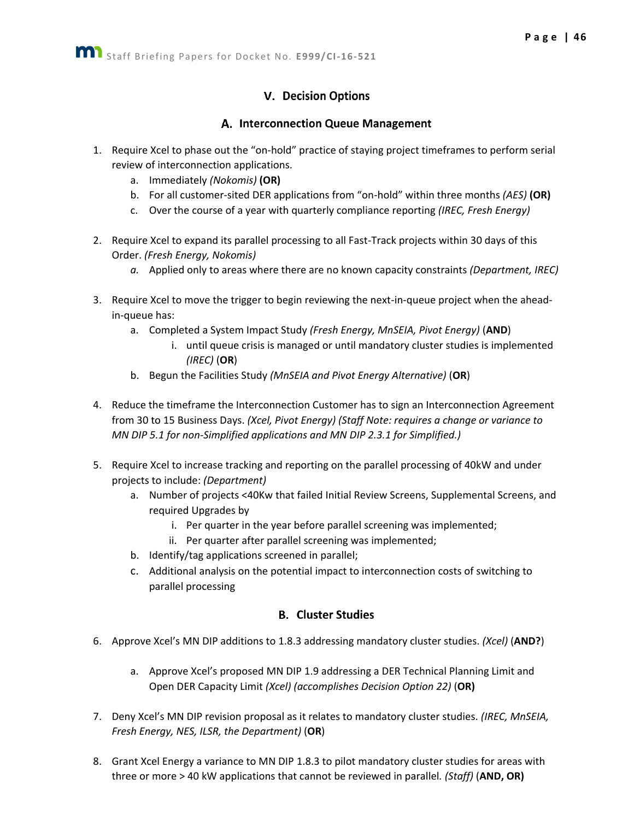## **V.** Decision Options

#### A. Interconnection Queue Management

- <span id="page-46-1"></span><span id="page-46-0"></span>1. Require Xcel to phase out the "on-hold" practice of staying project timeframes to perform serial review of interconnection applications.
	- a. Immediately *(Nokomis)* **(OR)**
	- b. For all customer-sited DER applications from "on-hold" within three months *(AES)* **(OR)**
	- c. Over the course of a year with quarterly compliance reporting *(IREC, Fresh Energy)*
- 2. Require Xcel to expand its parallel processing to all Fast-Track projects within 30 days of this Order. *(Fresh Energy, Nokomis)*
	- *a.* Applied only to areas where there are no known capacity constraints *(Department, IREC)*
- 3. Require Xcel to move the trigger to begin reviewing the next-in-queue project when the aheadin-queue has:
	- a. Completed a System Impact Study *(Fresh Energy, MnSEIA, Pivot Energy)* (**AND**)
		- i. until queue crisis is managed or until mandatory cluster studies is implemented *(IREC)* (**OR**)
	- b. Begun the Facilities Study *(MnSEIA and Pivot Energy Alternative)* (**OR**)
- 4. Reduce the timeframe the Interconnection Customer has to sign an Interconnection Agreement from 30 to 15 Business Days. *(Xcel, Pivot Energy) (Staff Note: requires a change or variance to MN DIP 5.1 for non-Simplified applications and MN DIP 2.3.1 for Simplified.)*
- 5. Require Xcel to increase tracking and reporting on the parallel processing of 40kW and under projects to include: *(Department)*
	- a. Number of projects <40Kw that failed Initial Review Screens, Supplemental Screens, and required Upgrades by
		- i. Per quarter in the year before parallel screening was implemented;
		- ii. Per quarter after parallel screening was implemented;
	- b. Identify/tag applications screened in parallel;
	- c. Additional analysis on the potential impact to interconnection costs of switching to parallel processing

#### **B.** Cluster Studies

- <span id="page-46-2"></span>6. Approve Xcel's MN DIP additions to 1.8.3 addressing mandatory cluster studies. *(Xcel)* (**AND?**)
	- a. Approve Xcel's proposed MN DIP 1.9 addressing a DER Technical Planning Limit and Open DER Capacity Limit *(Xcel) (accomplishes Decision Option 22)* (**OR)**
- 7. Deny Xcel's MN DIP revision proposal as it relates to mandatory cluster studies. *(IREC, MnSEIA, Fresh Energy, NES, ILSR, the Department)* (**OR**)
- 8. Grant Xcel Energy a variance to MN DIP 1.8.3 to pilot mandatory cluster studies for areas with three or more > 40 kW applications that cannot be reviewed in parallel*. (Staff)* (**AND, OR)**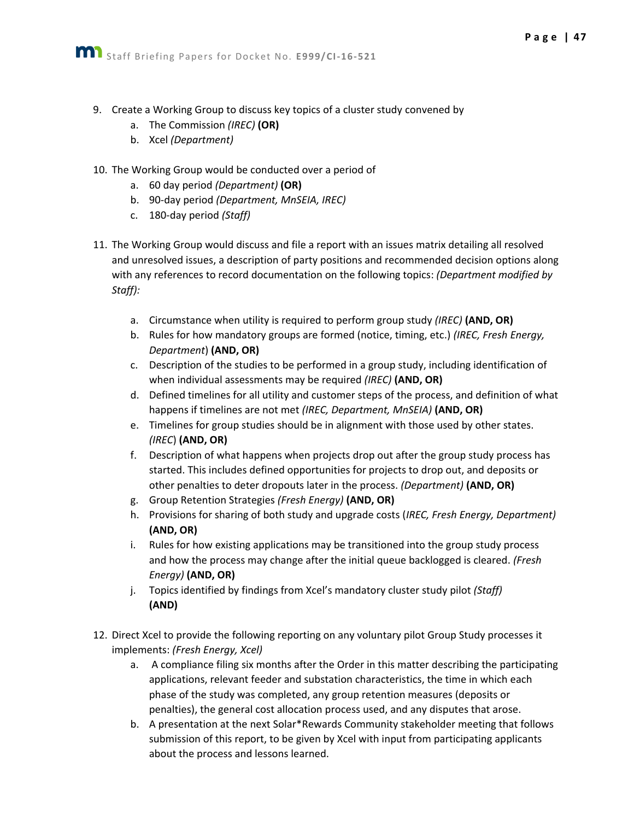- 9. Create a Working Group to discuss key topics of a cluster study convened by
	- a. The Commission *(IREC)* **(OR)**
	- b. Xcel *(Department)*
- 10. The Working Group would be conducted over a period of
	- a. 60 day period *(Department)* **(OR)**
	- b. 90-day period *(Department, MnSEIA, IREC)*
	- c. 180-day period *(Staff)*
- 11. The Working Group would discuss and file a report with an issues matrix detailing all resolved and unresolved issues, a description of party positions and recommended decision options along with any references to record documentation on the following topics: *(Department modified by Staff):*
	- a. Circumstance when utility is required to perform group study *(IREC)* **(AND, OR)**
	- b. Rules for how mandatory groups are formed (notice, timing, etc.) *(IREC, Fresh Energy, Department*) **(AND, OR)**
	- c. Description of the studies to be performed in a group study, including identification of when individual assessments may be required *(IREC)* **(AND, OR)**
	- d. Defined timelines for all utility and customer steps of the process, and definition of what happens if timelines are not met *(IREC, Department, MnSEIA)* **(AND, OR)**
	- e. Timelines for group studies should be in alignment with those used by other states. *(IREC*) **(AND, OR)**
	- f. Description of what happens when projects drop out after the group study process has started. This includes defined opportunities for projects to drop out, and deposits or other penalties to deter dropouts later in the process. *(Department)* **(AND, OR)**
	- g. Group Retention Strategies *(Fresh Energy)* **(AND, OR)**
	- h. Provisions for sharing of both study and upgrade costs (*IREC, Fresh Energy, Department)* **(AND, OR)**
	- i. Rules for how existing applications may be transitioned into the group study process and how the process may change after the initial queue backlogged is cleared. *(Fresh Energy)* **(AND, OR)**
	- j. Topics identified by findings from Xcel's mandatory cluster study pilot *(Staff)* **(AND)**
- 12. Direct Xcel to provide the following reporting on any voluntary pilot Group Study processes it implements: *(Fresh Energy, Xcel)*
	- a. A compliance filing six months after the Order in this matter describing the participating applications, relevant feeder and substation characteristics, the time in which each phase of the study was completed, any group retention measures (deposits or penalties), the general cost allocation process used, and any disputes that arose.
	- b. A presentation at the next Solar\*Rewards Community stakeholder meeting that follows submission of this report, to be given by Xcel with input from participating applicants about the process and lessons learned.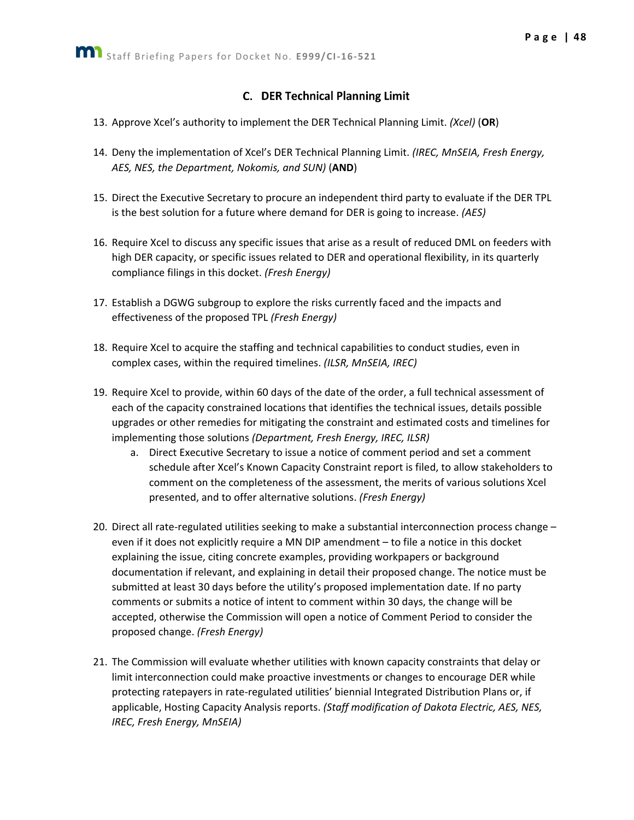## **C.** DER Technical Planning Limit

- <span id="page-48-0"></span>13. Approve Xcel's authority to implement the DER Technical Planning Limit. *(Xcel)* (**OR**)
- 14. Deny the implementation of Xcel's DER Technical Planning Limit. *(IREC, MnSEIA, Fresh Energy, AES, NES, the Department, Nokomis, and SUN)* (**AND**)
- 15. Direct the Executive Secretary to procure an independent third party to evaluate if the DER TPL is the best solution for a future where demand for DER is going to increase. *(AES)*
- 16. Require Xcel to discuss any specific issues that arise as a result of reduced DML on feeders with high DER capacity, or specific issues related to DER and operational flexibility, in its quarterly compliance filings in this docket. *(Fresh Energy)*
- 17. Establish a DGWG subgroup to explore the risks currently faced and the impacts and effectiveness of the proposed TPL *(Fresh Energy)*
- 18. Require Xcel to acquire the staffing and technical capabilities to conduct studies, even in complex cases, within the required timelines. *(ILSR, MnSEIA, IREC)*
- 19. Require Xcel to provide, within 60 days of the date of the order, a full technical assessment of each of the capacity constrained locations that identifies the technical issues, details possible upgrades or other remedies for mitigating the constraint and estimated costs and timelines for implementing those solutions *(Department, Fresh Energy, IREC, ILSR)*
	- a. Direct Executive Secretary to issue a notice of comment period and set a comment schedule after Xcel's Known Capacity Constraint report is filed, to allow stakeholders to comment on the completeness of the assessment, the merits of various solutions Xcel presented, and to offer alternative solutions. *(Fresh Energy)*
- 20. Direct all rate-regulated utilities seeking to make a substantial interconnection process change even if it does not explicitly require a MN DIP amendment – to file a notice in this docket explaining the issue, citing concrete examples, providing workpapers or background documentation if relevant, and explaining in detail their proposed change. The notice must be submitted at least 30 days before the utility's proposed implementation date. If no party comments or submits a notice of intent to comment within 30 days, the change will be accepted, otherwise the Commission will open a notice of Comment Period to consider the proposed change. *(Fresh Energy)*
- 21. The Commission will evaluate whether utilities with known capacity constraints that delay or limit interconnection could make proactive investments or changes to encourage DER while protecting ratepayers in rate-regulated utilities' biennial Integrated Distribution Plans or, if applicable, Hosting Capacity Analysis reports. *(Staff modification of Dakota Electric, AES, NES, IREC, Fresh Energy, MnSEIA)*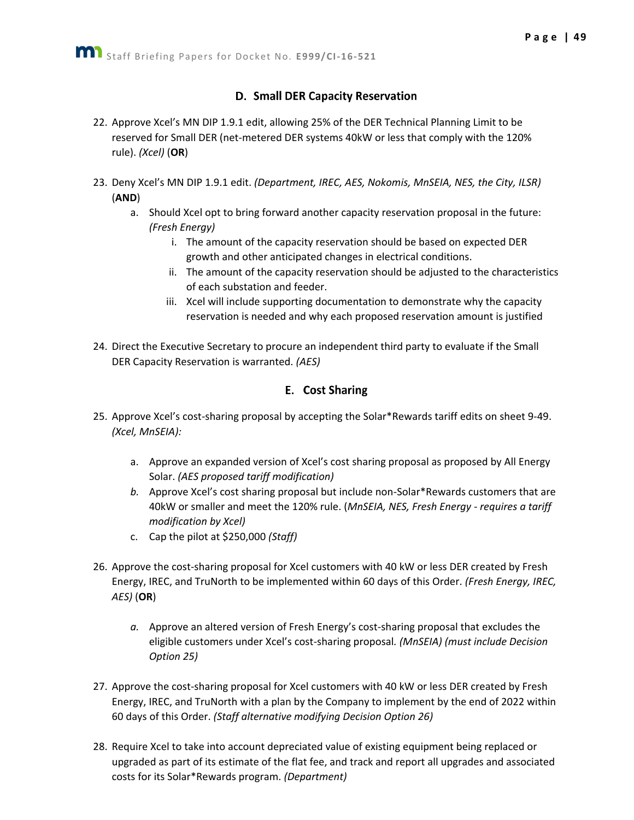## D. Small DER Capacity Reservation

- <span id="page-49-0"></span>22. Approve Xcel's MN DIP 1.9.1 edit, allowing 25% of the DER Technical Planning Limit to be reserved for Small DER (net-metered DER systems 40kW or less that comply with the 120% rule). *(Xcel)* (**OR**)
- 23. Deny Xcel's MN DIP 1.9.1 edit. *(Department, IREC, AES, Nokomis, MnSEIA, NES, the City, ILSR)*  (**AND**)
	- a. Should Xcel opt to bring forward another capacity reservation proposal in the future: *(Fresh Energy)*
		- i. The amount of the capacity reservation should be based on expected DER growth and other anticipated changes in electrical conditions.
		- ii. The amount of the capacity reservation should be adjusted to the characteristics of each substation and feeder.
		- iii. Xcel will include supporting documentation to demonstrate why the capacity reservation is needed and why each proposed reservation amount is justified
- 24. Direct the Executive Secretary to procure an independent third party to evaluate if the Small DER Capacity Reservation is warranted. *(AES)*

## **E.** Cost Sharing

- <span id="page-49-1"></span>25. Approve Xcel's cost-sharing proposal by accepting the Solar\*Rewards tariff edits on sheet 9-49. *(Xcel, MnSEIA):*
	- a. Approve an expanded version of Xcel's cost sharing proposal as proposed by All Energy Solar. *(AES proposed tariff modification)*
	- *b.* Approve Xcel's cost sharing proposal but include non-Solar\*Rewards customers that are 40kW or smaller and meet the 120% rule. (*MnSEIA, NES, Fresh Energy - requires a tariff modification by Xcel)*
	- c. Cap the pilot at \$250,000 *(Staff)*
- 26. Approve the cost-sharing proposal for Xcel customers with 40 kW or less DER created by Fresh Energy, IREC, and TruNorth to be implemented within 60 days of this Order. *(Fresh Energy, IREC, AES)* (**OR**)
	- *a.* Approve an altered version of Fresh Energy's cost-sharing proposal that excludes the eligible customers under Xcel's cost-sharing proposal*. (MnSEIA) (must include Decision Option 25)*
- 27. Approve the cost-sharing proposal for Xcel customers with 40 kW or less DER created by Fresh Energy, IREC, and TruNorth with a plan by the Company to implement by the end of 2022 within 60 days of this Order. *(Staff alternative modifying Decision Option 26)*
- 28. Require Xcel to take into account depreciated value of existing equipment being replaced or upgraded as part of its estimate of the flat fee, and track and report all upgrades and associated costs for its Solar\*Rewards program. *(Department)*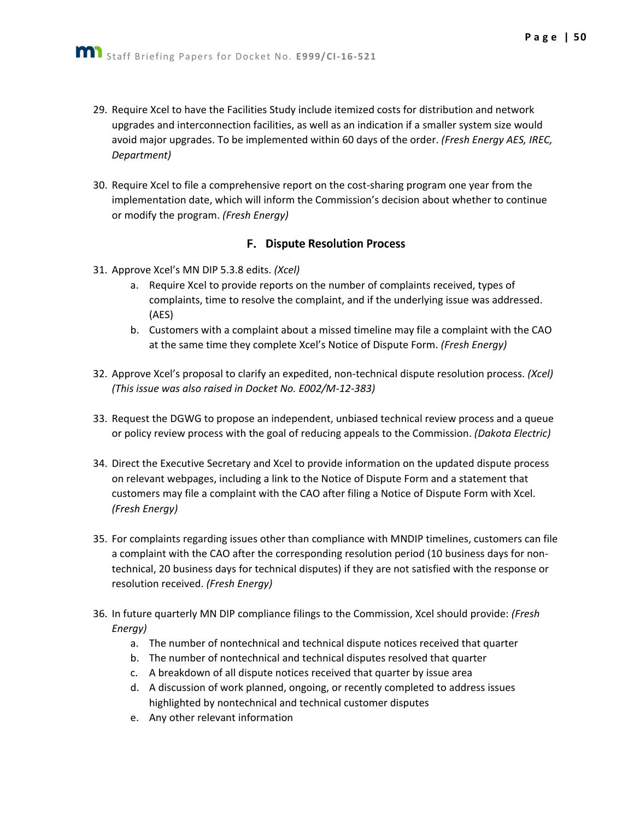- 29. Require Xcel to have the Facilities Study include itemized costs for distribution and network upgrades and interconnection facilities, as well as an indication if a smaller system size would avoid major upgrades. To be implemented within 60 days of the order. *(Fresh Energy AES, IREC, Department)*
- 30. Require Xcel to file a comprehensive report on the cost-sharing program one year from the implementation date, which will inform the Commission's decision about whether to continue or modify the program. *(Fresh Energy)*

#### **F. Dispute Resolution Process**

- <span id="page-50-0"></span>31. Approve Xcel's MN DIP 5.3.8 edits. *(Xcel)*
	- a. Require Xcel to provide reports on the number of complaints received, types of complaints, time to resolve the complaint, and if the underlying issue was addressed. (AES)
	- b. Customers with a complaint about a missed timeline may file a complaint with the CAO at the same time they complete Xcel's Notice of Dispute Form. *(Fresh Energy)*
- 32. Approve Xcel's proposal to clarify an expedited, non-technical dispute resolution process. *(Xcel) (This issue was also raised in Docket No. E002/M-12-383)*
- 33. Request the DGWG to propose an independent, unbiased technical review process and a queue or policy review process with the goal of reducing appeals to the Commission. *(Dakota Electric)*
- 34. Direct the Executive Secretary and Xcel to provide information on the updated dispute process on relevant webpages, including a link to the Notice of Dispute Form and a statement that customers may file a complaint with the CAO after filing a Notice of Dispute Form with Xcel. *(Fresh Energy)*
- 35. For complaints regarding issues other than compliance with MNDIP timelines, customers can file a complaint with the CAO after the corresponding resolution period (10 business days for nontechnical, 20 business days for technical disputes) if they are not satisfied with the response or resolution received. *(Fresh Energy)*
- 36. In future quarterly MN DIP compliance filings to the Commission, Xcel should provide: *(Fresh Energy)*
	- a. The number of nontechnical and technical dispute notices received that quarter
	- b. The number of nontechnical and technical disputes resolved that quarter
	- c. A breakdown of all dispute notices received that quarter by issue area
	- d. A discussion of work planned, ongoing, or recently completed to address issues highlighted by nontechnical and technical customer disputes
	- e. Any other relevant information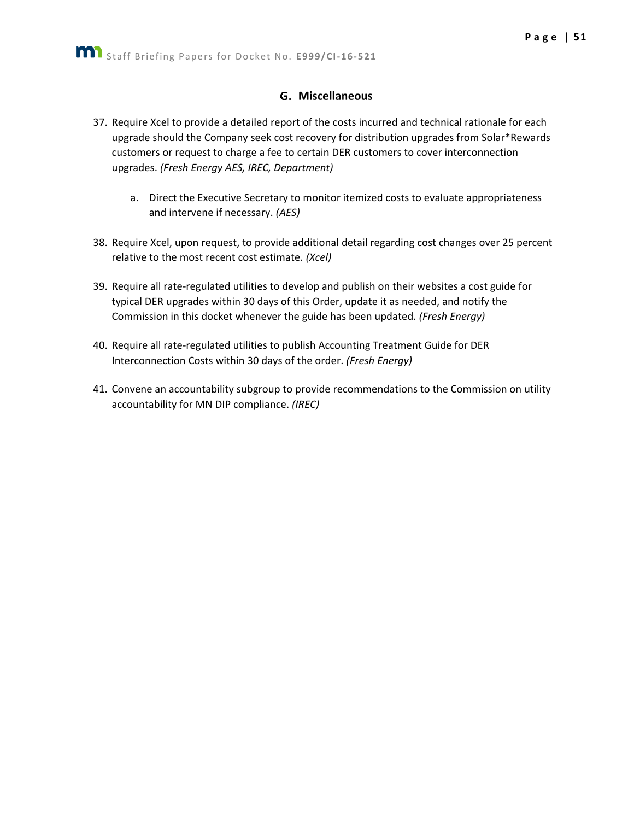#### G. Miscellaneous

- <span id="page-51-0"></span>37. Require Xcel to provide a detailed report of the costs incurred and technical rationale for each upgrade should the Company seek cost recovery for distribution upgrades from Solar\*Rewards customers or request to charge a fee to certain DER customers to cover interconnection upgrades. *(Fresh Energy AES, IREC, Department)*
	- a. Direct the Executive Secretary to monitor itemized costs to evaluate appropriateness and intervene if necessary. *(AES)*
- 38. Require Xcel, upon request, to provide additional detail regarding cost changes over 25 percent relative to the most recent cost estimate. *(Xcel)*
- 39. Require all rate-regulated utilities to develop and publish on their websites a cost guide for typical DER upgrades within 30 days of this Order, update it as needed, and notify the Commission in this docket whenever the guide has been updated. *(Fresh Energy)*
- 40. Require all rate-regulated utilities to publish Accounting Treatment Guide for DER Interconnection Costs within 30 days of the order. *(Fresh Energy)*
- 41. Convene an accountability subgroup to provide recommendations to the Commission on utility accountability for MN DIP compliance. *(IREC)*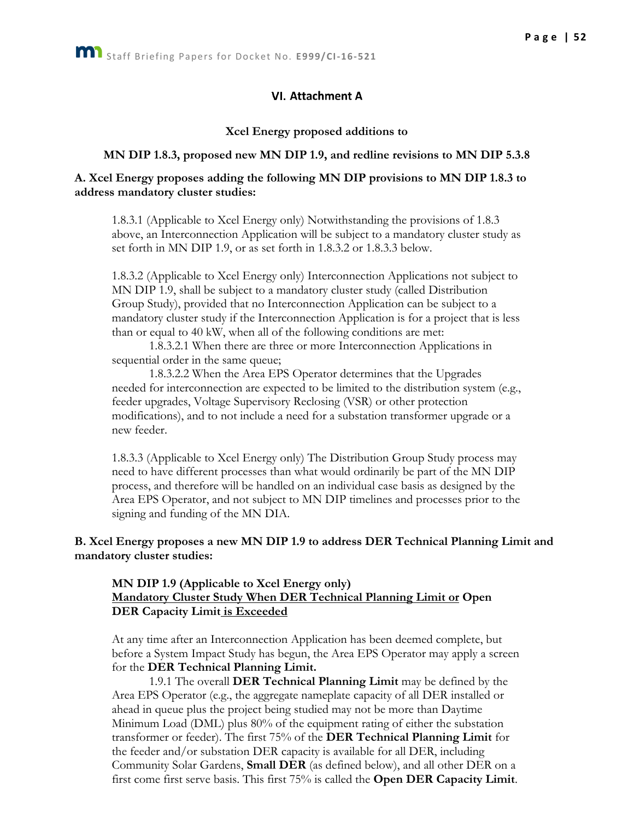#### VI. Attachment A

#### **Xcel Energy proposed additions to**

#### **MN DIP 1.8.3, proposed new MN DIP 1.9, and redline revisions to MN DIP 5.3.8**

#### **A. Xcel Energy proposes adding the following MN DIP provisions to MN DIP 1.8.3 to address mandatory cluster studies:**

1.8.3.1 (Applicable to Xcel Energy only) Notwithstanding the provisions of 1.8.3 above, an Interconnection Application will be subject to a mandatory cluster study as set forth in MN DIP 1.9, or as set forth in 1.8.3.2 or 1.8.3.3 below.

1.8.3.2 (Applicable to Xcel Energy only) Interconnection Applications not subject to MN DIP 1.9, shall be subject to a mandatory cluster study (called Distribution Group Study), provided that no Interconnection Application can be subject to a mandatory cluster study if the Interconnection Application is for a project that is less than or equal to 40 kW, when all of the following conditions are met:

1.8.3.2.1 When there are three or more Interconnection Applications in sequential order in the same queue;

1.8.3.2.2 When the Area EPS Operator determines that the Upgrades needed for interconnection are expected to be limited to the distribution system (e.g., feeder upgrades, Voltage Supervisory Reclosing (VSR) or other protection modifications), and to not include a need for a substation transformer upgrade or a new feeder.

1.8.3.3 (Applicable to Xcel Energy only) The Distribution Group Study process may need to have different processes than what would ordinarily be part of the MN DIP process, and therefore will be handled on an individual case basis as designed by the Area EPS Operator, and not subject to MN DIP timelines and processes prior to the signing and funding of the MN DIA.

#### **B. Xcel Energy proposes a new MN DIP 1.9 to address DER Technical Planning Limit and mandatory cluster studies:**

#### **MN DIP 1.9 (Applicable to Xcel Energy only) Mandatory Cluster Study When DER Technical Planning Limit or Open DER Capacity Limit is Exceeded**

At any time after an Interconnection Application has been deemed complete, but before a System Impact Study has begun, the Area EPS Operator may apply a screen for the **DER Technical Planning Limit.**

1.9.1 The overall **DER Technical Planning Limit** may be defined by the Area EPS Operator (e.g., the aggregate nameplate capacity of all DER installed or ahead in queue plus the project being studied may not be more than Daytime Minimum Load (DML) plus 80% of the equipment rating of either the substation transformer or feeder). The first 75% of the **DER Technical Planning Limit** for the feeder and/or substation DER capacity is available for all DER, including Community Solar Gardens, **Small DER** (as defined below), and all other DER on a first come first serve basis. This first 75% is called the **Open DER Capacity Limit**.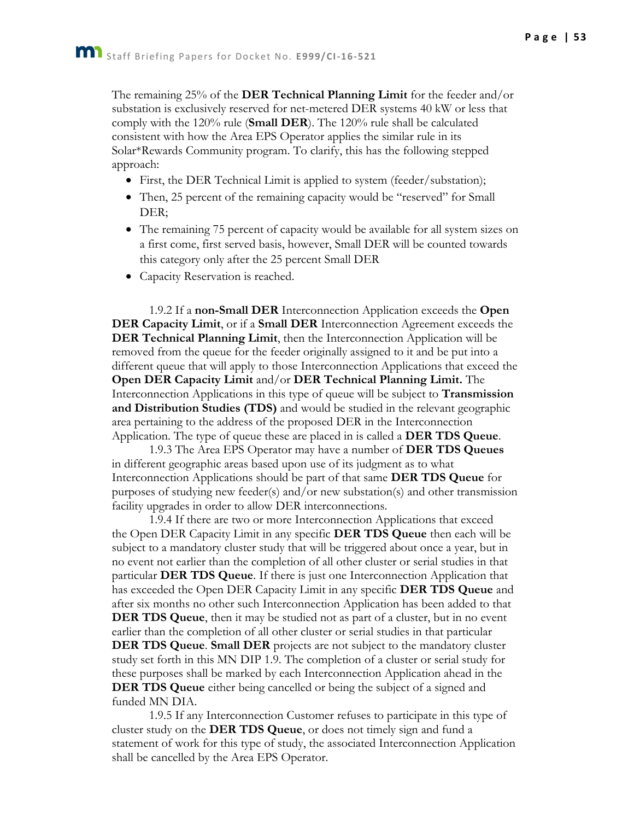The remaining 25% of the **DER Technical Planning Limit** for the feeder and/or substation is exclusively reserved for net-metered DER systems 40 kW or less that

comply with the 120% rule (**Small DER**). The 120% rule shall be calculated consistent with how the Area EPS Operator applies the similar rule in its Solar\*Rewards Community program. To clarify, this has the following stepped approach:

- First, the DER Technical Limit is applied to system (feeder/substation);
- Then, 25 percent of the remaining capacity would be "reserved" for Small DER;
- The remaining 75 percent of capacity would be available for all system sizes on a first come, first served basis, however, Small DER will be counted towards this category only after the 25 percent Small DER
- Capacity Reservation is reached.

1.9.2 If a **non-Small DER** Interconnection Application exceeds the **Open DER Capacity Limit**, or if a **Small DER** Interconnection Agreement exceeds the **DER Technical Planning Limit**, then the Interconnection Application will be removed from the queue for the feeder originally assigned to it and be put into a different queue that will apply to those Interconnection Applications that exceed the **Open DER Capacity Limit** and/or **DER Technical Planning Limit.** The Interconnection Applications in this type of queue will be subject to **Transmission and Distribution Studies (TDS)** and would be studied in the relevant geographic area pertaining to the address of the proposed DER in the Interconnection Application. The type of queue these are placed in is called a **DER TDS Queue**.

1.9.3 The Area EPS Operator may have a number of **DER TDS Queues** in different geographic areas based upon use of its judgment as to what Interconnection Applications should be part of that same **DER TDS Queue** for purposes of studying new feeder(s) and/or new substation(s) and other transmission facility upgrades in order to allow DER interconnections.

1.9.4 If there are two or more Interconnection Applications that exceed the Open DER Capacity Limit in any specific **DER TDS Queue** then each will be subject to a mandatory cluster study that will be triggered about once a year, but in no event not earlier than the completion of all other cluster or serial studies in that particular **DER TDS Queue**. If there is just one Interconnection Application that has exceeded the Open DER Capacity Limit in any specific **DER TDS Queue** and after six months no other such Interconnection Application has been added to that **DER TDS Queue**, then it may be studied not as part of a cluster, but in no event earlier than the completion of all other cluster or serial studies in that particular **DER TDS Queue**. **Small DER** projects are not subject to the mandatory cluster study set forth in this MN DIP 1.9. The completion of a cluster or serial study for these purposes shall be marked by each Interconnection Application ahead in the **DER TDS Queue** either being cancelled or being the subject of a signed and funded MN DIA.

1.9.5 If any Interconnection Customer refuses to participate in this type of cluster study on the **DER TDS Queue**, or does not timely sign and fund a statement of work for this type of study, the associated Interconnection Application shall be cancelled by the Area EPS Operator.